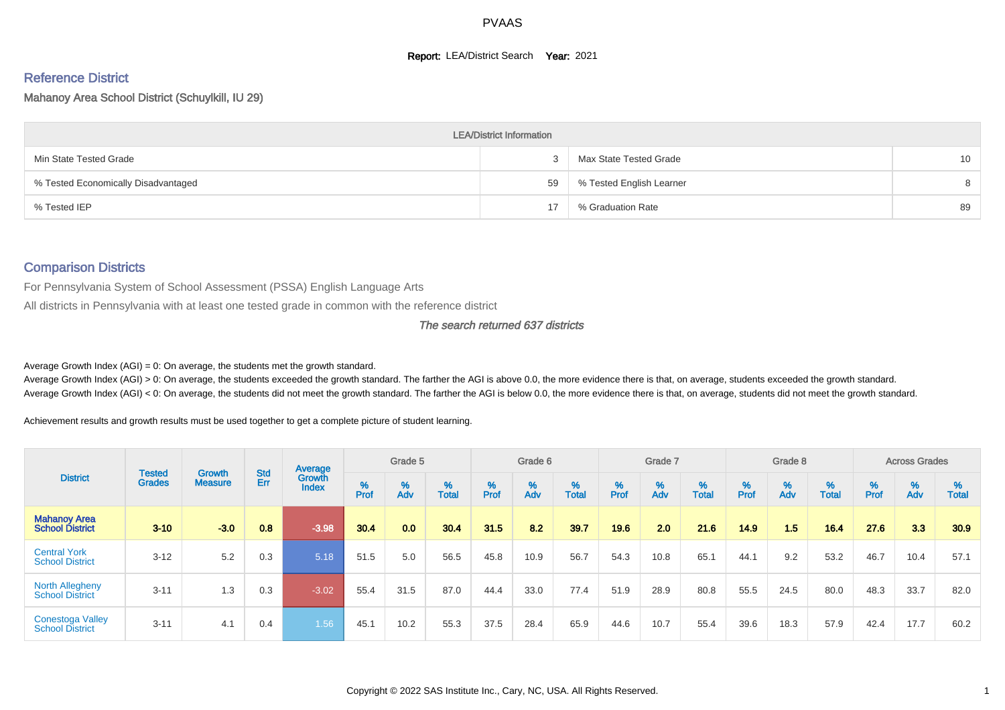#### **Report: LEA/District Search Year: 2021**

# Reference District

#### Mahanoy Area School District (Schuylkill, IU 29)

|                                     | <b>LEA/District Information</b> |                          |                 |
|-------------------------------------|---------------------------------|--------------------------|-----------------|
| Min State Tested Grade              |                                 | Max State Tested Grade   | 10 <sup>°</sup> |
| % Tested Economically Disadvantaged | 59                              | % Tested English Learner | 8               |
| % Tested IEP                        | 17                              | % Graduation Rate        | 89              |

#### Comparison Districts

For Pennsylvania System of School Assessment (PSSA) English Language Arts

All districts in Pennsylvania with at least one tested grade in common with the reference district

#### The search returned 637 districts

Average Growth Index  $(AGI) = 0$ : On average, the students met the growth standard.

Average Growth Index (AGI) > 0: On average, the students exceeded the growth standard. The farther the AGI is above 0.0, the more evidence there is that, on average, students exceeded the growth standard. Average Growth Index (AGI) < 0: On average, the students did not meet the growth standard. The farther the AGI is below 0.0, the more evidence there is that, on average, students did not meet the growth standard.

Achievement results and growth results must be used together to get a complete picture of student learning.

|                                                   |                                |                          |                   | Average                |           | Grade 5  |                   |        | Grade 6  |                   |          | Grade 7  |                   |           | Grade 8  |                   |        | <b>Across Grades</b> |                   |
|---------------------------------------------------|--------------------------------|--------------------------|-------------------|------------------------|-----------|----------|-------------------|--------|----------|-------------------|----------|----------|-------------------|-----------|----------|-------------------|--------|----------------------|-------------------|
| <b>District</b>                                   | <b>Tested</b><br><b>Grades</b> | Growth<br><b>Measure</b> | <b>Std</b><br>Err | Growth<br><b>Index</b> | %<br>Prof | %<br>Adv | %<br><b>Total</b> | % Pref | %<br>Adv | %<br><b>Total</b> | $%$ Prof | %<br>Adv | %<br><b>Total</b> | %<br>Prof | %<br>Adv | %<br><b>Total</b> | % Pref | %<br>Adv             | %<br><b>Total</b> |
| <b>Mahanoy Area</b><br><b>School District</b>     | $3 - 10$                       | $-3.0$                   | 0.8               | $-3.98$                | 30.4      | 0.0      | 30.4              | 31.5   | 8.2      | 39.7              | 19.6     | 2.0      | 21.6              | 14.9      | 1.5      | 16.4              | 27.6   | 3.3                  | 30.9              |
| <b>Central York</b><br><b>School District</b>     | $3 - 12$                       | 5.2                      | 0.3               | 5.18                   | 51.5      | 5.0      | 56.5              | 45.8   | 10.9     | 56.7              | 54.3     | 10.8     | 65.1              | 44.1      | 9.2      | 53.2              | 46.7   | 10.4                 | 57.1              |
| <b>North Allegheny</b><br><b>School District</b>  | $3 - 11$                       | 1.3                      | 0.3               | $-3.02$                | 55.4      | 31.5     | 87.0              | 44.4   | 33.0     | 77.4              | 51.9     | 28.9     | 80.8              | 55.5      | 24.5     | 80.0              | 48.3   | 33.7                 | 82.0              |
| <b>Conestoga Valley</b><br><b>School District</b> | $3 - 11$                       | 4.1                      | 0.4               | 1.56                   | 45.1      | 10.2     | 55.3              | 37.5   | 28.4     | 65.9              | 44.6     | 10.7     | 55.4              | 39.6      | 18.3     | 57.9              | 42.4   | 17.7                 | 60.2              |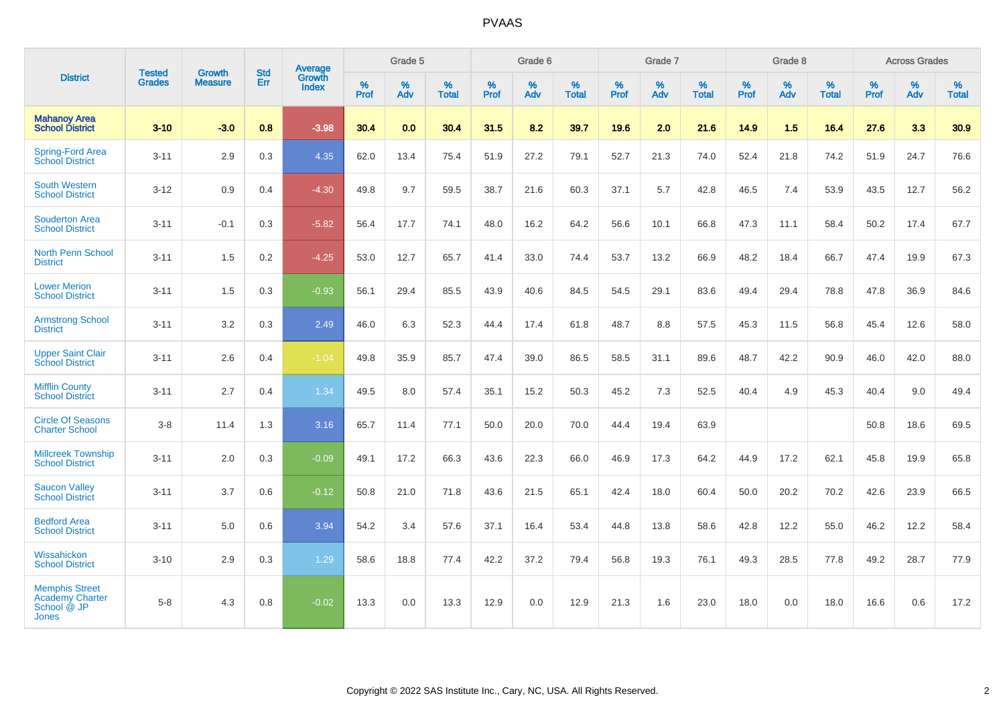|                                                                                | <b>Tested</b> | <b>Growth</b>  | <b>Std</b> | <b>Average</b>         |           | Grade 5  |                   |                  | Grade 6  |                   |           | Grade 7  |                   |           | Grade 8  |                   |           | <b>Across Grades</b> |                   |
|--------------------------------------------------------------------------------|---------------|----------------|------------|------------------------|-----------|----------|-------------------|------------------|----------|-------------------|-----------|----------|-------------------|-----------|----------|-------------------|-----------|----------------------|-------------------|
| <b>District</b>                                                                | <b>Grades</b> | <b>Measure</b> | Err        | Growth<br><b>Index</b> | %<br>Prof | %<br>Adv | %<br><b>Total</b> | %<br><b>Prof</b> | %<br>Adv | %<br><b>Total</b> | %<br>Prof | %<br>Adv | %<br><b>Total</b> | %<br>Prof | %<br>Adv | %<br><b>Total</b> | %<br>Prof | %<br>Adv             | %<br><b>Total</b> |
| <b>Mahanoy Area</b><br><b>School District</b>                                  | $3 - 10$      | $-3.0$         | 0.8        | $-3.98$                | 30.4      | 0.0      | 30.4              | 31.5             | 8.2      | 39.7              | 19.6      | 2.0      | 21.6              | 14.9      | 1.5      | 16.4              | 27.6      | 3.3                  | 30.9              |
| <b>Spring-Ford Area</b><br><b>School District</b>                              | $3 - 11$      | 2.9            | 0.3        | 4.35                   | 62.0      | 13.4     | 75.4              | 51.9             | 27.2     | 79.1              | 52.7      | 21.3     | 74.0              | 52.4      | 21.8     | 74.2              | 51.9      | 24.7                 | 76.6              |
| <b>South Western</b><br><b>School District</b>                                 | $3 - 12$      | 0.9            | 0.4        | $-4.30$                | 49.8      | 9.7      | 59.5              | 38.7             | 21.6     | 60.3              | 37.1      | 5.7      | 42.8              | 46.5      | 7.4      | 53.9              | 43.5      | 12.7                 | 56.2              |
| <b>Souderton Area</b><br><b>School District</b>                                | $3 - 11$      | $-0.1$         | 0.3        | $-5.82$                | 56.4      | 17.7     | 74.1              | 48.0             | 16.2     | 64.2              | 56.6      | 10.1     | 66.8              | 47.3      | 11.1     | 58.4              | 50.2      | 17.4                 | 67.7              |
| <b>North Penn School</b><br><b>District</b>                                    | $3 - 11$      | 1.5            | 0.2        | $-4.25$                | 53.0      | 12.7     | 65.7              | 41.4             | 33.0     | 74.4              | 53.7      | 13.2     | 66.9              | 48.2      | 18.4     | 66.7              | 47.4      | 19.9                 | 67.3              |
| <b>Lower Merion</b><br><b>School District</b>                                  | $3 - 11$      | 1.5            | 0.3        | $-0.93$                | 56.1      | 29.4     | 85.5              | 43.9             | 40.6     | 84.5              | 54.5      | 29.1     | 83.6              | 49.4      | 29.4     | 78.8              | 47.8      | 36.9                 | 84.6              |
| <b>Armstrong School</b><br><b>District</b>                                     | $3 - 11$      | 3.2            | 0.3        | 2.49                   | 46.0      | 6.3      | 52.3              | 44.4             | 17.4     | 61.8              | 48.7      | 8.8      | 57.5              | 45.3      | 11.5     | 56.8              | 45.4      | 12.6                 | 58.0              |
| <b>Upper Saint Clair</b><br><b>School District</b>                             | $3 - 11$      | 2.6            | 0.4        | $-1.04$                | 49.8      | 35.9     | 85.7              | 47.4             | 39.0     | 86.5              | 58.5      | 31.1     | 89.6              | 48.7      | 42.2     | 90.9              | 46.0      | 42.0                 | 88.0              |
| <b>Mifflin County</b><br><b>School District</b>                                | $3 - 11$      | 2.7            | 0.4        | 1.34                   | 49.5      | 8.0      | 57.4              | 35.1             | 15.2     | 50.3              | 45.2      | 7.3      | 52.5              | 40.4      | 4.9      | 45.3              | 40.4      | 9.0                  | 49.4              |
| <b>Circle Of Seasons</b><br><b>Charter School</b>                              | $3 - 8$       | 11.4           | 1.3        | 3.16                   | 65.7      | 11.4     | 77.1              | 50.0             | 20.0     | 70.0              | 44.4      | 19.4     | 63.9              |           |          |                   | 50.8      | 18.6                 | 69.5              |
| <b>Millcreek Township</b><br><b>School District</b>                            | $3 - 11$      | 2.0            | 0.3        | $-0.09$                | 49.1      | 17.2     | 66.3              | 43.6             | 22.3     | 66.0              | 46.9      | 17.3     | 64.2              | 44.9      | 17.2     | 62.1              | 45.8      | 19.9                 | 65.8              |
| <b>Saucon Valley</b><br><b>School District</b>                                 | $3 - 11$      | 3.7            | 0.6        | $-0.12$                | 50.8      | 21.0     | 71.8              | 43.6             | 21.5     | 65.1              | 42.4      | 18.0     | 60.4              | 50.0      | 20.2     | 70.2              | 42.6      | 23.9                 | 66.5              |
| <b>Bedford Area</b><br><b>School District</b>                                  | $3 - 11$      | 5.0            | 0.6        | 3.94                   | 54.2      | 3.4      | 57.6              | 37.1             | 16.4     | 53.4              | 44.8      | 13.8     | 58.6              | 42.8      | 12.2     | 55.0              | 46.2      | 12.2                 | 58.4              |
| Wissahickon<br><b>School District</b>                                          | $3 - 10$      | 2.9            | 0.3        | 1.29                   | 58.6      | 18.8     | 77.4              | 42.2             | 37.2     | 79.4              | 56.8      | 19.3     | 76.1              | 49.3      | 28.5     | 77.8              | 49.2      | 28.7                 | 77.9              |
| <b>Memphis Street</b><br><b>Academy Charter</b><br>School @ JP<br><b>Jones</b> | $5 - 8$       | 4.3            | 0.8        | $-0.02$                | 13.3      | 0.0      | 13.3              | 12.9             | 0.0      | 12.9              | 21.3      | 1.6      | 23.0              | 18.0      | 0.0      | 18.0              | 16.6      | 0.6                  | 17.2              |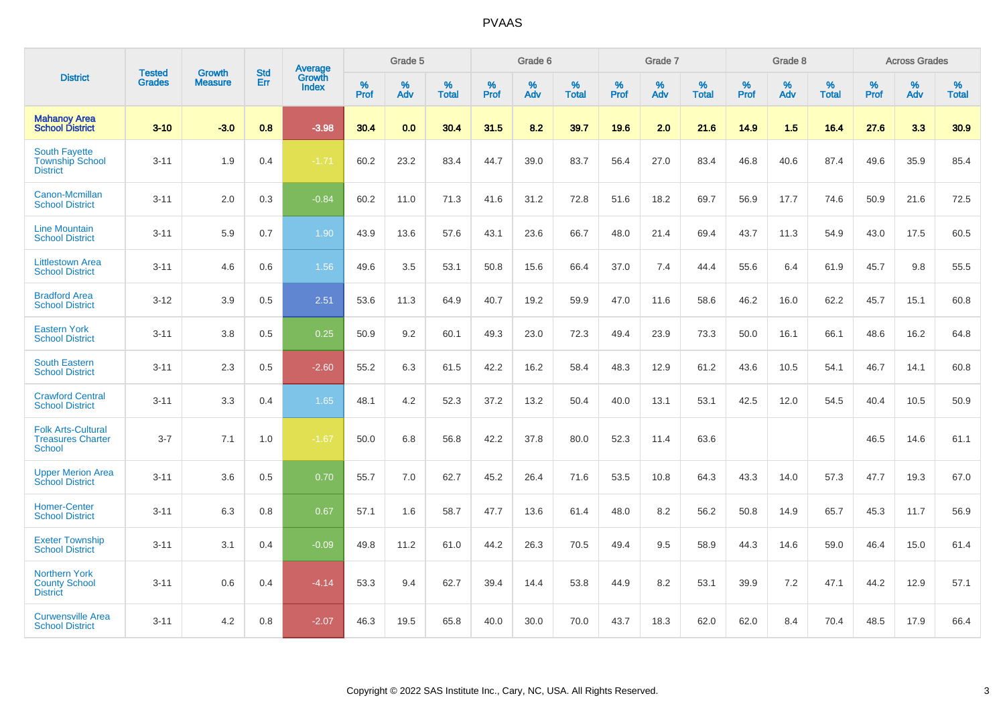|                                                                        |                                |                                 | <b>Std</b> | Average                       |           | Grade 5  |                   |           | Grade 6  |                   |           | Grade 7  |                   |           | Grade 8  |                   |           | <b>Across Grades</b> |                   |
|------------------------------------------------------------------------|--------------------------------|---------------------------------|------------|-------------------------------|-----------|----------|-------------------|-----------|----------|-------------------|-----------|----------|-------------------|-----------|----------|-------------------|-----------|----------------------|-------------------|
| <b>District</b>                                                        | <b>Tested</b><br><b>Grades</b> | <b>Growth</b><br><b>Measure</b> | Err        | <b>Growth</b><br><b>Index</b> | %<br>Prof | %<br>Adv | %<br><b>Total</b> | %<br>Prof | %<br>Adv | %<br><b>Total</b> | %<br>Prof | %<br>Adv | %<br><b>Total</b> | %<br>Prof | %<br>Adv | %<br><b>Total</b> | %<br>Prof | %<br>Adv             | %<br><b>Total</b> |
| <b>Mahanoy Area</b><br><b>School District</b>                          | $3 - 10$                       | $-3.0$                          | 0.8        | $-3.98$                       | 30.4      | 0.0      | 30.4              | 31.5      | 8.2      | 39.7              | 19.6      | 2.0      | 21.6              | 14.9      | 1.5      | 16.4              | 27.6      | 3.3                  | 30.9              |
| <b>South Fayette</b><br><b>Township School</b><br><b>District</b>      | $3 - 11$                       | 1.9                             | 0.4        | $-1.71$                       | 60.2      | 23.2     | 83.4              | 44.7      | 39.0     | 83.7              | 56.4      | 27.0     | 83.4              | 46.8      | 40.6     | 87.4              | 49.6      | 35.9                 | 85.4              |
| Canon-Mcmillan<br><b>School District</b>                               | $3 - 11$                       | 2.0                             | 0.3        | $-0.84$                       | 60.2      | 11.0     | 71.3              | 41.6      | 31.2     | 72.8              | 51.6      | 18.2     | 69.7              | 56.9      | 17.7     | 74.6              | 50.9      | 21.6                 | 72.5              |
| <b>Line Mountain</b><br><b>School District</b>                         | $3 - 11$                       | 5.9                             | 0.7        | 1.90                          | 43.9      | 13.6     | 57.6              | 43.1      | 23.6     | 66.7              | 48.0      | 21.4     | 69.4              | 43.7      | 11.3     | 54.9              | 43.0      | 17.5                 | 60.5              |
| <b>Littlestown Area</b><br><b>School District</b>                      | $3 - 11$                       | 4.6                             | 0.6        | 1.56                          | 49.6      | 3.5      | 53.1              | 50.8      | 15.6     | 66.4              | 37.0      | 7.4      | 44.4              | 55.6      | 6.4      | 61.9              | 45.7      | 9.8                  | 55.5              |
| <b>Bradford Area</b><br><b>School District</b>                         | $3 - 12$                       | 3.9                             | 0.5        | 2.51                          | 53.6      | 11.3     | 64.9              | 40.7      | 19.2     | 59.9              | 47.0      | 11.6     | 58.6              | 46.2      | 16.0     | 62.2              | 45.7      | 15.1                 | 60.8              |
| <b>Eastern York</b><br><b>School District</b>                          | $3 - 11$                       | 3.8                             | 0.5        | 0.25                          | 50.9      | 9.2      | 60.1              | 49.3      | 23.0     | 72.3              | 49.4      | 23.9     | 73.3              | 50.0      | 16.1     | 66.1              | 48.6      | 16.2                 | 64.8              |
| <b>South Eastern</b><br><b>School District</b>                         | $3 - 11$                       | 2.3                             | 0.5        | $-2.60$                       | 55.2      | 6.3      | 61.5              | 42.2      | 16.2     | 58.4              | 48.3      | 12.9     | 61.2              | 43.6      | 10.5     | 54.1              | 46.7      | 14.1                 | 60.8              |
| <b>Crawford Central</b><br><b>School District</b>                      | $3 - 11$                       | 3.3                             | 0.4        | 1.65                          | 48.1      | 4.2      | 52.3              | 37.2      | 13.2     | 50.4              | 40.0      | 13.1     | 53.1              | 42.5      | 12.0     | 54.5              | 40.4      | 10.5                 | 50.9              |
| <b>Folk Arts-Cultural</b><br><b>Treasures Charter</b><br><b>School</b> | $3 - 7$                        | 7.1                             | 1.0        | $-1.67$                       | 50.0      | 6.8      | 56.8              | 42.2      | 37.8     | 80.0              | 52.3      | 11.4     | 63.6              |           |          |                   | 46.5      | 14.6                 | 61.1              |
| <b>Upper Merion Area</b><br><b>School District</b>                     | $3 - 11$                       | 3.6                             | 0.5        | 0.70                          | 55.7      | 7.0      | 62.7              | 45.2      | 26.4     | 71.6              | 53.5      | 10.8     | 64.3              | 43.3      | 14.0     | 57.3              | 47.7      | 19.3                 | 67.0              |
| <b>Homer-Center</b><br><b>School District</b>                          | $3 - 11$                       | 6.3                             | 0.8        | 0.67                          | 57.1      | 1.6      | 58.7              | 47.7      | 13.6     | 61.4              | 48.0      | 8.2      | 56.2              | 50.8      | 14.9     | 65.7              | 45.3      | 11.7                 | 56.9              |
| <b>Exeter Township</b><br><b>School District</b>                       | $3 - 11$                       | 3.1                             | 0.4        | $-0.09$                       | 49.8      | 11.2     | 61.0              | 44.2      | 26.3     | 70.5              | 49.4      | 9.5      | 58.9              | 44.3      | 14.6     | 59.0              | 46.4      | 15.0                 | 61.4              |
| <b>Northern York</b><br><b>County School</b><br><b>District</b>        | $3 - 11$                       | 0.6                             | 0.4        | $-4.14$                       | 53.3      | 9.4      | 62.7              | 39.4      | 14.4     | 53.8              | 44.9      | 8.2      | 53.1              | 39.9      | 7.2      | 47.1              | 44.2      | 12.9                 | 57.1              |
| <b>Curwensville Area</b><br><b>School District</b>                     | $3 - 11$                       | 4.2                             | 0.8        | $-2.07$                       | 46.3      | 19.5     | 65.8              | 40.0      | 30.0     | 70.0              | 43.7      | 18.3     | 62.0              | 62.0      | 8.4      | 70.4              | 48.5      | 17.9                 | 66.4              |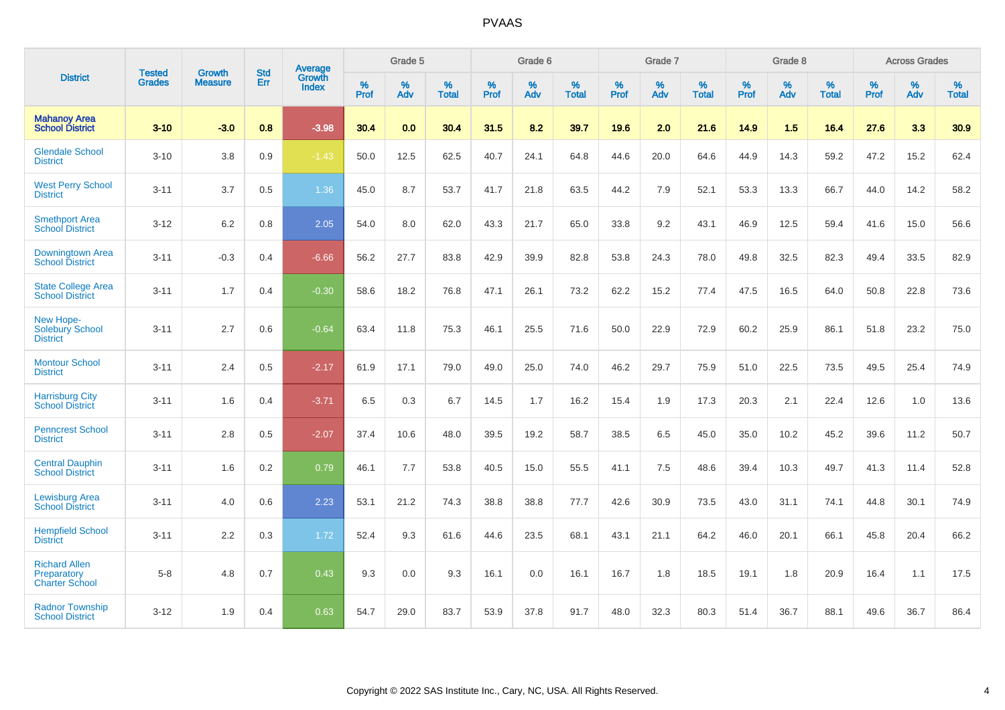|                                                              | <b>Tested</b> | <b>Growth</b>  | <b>Std</b> | <b>Average</b>         |           | Grade 5  |                   |           | Grade 6  |                   |           | Grade 7  |                   |           | Grade 8  |                   |           | <b>Across Grades</b> |                   |
|--------------------------------------------------------------|---------------|----------------|------------|------------------------|-----------|----------|-------------------|-----------|----------|-------------------|-----------|----------|-------------------|-----------|----------|-------------------|-----------|----------------------|-------------------|
| <b>District</b>                                              | <b>Grades</b> | <b>Measure</b> | Err        | Growth<br><b>Index</b> | %<br>Prof | %<br>Adv | %<br><b>Total</b> | %<br>Prof | %<br>Adv | %<br><b>Total</b> | %<br>Prof | %<br>Adv | %<br><b>Total</b> | %<br>Prof | %<br>Adv | %<br><b>Total</b> | %<br>Prof | %<br>Adv             | %<br><b>Total</b> |
| <b>Mahanoy Area</b><br><b>School District</b>                | $3 - 10$      | $-3.0$         | 0.8        | $-3.98$                | 30.4      | 0.0      | 30.4              | 31.5      | 8.2      | 39.7              | 19.6      | 2.0      | 21.6              | 14.9      | 1.5      | 16.4              | 27.6      | 3.3                  | 30.9              |
| <b>Glendale School</b><br><b>District</b>                    | $3 - 10$      | 3.8            | 0.9        | $-1.43$                | 50.0      | 12.5     | 62.5              | 40.7      | 24.1     | 64.8              | 44.6      | 20.0     | 64.6              | 44.9      | 14.3     | 59.2              | 47.2      | 15.2                 | 62.4              |
| <b>West Perry School</b><br><b>District</b>                  | $3 - 11$      | 3.7            | 0.5        | 1.36                   | 45.0      | 8.7      | 53.7              | 41.7      | 21.8     | 63.5              | 44.2      | 7.9      | 52.1              | 53.3      | 13.3     | 66.7              | 44.0      | 14.2                 | 58.2              |
| <b>Smethport Area</b><br><b>School District</b>              | $3 - 12$      | 6.2            | 0.8        | 2.05                   | 54.0      | 8.0      | 62.0              | 43.3      | 21.7     | 65.0              | 33.8      | 9.2      | 43.1              | 46.9      | 12.5     | 59.4              | 41.6      | 15.0                 | 56.6              |
| Downingtown Area<br><b>School District</b>                   | $3 - 11$      | $-0.3$         | 0.4        | $-6.66$                | 56.2      | 27.7     | 83.8              | 42.9      | 39.9     | 82.8              | 53.8      | 24.3     | 78.0              | 49.8      | 32.5     | 82.3              | 49.4      | 33.5                 | 82.9              |
| <b>State College Area</b><br><b>School District</b>          | $3 - 11$      | 1.7            | 0.4        | $-0.30$                | 58.6      | 18.2     | 76.8              | 47.1      | 26.1     | 73.2              | 62.2      | 15.2     | 77.4              | 47.5      | 16.5     | 64.0              | 50.8      | 22.8                 | 73.6              |
| New Hope-<br>Solebury School<br><b>District</b>              | $3 - 11$      | 2.7            | 0.6        | $-0.64$                | 63.4      | 11.8     | 75.3              | 46.1      | 25.5     | 71.6              | 50.0      | 22.9     | 72.9              | 60.2      | 25.9     | 86.1              | 51.8      | 23.2                 | 75.0              |
| <b>Montour School</b><br><b>District</b>                     | $3 - 11$      | 2.4            | 0.5        | $-2.17$                | 61.9      | 17.1     | 79.0              | 49.0      | 25.0     | 74.0              | 46.2      | 29.7     | 75.9              | 51.0      | 22.5     | 73.5              | 49.5      | 25.4                 | 74.9              |
| <b>Harrisburg City</b><br><b>School District</b>             | $3 - 11$      | 1.6            | 0.4        | $-3.71$                | 6.5       | 0.3      | 6.7               | 14.5      | 1.7      | 16.2              | 15.4      | 1.9      | 17.3              | 20.3      | 2.1      | 22.4              | 12.6      | 1.0                  | 13.6              |
| <b>Penncrest School</b><br><b>District</b>                   | $3 - 11$      | 2.8            | 0.5        | $-2.07$                | 37.4      | 10.6     | 48.0              | 39.5      | 19.2     | 58.7              | 38.5      | 6.5      | 45.0              | 35.0      | 10.2     | 45.2              | 39.6      | 11.2                 | 50.7              |
| <b>Central Dauphin</b><br><b>School District</b>             | $3 - 11$      | 1.6            | 0.2        | 0.79                   | 46.1      | 7.7      | 53.8              | 40.5      | 15.0     | 55.5              | 41.1      | 7.5      | 48.6              | 39.4      | 10.3     | 49.7              | 41.3      | 11.4                 | 52.8              |
| <b>Lewisburg Area</b><br><b>School District</b>              | $3 - 11$      | 4.0            | 0.6        | 2.23                   | 53.1      | 21.2     | 74.3              | 38.8      | 38.8     | 77.7              | 42.6      | 30.9     | 73.5              | 43.0      | 31.1     | 74.1              | 44.8      | 30.1                 | 74.9              |
| <b>Hempfield School</b><br><b>District</b>                   | $3 - 11$      | 2.2            | 0.3        | 1.72                   | 52.4      | 9.3      | 61.6              | 44.6      | 23.5     | 68.1              | 43.1      | 21.1     | 64.2              | 46.0      | 20.1     | 66.1              | 45.8      | 20.4                 | 66.2              |
| <b>Richard Allen</b><br>Preparatory<br><b>Charter School</b> | $5 - 8$       | 4.8            | 0.7        | 0.43                   | 9.3       | 0.0      | 9.3               | 16.1      | 0.0      | 16.1              | 16.7      | 1.8      | 18.5              | 19.1      | 1.8      | 20.9              | 16.4      | 1.1                  | 17.5              |
| <b>Radnor Township</b><br><b>School District</b>             | $3 - 12$      | 1.9            | 0.4        | 0.63                   | 54.7      | 29.0     | 83.7              | 53.9      | 37.8     | 91.7              | 48.0      | 32.3     | 80.3              | 51.4      | 36.7     | 88.1              | 49.6      | 36.7                 | 86.4              |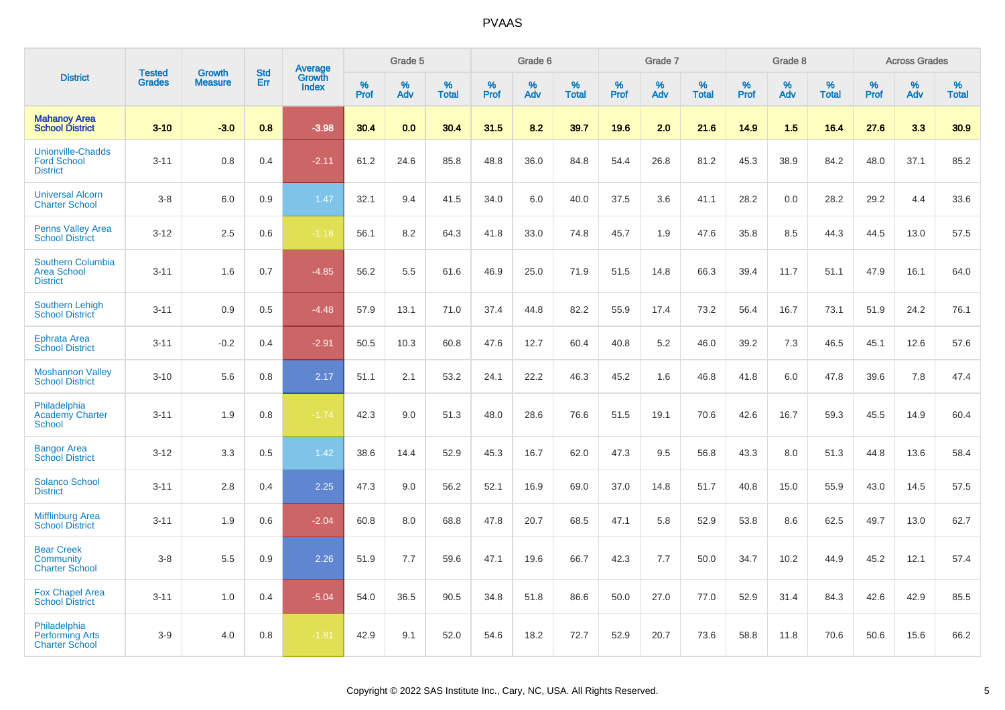|                                                                   |                                |                                 |                   | Average                |                  | Grade 5  |                   |                  | Grade 6  |                   |                  | Grade 7  |                   |           | Grade 8  |                   |                  | <b>Across Grades</b> |                   |
|-------------------------------------------------------------------|--------------------------------|---------------------------------|-------------------|------------------------|------------------|----------|-------------------|------------------|----------|-------------------|------------------|----------|-------------------|-----------|----------|-------------------|------------------|----------------------|-------------------|
| <b>District</b>                                                   | <b>Tested</b><br><b>Grades</b> | <b>Growth</b><br><b>Measure</b> | <b>Std</b><br>Err | Growth<br><b>Index</b> | %<br><b>Prof</b> | %<br>Adv | %<br><b>Total</b> | %<br><b>Prof</b> | %<br>Adv | %<br><b>Total</b> | %<br><b>Prof</b> | %<br>Adv | %<br><b>Total</b> | %<br>Prof | %<br>Adv | %<br><b>Total</b> | %<br><b>Prof</b> | %<br>Adv             | %<br><b>Total</b> |
| <b>Mahanoy Area</b><br><b>School District</b>                     | $3 - 10$                       | $-3.0$                          | 0.8               | $-3.98$                | 30.4             | 0.0      | 30.4              | 31.5             | 8.2      | 39.7              | 19.6             | 2.0      | 21.6              | 14.9      | 1.5      | 16.4              | 27.6             | 3.3                  | 30.9              |
| <b>Unionville-Chadds</b><br><b>Ford School</b><br><b>District</b> | $3 - 11$                       | 0.8                             | 0.4               | $-2.11$                | 61.2             | 24.6     | 85.8              | 48.8             | 36.0     | 84.8              | 54.4             | 26.8     | 81.2              | 45.3      | 38.9     | 84.2              | 48.0             | 37.1                 | 85.2              |
| <b>Universal Alcorn</b><br><b>Charter School</b>                  | $3-8$                          | 6.0                             | 0.9               | 1.47                   | 32.1             | 9.4      | 41.5              | 34.0             | 6.0      | 40.0              | 37.5             | 3.6      | 41.1              | 28.2      | 0.0      | 28.2              | 29.2             | 4.4                  | 33.6              |
| <b>Penns Valley Area</b><br><b>School District</b>                | $3 - 12$                       | 2.5                             | 0.6               | $-1.18$                | 56.1             | 8.2      | 64.3              | 41.8             | 33.0     | 74.8              | 45.7             | 1.9      | 47.6              | 35.8      | 8.5      | 44.3              | 44.5             | 13.0                 | 57.5              |
| Southern Columbia<br><b>Area School</b><br><b>District</b>        | $3 - 11$                       | 1.6                             | 0.7               | $-4.85$                | 56.2             | 5.5      | 61.6              | 46.9             | 25.0     | 71.9              | 51.5             | 14.8     | 66.3              | 39.4      | 11.7     | 51.1              | 47.9             | 16.1                 | 64.0              |
| <b>Southern Lehigh</b><br><b>School District</b>                  | $3 - 11$                       | 0.9                             | 0.5               | $-4.48$                | 57.9             | 13.1     | 71.0              | 37.4             | 44.8     | 82.2              | 55.9             | 17.4     | 73.2              | 56.4      | 16.7     | 73.1              | 51.9             | 24.2                 | 76.1              |
| <b>Ephrata Area</b><br><b>School District</b>                     | $3 - 11$                       | $-0.2$                          | 0.4               | $-2.91$                | 50.5             | 10.3     | 60.8              | 47.6             | 12.7     | 60.4              | 40.8             | 5.2      | 46.0              | 39.2      | 7.3      | 46.5              | 45.1             | 12.6                 | 57.6              |
| <b>Moshannon Valley</b><br><b>School District</b>                 | $3 - 10$                       | 5.6                             | 0.8               | 2.17                   | 51.1             | 2.1      | 53.2              | 24.1             | 22.2     | 46.3              | 45.2             | 1.6      | 46.8              | 41.8      | 6.0      | 47.8              | 39.6             | 7.8                  | 47.4              |
| Philadelphia<br><b>Academy Charter</b><br><b>School</b>           | $3 - 11$                       | 1.9                             | 0.8               | $-1.74$                | 42.3             | 9.0      | 51.3              | 48.0             | 28.6     | 76.6              | 51.5             | 19.1     | 70.6              | 42.6      | 16.7     | 59.3              | 45.5             | 14.9                 | 60.4              |
| <b>Bangor Area</b><br><b>School District</b>                      | $3 - 12$                       | 3.3                             | 0.5               | 1.42                   | 38.6             | 14.4     | 52.9              | 45.3             | 16.7     | 62.0              | 47.3             | 9.5      | 56.8              | 43.3      | 8.0      | 51.3              | 44.8             | 13.6                 | 58.4              |
| <b>Solanco School</b><br><b>District</b>                          | $3 - 11$                       | 2.8                             | 0.4               | 2.25                   | 47.3             | 9.0      | 56.2              | 52.1             | 16.9     | 69.0              | 37.0             | 14.8     | 51.7              | 40.8      | 15.0     | 55.9              | 43.0             | 14.5                 | 57.5              |
| <b>Mifflinburg Area</b><br><b>School District</b>                 | $3 - 11$                       | 1.9                             | 0.6               | $-2.04$                | 60.8             | 8.0      | 68.8              | 47.8             | 20.7     | 68.5              | 47.1             | 5.8      | 52.9              | 53.8      | 8.6      | 62.5              | 49.7             | 13.0                 | 62.7              |
| <b>Bear Creek</b><br>Community<br><b>Charter School</b>           | $3-8$                          | 5.5                             | 0.9               | 2.26                   | 51.9             | 7.7      | 59.6              | 47.1             | 19.6     | 66.7              | 42.3             | 7.7      | 50.0              | 34.7      | 10.2     | 44.9              | 45.2             | 12.1                 | 57.4              |
| <b>Fox Chapel Area</b><br><b>School District</b>                  | $3 - 11$                       | 1.0                             | 0.4               | $-5.04$                | 54.0             | 36.5     | 90.5              | 34.8             | 51.8     | 86.6              | 50.0             | 27.0     | 77.0              | 52.9      | 31.4     | 84.3              | 42.6             | 42.9                 | 85.5              |
| Philadelphia<br><b>Performing Arts</b><br><b>Charter School</b>   | $3-9$                          | 4.0                             | 0.8               | $-1.81$                | 42.9             | 9.1      | 52.0              | 54.6             | 18.2     | 72.7              | 52.9             | 20.7     | 73.6              | 58.8      | 11.8     | 70.6              | 50.6             | 15.6                 | 66.2              |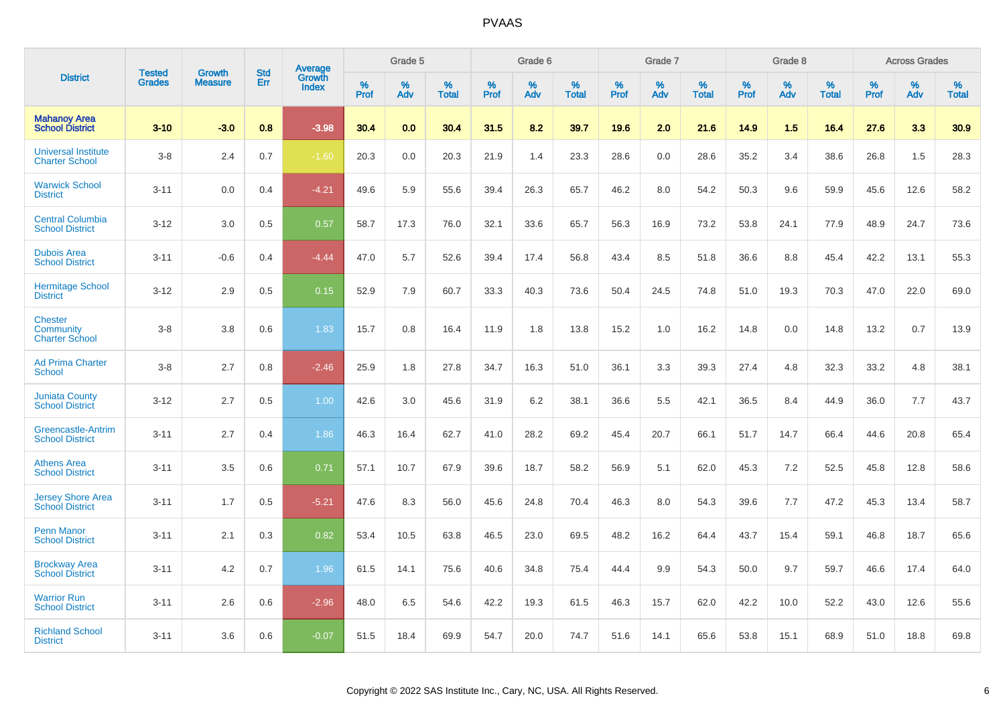|                                                             |                                |                                 | <b>Std</b> | Average                |              | Grade 5     |                      |                     | Grade 6     |                      |              | Grade 7     |                      |              | Grade 8     |                      |                     | <b>Across Grades</b> |                      |
|-------------------------------------------------------------|--------------------------------|---------------------------------|------------|------------------------|--------------|-------------|----------------------|---------------------|-------------|----------------------|--------------|-------------|----------------------|--------------|-------------|----------------------|---------------------|----------------------|----------------------|
| <b>District</b>                                             | <b>Tested</b><br><b>Grades</b> | <b>Growth</b><br><b>Measure</b> | Err        | Growth<br><b>Index</b> | $\%$<br>Prof | $\%$<br>Adv | $\%$<br><b>Total</b> | $\%$<br><b>Prof</b> | $\%$<br>Adv | $\%$<br><b>Total</b> | $\%$<br>Prof | $\%$<br>Adv | $\%$<br><b>Total</b> | $\%$<br>Prof | $\%$<br>Adv | $\%$<br><b>Total</b> | $\%$<br><b>Prof</b> | $\%$<br>Adv          | $\%$<br><b>Total</b> |
| <b>Mahanoy Area</b><br><b>School District</b>               | $3 - 10$                       | $-3.0$                          | 0.8        | $-3.98$                | 30.4         | 0.0         | 30.4                 | 31.5                | 8.2         | 39.7                 | 19.6         | 2.0         | 21.6                 | 14.9         | 1.5         | 16.4                 | 27.6                | 3.3                  | 30.9                 |
| <b>Universal Institute</b><br><b>Charter School</b>         | $3 - 8$                        | 2.4                             | 0.7        | $-1.60$                | 20.3         | 0.0         | 20.3                 | 21.9                | 1.4         | 23.3                 | 28.6         | 0.0         | 28.6                 | 35.2         | 3.4         | 38.6                 | 26.8                | 1.5                  | 28.3                 |
| <b>Warwick School</b><br><b>District</b>                    | $3 - 11$                       | 0.0                             | 0.4        | $-4.21$                | 49.6         | 5.9         | 55.6                 | 39.4                | 26.3        | 65.7                 | 46.2         | 8.0         | 54.2                 | 50.3         | 9.6         | 59.9                 | 45.6                | 12.6                 | 58.2                 |
| <b>Central Columbia</b><br><b>School District</b>           | $3 - 12$                       | 3.0                             | 0.5        | 0.57                   | 58.7         | 17.3        | 76.0                 | 32.1                | 33.6        | 65.7                 | 56.3         | 16.9        | 73.2                 | 53.8         | 24.1        | 77.9                 | 48.9                | 24.7                 | 73.6                 |
| <b>Dubois Area</b><br><b>School District</b>                | $3 - 11$                       | $-0.6$                          | 0.4        | $-4.44$                | 47.0         | 5.7         | 52.6                 | 39.4                | 17.4        | 56.8                 | 43.4         | 8.5         | 51.8                 | 36.6         | 8.8         | 45.4                 | 42.2                | 13.1                 | 55.3                 |
| <b>Hermitage School</b><br><b>District</b>                  | $3 - 12$                       | 2.9                             | 0.5        | 0.15                   | 52.9         | 7.9         | 60.7                 | 33.3                | 40.3        | 73.6                 | 50.4         | 24.5        | 74.8                 | 51.0         | 19.3        | 70.3                 | 47.0                | 22.0                 | 69.0                 |
| <b>Chester</b><br><b>Community</b><br><b>Charter School</b> | $3 - 8$                        | 3.8                             | 0.6        | 1.83                   | 15.7         | 0.8         | 16.4                 | 11.9                | 1.8         | 13.8                 | 15.2         | 1.0         | 16.2                 | 14.8         | 0.0         | 14.8                 | 13.2                | 0.7                  | 13.9                 |
| <b>Ad Prima Charter</b><br><b>School</b>                    | $3 - 8$                        | 2.7                             | 0.8        | $-2.46$                | 25.9         | 1.8         | 27.8                 | 34.7                | 16.3        | 51.0                 | 36.1         | 3.3         | 39.3                 | 27.4         | 4.8         | 32.3                 | 33.2                | 4.8                  | 38.1                 |
| <b>Juniata County</b><br><b>School District</b>             | $3 - 12$                       | 2.7                             | 0.5        | 1.00                   | 42.6         | 3.0         | 45.6                 | 31.9                | 6.2         | 38.1                 | 36.6         | 5.5         | 42.1                 | 36.5         | 8.4         | 44.9                 | 36.0                | 7.7                  | 43.7                 |
| <b>Greencastle-Antrim</b><br><b>School District</b>         | $3 - 11$                       | 2.7                             | 0.4        | 1.86                   | 46.3         | 16.4        | 62.7                 | 41.0                | 28.2        | 69.2                 | 45.4         | 20.7        | 66.1                 | 51.7         | 14.7        | 66.4                 | 44.6                | 20.8                 | 65.4                 |
| <b>Athens Area</b><br><b>School District</b>                | $3 - 11$                       | 3.5                             | 0.6        | 0.71                   | 57.1         | 10.7        | 67.9                 | 39.6                | 18.7        | 58.2                 | 56.9         | 5.1         | 62.0                 | 45.3         | 7.2         | 52.5                 | 45.8                | 12.8                 | 58.6                 |
| <b>Jersey Shore Area</b><br><b>School District</b>          | $3 - 11$                       | 1.7                             | 0.5        | $-5.21$                | 47.6         | 8.3         | 56.0                 | 45.6                | 24.8        | 70.4                 | 46.3         | 8.0         | 54.3                 | 39.6         | 7.7         | 47.2                 | 45.3                | 13.4                 | 58.7                 |
| <b>Penn Manor</b><br><b>School District</b>                 | $3 - 11$                       | 2.1                             | 0.3        | 0.82                   | 53.4         | 10.5        | 63.8                 | 46.5                | 23.0        | 69.5                 | 48.2         | 16.2        | 64.4                 | 43.7         | 15.4        | 59.1                 | 46.8                | 18.7                 | 65.6                 |
| <b>Brockway Area</b><br><b>School District</b>              | $3 - 11$                       | 4.2                             | 0.7        | 1.96                   | 61.5         | 14.1        | 75.6                 | 40.6                | 34.8        | 75.4                 | 44.4         | 9.9         | 54.3                 | 50.0         | 9.7         | 59.7                 | 46.6                | 17.4                 | 64.0                 |
| <b>Warrior Run</b><br><b>School District</b>                | $3 - 11$                       | 2.6                             | 0.6        | $-2.96$                | 48.0         | 6.5         | 54.6                 | 42.2                | 19.3        | 61.5                 | 46.3         | 15.7        | 62.0                 | 42.2         | 10.0        | 52.2                 | 43.0                | 12.6                 | 55.6                 |
| <b>Richland School</b><br><b>District</b>                   | $3 - 11$                       | 3.6                             | 0.6        | $-0.07$                | 51.5         | 18.4        | 69.9                 | 54.7                | 20.0        | 74.7                 | 51.6         | 14.1        | 65.6                 | 53.8         | 15.1        | 68.9                 | 51.0                | 18.8                 | 69.8                 |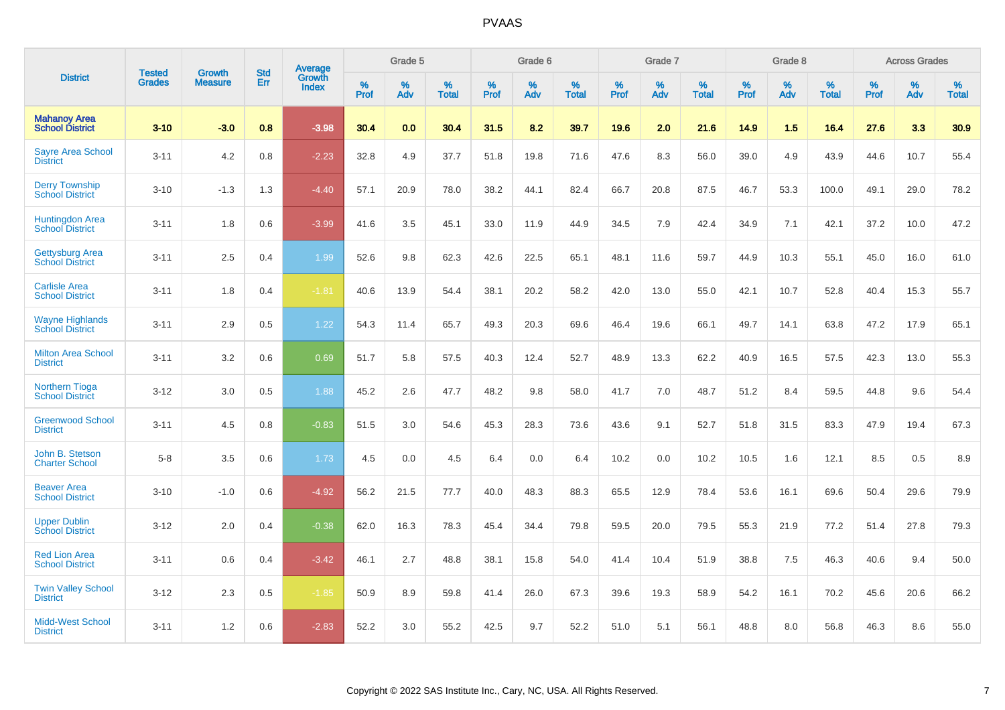|                                                  | <b>Tested</b> | <b>Growth</b>  | <b>Std</b> |                                   |              | Grade 5     |                   |              | Grade 6     |                   |              | Grade 7     |                   |              | Grade 8  |                   |              | <b>Across Grades</b> |                   |
|--------------------------------------------------|---------------|----------------|------------|-----------------------------------|--------------|-------------|-------------------|--------------|-------------|-------------------|--------------|-------------|-------------------|--------------|----------|-------------------|--------------|----------------------|-------------------|
| <b>District</b>                                  | <b>Grades</b> | <b>Measure</b> | Err        | <b>Average</b><br>Growth<br>Index | $\%$<br>Prof | $\%$<br>Adv | %<br><b>Total</b> | $\%$<br>Prof | $\%$<br>Adv | %<br><b>Total</b> | $\%$<br>Prof | $\%$<br>Adv | %<br><b>Total</b> | $\%$<br>Prof | %<br>Adv | %<br><b>Total</b> | $\%$<br>Prof | $\%$<br>Adv          | %<br><b>Total</b> |
| <b>Mahanoy Area</b><br><b>School District</b>    | $3 - 10$      | $-3.0$         | 0.8        | $-3.98$                           | 30.4         | 0.0         | 30.4              | 31.5         | 8.2         | 39.7              | 19.6         | 2.0         | 21.6              | 14.9         | 1.5      | 16.4              | 27.6         | 3.3                  | 30.9              |
| <b>Sayre Area School</b><br><b>District</b>      | $3 - 11$      | 4.2            | 0.8        | $-2.23$                           | 32.8         | 4.9         | 37.7              | 51.8         | 19.8        | 71.6              | 47.6         | 8.3         | 56.0              | 39.0         | 4.9      | 43.9              | 44.6         | 10.7                 | 55.4              |
| <b>Derry Township</b><br><b>School District</b>  | $3 - 10$      | $-1.3$         | 1.3        | $-4.40$                           | 57.1         | 20.9        | 78.0              | 38.2         | 44.1        | 82.4              | 66.7         | 20.8        | 87.5              | 46.7         | 53.3     | 100.0             | 49.1         | 29.0                 | 78.2              |
| <b>Huntingdon Area</b><br><b>School District</b> | $3 - 11$      | 1.8            | 0.6        | $-3.99$                           | 41.6         | 3.5         | 45.1              | 33.0         | 11.9        | 44.9              | 34.5         | 7.9         | 42.4              | 34.9         | 7.1      | 42.1              | 37.2         | 10.0                 | 47.2              |
| <b>Gettysburg Area</b><br><b>School District</b> | $3 - 11$      | 2.5            | 0.4        | 1.99                              | 52.6         | 9.8         | 62.3              | 42.6         | 22.5        | 65.1              | 48.1         | 11.6        | 59.7              | 44.9         | 10.3     | 55.1              | 45.0         | 16.0                 | 61.0              |
| <b>Carlisle Area</b><br><b>School District</b>   | $3 - 11$      | 1.8            | 0.4        | $-1.81$                           | 40.6         | 13.9        | 54.4              | 38.1         | 20.2        | 58.2              | 42.0         | 13.0        | 55.0              | 42.1         | 10.7     | 52.8              | 40.4         | 15.3                 | 55.7              |
| <b>Wayne Highlands</b><br><b>School District</b> | $3 - 11$      | 2.9            | 0.5        | 1.22                              | 54.3         | 11.4        | 65.7              | 49.3         | 20.3        | 69.6              | 46.4         | 19.6        | 66.1              | 49.7         | 14.1     | 63.8              | 47.2         | 17.9                 | 65.1              |
| <b>Milton Area School</b><br><b>District</b>     | $3 - 11$      | 3.2            | 0.6        | 0.69                              | 51.7         | 5.8         | 57.5              | 40.3         | 12.4        | 52.7              | 48.9         | 13.3        | 62.2              | 40.9         | 16.5     | 57.5              | 42.3         | 13.0                 | 55.3              |
| <b>Northern Tioga</b><br><b>School District</b>  | $3 - 12$      | 3.0            | 0.5        | 1.88                              | 45.2         | 2.6         | 47.7              | 48.2         | 9.8         | 58.0              | 41.7         | 7.0         | 48.7              | 51.2         | 8.4      | 59.5              | 44.8         | 9.6                  | 54.4              |
| <b>Greenwood School</b><br><b>District</b>       | $3 - 11$      | 4.5            | 0.8        | $-0.83$                           | 51.5         | 3.0         | 54.6              | 45.3         | 28.3        | 73.6              | 43.6         | 9.1         | 52.7              | 51.8         | 31.5     | 83.3              | 47.9         | 19.4                 | 67.3              |
| John B. Stetson<br><b>Charter School</b>         | $5 - 8$       | 3.5            | 0.6        | 1.73                              | 4.5          | 0.0         | 4.5               | 6.4          | 0.0         | 6.4               | 10.2         | 0.0         | 10.2              | 10.5         | 1.6      | 12.1              | 8.5          | 0.5                  | 8.9               |
| <b>Beaver Area</b><br><b>School District</b>     | $3 - 10$      | $-1.0$         | 0.6        | $-4.92$                           | 56.2         | 21.5        | 77.7              | 40.0         | 48.3        | 88.3              | 65.5         | 12.9        | 78.4              | 53.6         | 16.1     | 69.6              | 50.4         | 29.6                 | 79.9              |
| <b>Upper Dublin</b><br><b>School District</b>    | $3 - 12$      | 2.0            | 0.4        | $-0.38$                           | 62.0         | 16.3        | 78.3              | 45.4         | 34.4        | 79.8              | 59.5         | 20.0        | 79.5              | 55.3         | 21.9     | 77.2              | 51.4         | 27.8                 | 79.3              |
| <b>Red Lion Area</b><br><b>School District</b>   | $3 - 11$      | 0.6            | 0.4        | $-3.42$                           | 46.1         | 2.7         | 48.8              | 38.1         | 15.8        | 54.0              | 41.4         | 10.4        | 51.9              | 38.8         | 7.5      | 46.3              | 40.6         | 9.4                  | 50.0              |
| <b>Twin Valley School</b><br><b>District</b>     | $3 - 12$      | 2.3            | 0.5        | $-1.85$                           | 50.9         | 8.9         | 59.8              | 41.4         | 26.0        | 67.3              | 39.6         | 19.3        | 58.9              | 54.2         | 16.1     | 70.2              | 45.6         | 20.6                 | 66.2              |
| <b>Midd-West School</b><br><b>District</b>       | $3 - 11$      | 1.2            | 0.6        | $-2.83$                           | 52.2         | 3.0         | 55.2              | 42.5         | 9.7         | 52.2              | 51.0         | 5.1         | 56.1              | 48.8         | 8.0      | 56.8              | 46.3         | 8.6                  | 55.0              |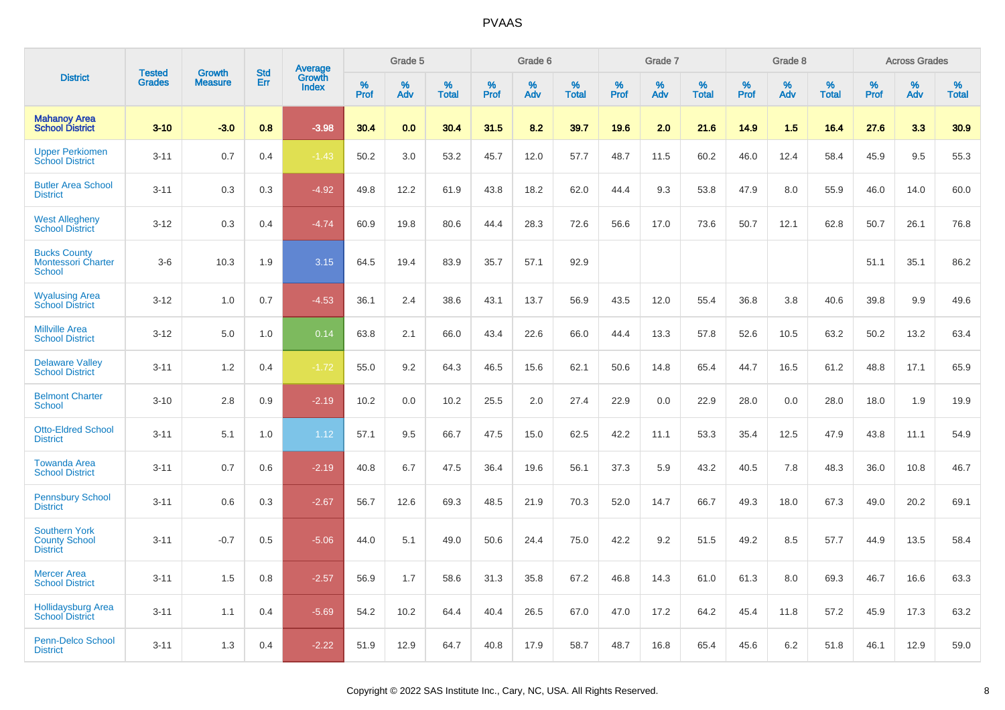|                                                                 | <b>Tested</b> | <b>Growth</b>  | <b>Std</b> | <b>Average</b>         |              | Grade 5  |                   |              | Grade 6  |                   |              | Grade 7  |                   |              | Grade 8  |                   |              | <b>Across Grades</b> |                   |
|-----------------------------------------------------------------|---------------|----------------|------------|------------------------|--------------|----------|-------------------|--------------|----------|-------------------|--------------|----------|-------------------|--------------|----------|-------------------|--------------|----------------------|-------------------|
| <b>District</b>                                                 | <b>Grades</b> | <b>Measure</b> | Err        | Growth<br><b>Index</b> | $\%$<br>Prof | %<br>Adv | %<br><b>Total</b> | $\%$<br>Prof | %<br>Adv | %<br><b>Total</b> | $\%$<br>Prof | %<br>Adv | %<br><b>Total</b> | $\%$<br>Prof | %<br>Adv | %<br><b>Total</b> | $\%$<br>Prof | %<br>Adv             | %<br><b>Total</b> |
| <b>Mahanoy Area</b><br><b>School District</b>                   | $3 - 10$      | $-3.0$         | 0.8        | $-3.98$                | 30.4         | 0.0      | 30.4              | 31.5         | 8.2      | 39.7              | 19.6         | 2.0      | 21.6              | 14.9         | 1.5      | 16.4              | 27.6         | 3.3                  | 30.9              |
| <b>Upper Perkiomen</b><br><b>School District</b>                | $3 - 11$      | 0.7            | 0.4        | $-1.43$                | 50.2         | 3.0      | 53.2              | 45.7         | 12.0     | 57.7              | 48.7         | 11.5     | 60.2              | 46.0         | 12.4     | 58.4              | 45.9         | 9.5                  | 55.3              |
| <b>Butler Area School</b><br><b>District</b>                    | $3 - 11$      | 0.3            | 0.3        | $-4.92$                | 49.8         | 12.2     | 61.9              | 43.8         | 18.2     | 62.0              | 44.4         | 9.3      | 53.8              | 47.9         | 8.0      | 55.9              | 46.0         | 14.0                 | 60.0              |
| <b>West Allegheny</b><br><b>School District</b>                 | $3 - 12$      | 0.3            | 0.4        | $-4.74$                | 60.9         | 19.8     | 80.6              | 44.4         | 28.3     | 72.6              | 56.6         | 17.0     | 73.6              | 50.7         | 12.1     | 62.8              | 50.7         | 26.1                 | 76.8              |
| <b>Bucks County</b><br><b>Montessori Charter</b><br>School      | $3-6$         | 10.3           | 1.9        | 3.15                   | 64.5         | 19.4     | 83.9              | 35.7         | 57.1     | 92.9              |              |          |                   |              |          |                   | 51.1         | 35.1                 | 86.2              |
| <b>Wyalusing Area</b><br><b>School District</b>                 | $3 - 12$      | 1.0            | 0.7        | $-4.53$                | 36.1         | 2.4      | 38.6              | 43.1         | 13.7     | 56.9              | 43.5         | 12.0     | 55.4              | 36.8         | 3.8      | 40.6              | 39.8         | 9.9                  | 49.6              |
| <b>Millville Area</b><br><b>School District</b>                 | $3 - 12$      | 5.0            | 1.0        | 0.14                   | 63.8         | 2.1      | 66.0              | 43.4         | 22.6     | 66.0              | 44.4         | 13.3     | 57.8              | 52.6         | 10.5     | 63.2              | 50.2         | 13.2                 | 63.4              |
| <b>Delaware Valley</b><br><b>School District</b>                | $3 - 11$      | 1.2            | 0.4        | $-1.72$                | 55.0         | 9.2      | 64.3              | 46.5         | 15.6     | 62.1              | 50.6         | 14.8     | 65.4              | 44.7         | 16.5     | 61.2              | 48.8         | 17.1                 | 65.9              |
| <b>Belmont Charter</b><br><b>School</b>                         | $3 - 10$      | 2.8            | 0.9        | $-2.19$                | 10.2         | 0.0      | 10.2              | 25.5         | 2.0      | 27.4              | 22.9         | 0.0      | 22.9              | 28.0         | 0.0      | 28.0              | 18.0         | 1.9                  | 19.9              |
| <b>Otto-Eldred School</b><br><b>District</b>                    | $3 - 11$      | 5.1            | 1.0        | 1.12                   | 57.1         | 9.5      | 66.7              | 47.5         | 15.0     | 62.5              | 42.2         | 11.1     | 53.3              | 35.4         | 12.5     | 47.9              | 43.8         | 11.1                 | 54.9              |
| <b>Towanda Area</b><br><b>School District</b>                   | $3 - 11$      | 0.7            | 0.6        | $-2.19$                | 40.8         | 6.7      | 47.5              | 36.4         | 19.6     | 56.1              | 37.3         | 5.9      | 43.2              | 40.5         | 7.8      | 48.3              | 36.0         | 10.8                 | 46.7              |
| <b>Pennsbury School</b><br><b>District</b>                      | $3 - 11$      | 0.6            | 0.3        | $-2.67$                | 56.7         | 12.6     | 69.3              | 48.5         | 21.9     | 70.3              | 52.0         | 14.7     | 66.7              | 49.3         | 18.0     | 67.3              | 49.0         | 20.2                 | 69.1              |
| <b>Southern York</b><br><b>County School</b><br><b>District</b> | $3 - 11$      | $-0.7$         | 0.5        | $-5.06$                | 44.0         | 5.1      | 49.0              | 50.6         | 24.4     | 75.0              | 42.2         | 9.2      | 51.5              | 49.2         | 8.5      | 57.7              | 44.9         | 13.5                 | 58.4              |
| <b>Mercer Area</b><br><b>School District</b>                    | $3 - 11$      | 1.5            | 0.8        | $-2.57$                | 56.9         | 1.7      | 58.6              | 31.3         | 35.8     | 67.2              | 46.8         | 14.3     | 61.0              | 61.3         | 8.0      | 69.3              | 46.7         | 16.6                 | 63.3              |
| <b>Hollidaysburg Area</b><br><b>School District</b>             | $3 - 11$      | 1.1            | 0.4        | $-5.69$                | 54.2         | 10.2     | 64.4              | 40.4         | 26.5     | 67.0              | 47.0         | 17.2     | 64.2              | 45.4         | 11.8     | 57.2              | 45.9         | 17.3                 | 63.2              |
| <b>Penn-Delco School</b><br><b>District</b>                     | $3 - 11$      | 1.3            | 0.4        | $-2.22$                | 51.9         | 12.9     | 64.7              | 40.8         | 17.9     | 58.7              | 48.7         | 16.8     | 65.4              | 45.6         | 6.2      | 51.8              | 46.1         | 12.9                 | 59.0              |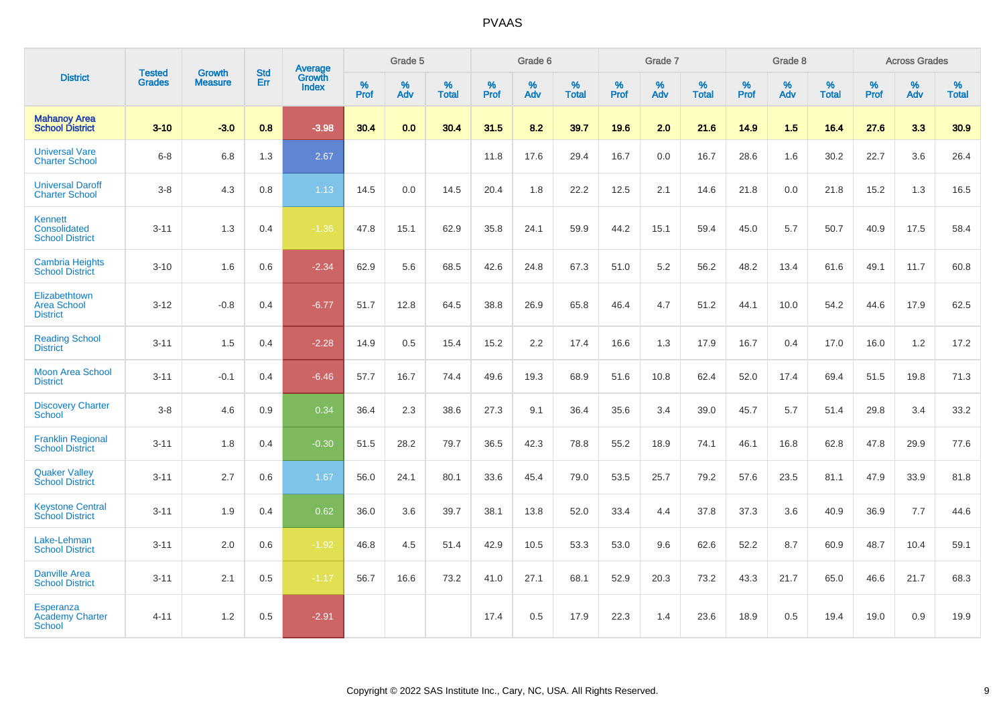|                                                             | <b>Tested</b> | <b>Growth</b>  | <b>Std</b> | <b>Average</b>         |           | Grade 5  |                   |           | Grade 6  |                   |           | Grade 7  |                   |           | Grade 8  |                   |           | <b>Across Grades</b> |                   |
|-------------------------------------------------------------|---------------|----------------|------------|------------------------|-----------|----------|-------------------|-----------|----------|-------------------|-----------|----------|-------------------|-----------|----------|-------------------|-----------|----------------------|-------------------|
| <b>District</b>                                             | <b>Grades</b> | <b>Measure</b> | Err        | Growth<br><b>Index</b> | %<br>Prof | %<br>Adv | %<br><b>Total</b> | %<br>Prof | %<br>Adv | %<br><b>Total</b> | %<br>Prof | %<br>Adv | %<br><b>Total</b> | %<br>Prof | %<br>Adv | %<br><b>Total</b> | %<br>Prof | %<br>Adv             | %<br><b>Total</b> |
| <b>Mahanoy Area</b><br><b>School District</b>               | $3 - 10$      | $-3.0$         | 0.8        | $-3.98$                | 30.4      | 0.0      | 30.4              | 31.5      | 8.2      | 39.7              | 19.6      | 2.0      | 21.6              | 14.9      | 1.5      | 16.4              | 27.6      | 3.3                  | 30.9              |
| <b>Universal Vare</b><br><b>Charter School</b>              | $6 - 8$       | 6.8            | 1.3        | 2.67                   |           |          |                   | 11.8      | 17.6     | 29.4              | 16.7      | 0.0      | 16.7              | 28.6      | 1.6      | 30.2              | 22.7      | 3.6                  | 26.4              |
| <b>Universal Daroff</b><br><b>Charter School</b>            | $3 - 8$       | 4.3            | 0.8        | 1.13                   | 14.5      | 0.0      | 14.5              | 20.4      | 1.8      | 22.2              | 12.5      | 2.1      | 14.6              | 21.8      | 0.0      | 21.8              | 15.2      | 1.3                  | 16.5              |
| <b>Kennett</b><br>Consolidated<br><b>School District</b>    | $3 - 11$      | 1.3            | 0.4        | $-1.36$                | 47.8      | 15.1     | 62.9              | 35.8      | 24.1     | 59.9              | 44.2      | 15.1     | 59.4              | 45.0      | 5.7      | 50.7              | 40.9      | 17.5                 | 58.4              |
| <b>Cambria Heights</b><br><b>School District</b>            | $3 - 10$      | 1.6            | 0.6        | $-2.34$                | 62.9      | 5.6      | 68.5              | 42.6      | 24.8     | 67.3              | 51.0      | 5.2      | 56.2              | 48.2      | 13.4     | 61.6              | 49.1      | 11.7                 | 60.8              |
| Elizabethtown<br><b>Area School</b><br><b>District</b>      | $3 - 12$      | $-0.8$         | 0.4        | $-6.77$                | 51.7      | 12.8     | 64.5              | 38.8      | 26.9     | 65.8              | 46.4      | 4.7      | 51.2              | 44.1      | 10.0     | 54.2              | 44.6      | 17.9                 | 62.5              |
| <b>Reading School</b><br><b>District</b>                    | $3 - 11$      | 1.5            | 0.4        | $-2.28$                | 14.9      | 0.5      | 15.4              | 15.2      | 2.2      | 17.4              | 16.6      | 1.3      | 17.9              | 16.7      | 0.4      | 17.0              | 16.0      | 1.2                  | 17.2              |
| <b>Moon Area School</b><br><b>District</b>                  | $3 - 11$      | $-0.1$         | 0.4        | $-6.46$                | 57.7      | 16.7     | 74.4              | 49.6      | 19.3     | 68.9              | 51.6      | 10.8     | 62.4              | 52.0      | 17.4     | 69.4              | 51.5      | 19.8                 | 71.3              |
| <b>Discovery Charter</b><br><b>School</b>                   | $3 - 8$       | 4.6            | 0.9        | 0.34                   | 36.4      | 2.3      | 38.6              | 27.3      | 9.1      | 36.4              | 35.6      | 3.4      | 39.0              | 45.7      | 5.7      | 51.4              | 29.8      | 3.4                  | 33.2              |
| <b>Franklin Regional</b><br><b>School District</b>          | $3 - 11$      | 1.8            | 0.4        | $-0.30$                | 51.5      | 28.2     | 79.7              | 36.5      | 42.3     | 78.8              | 55.2      | 18.9     | 74.1              | 46.1      | 16.8     | 62.8              | 47.8      | 29.9                 | 77.6              |
| <b>Quaker Valley</b><br><b>School District</b>              | $3 - 11$      | 2.7            | 0.6        | 1.67                   | 56.0      | 24.1     | 80.1              | 33.6      | 45.4     | 79.0              | 53.5      | 25.7     | 79.2              | 57.6      | 23.5     | 81.1              | 47.9      | 33.9                 | 81.8              |
| <b>Keystone Central</b><br><b>School District</b>           | $3 - 11$      | 1.9            | 0.4        | 0.62                   | 36.0      | 3.6      | 39.7              | 38.1      | 13.8     | 52.0              | 33.4      | 4.4      | 37.8              | 37.3      | 3.6      | 40.9              | 36.9      | 7.7                  | 44.6              |
| Lake-Lehman<br><b>School District</b>                       | $3 - 11$      | 2.0            | 0.6        | $-1.92$                | 46.8      | 4.5      | 51.4              | 42.9      | 10.5     | 53.3              | 53.0      | 9.6      | 62.6              | 52.2      | 8.7      | 60.9              | 48.7      | 10.4                 | 59.1              |
| <b>Danville Area</b><br><b>School District</b>              | $3 - 11$      | 2.1            | 0.5        | $-1.17$                | 56.7      | 16.6     | 73.2              | 41.0      | 27.1     | 68.1              | 52.9      | 20.3     | 73.2              | 43.3      | 21.7     | 65.0              | 46.6      | 21.7                 | 68.3              |
| <b>Esperanza</b><br><b>Academy Charter</b><br><b>School</b> | $4 - 11$      | 1.2            | 0.5        | $-2.91$                |           |          |                   | 17.4      | 0.5      | 17.9              | 22.3      | 1.4      | 23.6              | 18.9      | 0.5      | 19.4              | 19.0      | 0.9                  | 19.9              |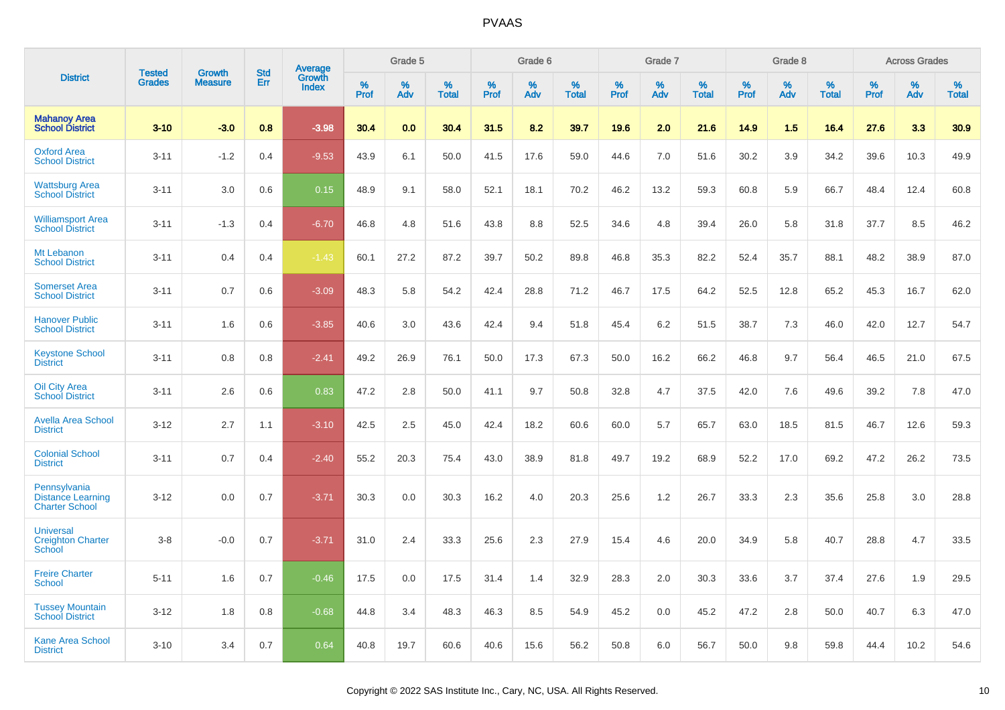|                                                                   |                                |                                 | <b>Std</b> | Average                |              | Grade 5  |                   |              | Grade 6  |                   |              | Grade 7  |                   |           | Grade 8  |                   |                     | <b>Across Grades</b> |                   |
|-------------------------------------------------------------------|--------------------------------|---------------------------------|------------|------------------------|--------------|----------|-------------------|--------------|----------|-------------------|--------------|----------|-------------------|-----------|----------|-------------------|---------------------|----------------------|-------------------|
| <b>District</b>                                                   | <b>Tested</b><br><b>Grades</b> | <b>Growth</b><br><b>Measure</b> | Err        | Growth<br><b>Index</b> | $\%$<br>Prof | %<br>Adv | %<br><b>Total</b> | $\%$<br>Prof | %<br>Adv | %<br><b>Total</b> | $\%$<br>Prof | %<br>Adv | %<br><b>Total</b> | %<br>Prof | %<br>Adv | %<br><b>Total</b> | $\%$<br><b>Prof</b> | $\%$<br>Adv          | %<br><b>Total</b> |
| <b>Mahanoy Area</b><br><b>School District</b>                     | $3 - 10$                       | $-3.0$                          | 0.8        | $-3.98$                | 30.4         | 0.0      | 30.4              | 31.5         | 8.2      | 39.7              | 19.6         | 2.0      | 21.6              | 14.9      | 1.5      | 16.4              | 27.6                | 3.3                  | 30.9              |
| <b>Oxford Area</b><br><b>School District</b>                      | $3 - 11$                       | $-1.2$                          | 0.4        | $-9.53$                | 43.9         | 6.1      | 50.0              | 41.5         | 17.6     | 59.0              | 44.6         | 7.0      | 51.6              | 30.2      | 3.9      | 34.2              | 39.6                | 10.3                 | 49.9              |
| <b>Wattsburg Area</b><br><b>School District</b>                   | $3 - 11$                       | 3.0                             | 0.6        | 0.15                   | 48.9         | 9.1      | 58.0              | 52.1         | 18.1     | 70.2              | 46.2         | 13.2     | 59.3              | 60.8      | 5.9      | 66.7              | 48.4                | 12.4                 | 60.8              |
| <b>Williamsport Area</b><br><b>School District</b>                | $3 - 11$                       | $-1.3$                          | 0.4        | $-6.70$                | 46.8         | 4.8      | 51.6              | 43.8         | 8.8      | 52.5              | 34.6         | 4.8      | 39.4              | 26.0      | 5.8      | 31.8              | 37.7                | 8.5                  | 46.2              |
| Mt Lebanon<br><b>School District</b>                              | $3 - 11$                       | 0.4                             | 0.4        | $-1.43$                | 60.1         | 27.2     | 87.2              | 39.7         | 50.2     | 89.8              | 46.8         | 35.3     | 82.2              | 52.4      | 35.7     | 88.1              | 48.2                | 38.9                 | 87.0              |
| <b>Somerset Area</b><br><b>School District</b>                    | $3 - 11$                       | 0.7                             | 0.6        | $-3.09$                | 48.3         | 5.8      | 54.2              | 42.4         | 28.8     | 71.2              | 46.7         | 17.5     | 64.2              | 52.5      | 12.8     | 65.2              | 45.3                | 16.7                 | 62.0              |
| <b>Hanover Public</b><br><b>School District</b>                   | $3 - 11$                       | 1.6                             | 0.6        | $-3.85$                | 40.6         | 3.0      | 43.6              | 42.4         | 9.4      | 51.8              | 45.4         | 6.2      | 51.5              | 38.7      | 7.3      | 46.0              | 42.0                | 12.7                 | 54.7              |
| <b>Keystone School</b><br><b>District</b>                         | $3 - 11$                       | 0.8                             | 0.8        | $-2.41$                | 49.2         | 26.9     | 76.1              | 50.0         | 17.3     | 67.3              | 50.0         | 16.2     | 66.2              | 46.8      | 9.7      | 56.4              | 46.5                | 21.0                 | 67.5              |
| Oil City Area<br><b>School District</b>                           | $3 - 11$                       | 2.6                             | 0.6        | 0.83                   | 47.2         | 2.8      | 50.0              | 41.1         | 9.7      | 50.8              | 32.8         | 4.7      | 37.5              | 42.0      | 7.6      | 49.6              | 39.2                | 7.8                  | 47.0              |
| <b>Avella Area School</b><br><b>District</b>                      | $3 - 12$                       | 2.7                             | 1.1        | $-3.10$                | 42.5         | 2.5      | 45.0              | 42.4         | 18.2     | 60.6              | 60.0         | 5.7      | 65.7              | 63.0      | 18.5     | 81.5              | 46.7                | 12.6                 | 59.3              |
| <b>Colonial School</b><br><b>District</b>                         | $3 - 11$                       | 0.7                             | 0.4        | $-2.40$                | 55.2         | 20.3     | 75.4              | 43.0         | 38.9     | 81.8              | 49.7         | 19.2     | 68.9              | 52.2      | 17.0     | 69.2              | 47.2                | 26.2                 | 73.5              |
| Pennsylvania<br><b>Distance Learning</b><br><b>Charter School</b> | $3 - 12$                       | 0.0                             | 0.7        | $-3.71$                | 30.3         | 0.0      | 30.3              | 16.2         | 4.0      | 20.3              | 25.6         | 1.2      | 26.7              | 33.3      | 2.3      | 35.6              | 25.8                | 3.0                  | 28.8              |
| <b>Universal</b><br><b>Creighton Charter</b><br>School            | $3 - 8$                        | $-0.0$                          | 0.7        | $-3.71$                | 31.0         | 2.4      | 33.3              | 25.6         | 2.3      | 27.9              | 15.4         | 4.6      | 20.0              | 34.9      | 5.8      | 40.7              | 28.8                | 4.7                  | 33.5              |
| <b>Freire Charter</b><br>School                                   | $5 - 11$                       | 1.6                             | 0.7        | $-0.46$                | 17.5         | 0.0      | 17.5              | 31.4         | 1.4      | 32.9              | 28.3         | 2.0      | 30.3              | 33.6      | 3.7      | 37.4              | 27.6                | 1.9                  | 29.5              |
| <b>Tussey Mountain</b><br><b>School District</b>                  | $3 - 12$                       | 1.8                             | 0.8        | $-0.68$                | 44.8         | 3.4      | 48.3              | 46.3         | 8.5      | 54.9              | 45.2         | 0.0      | 45.2              | 47.2      | 2.8      | 50.0              | 40.7                | 6.3                  | 47.0              |
| <b>Kane Area School</b><br><b>District</b>                        | $3 - 10$                       | 3.4                             | 0.7        | 0.64                   | 40.8         | 19.7     | 60.6              | 40.6         | 15.6     | 56.2              | 50.8         | 6.0      | 56.7              | 50.0      | 9.8      | 59.8              | 44.4                | 10.2                 | 54.6              |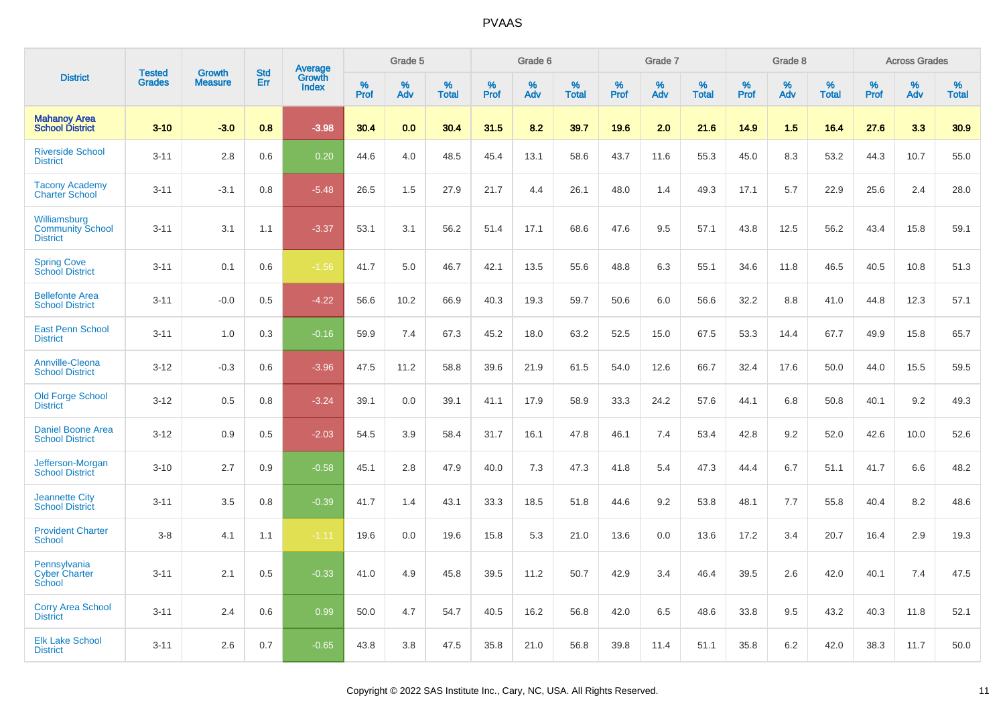|                                                            | <b>Tested</b> | <b>Growth</b>  | <b>Std</b> | Average         |              | Grade 5  |                   |              | Grade 6  |                   |              | Grade 7  |                   |              | Grade 8  |                   |           | <b>Across Grades</b> |                   |
|------------------------------------------------------------|---------------|----------------|------------|-----------------|--------------|----------|-------------------|--------------|----------|-------------------|--------------|----------|-------------------|--------------|----------|-------------------|-----------|----------------------|-------------------|
| <b>District</b>                                            | <b>Grades</b> | <b>Measure</b> | Err        | Growth<br>Index | $\%$<br>Prof | %<br>Adv | %<br><b>Total</b> | $\%$<br>Prof | %<br>Adv | %<br><b>Total</b> | $\%$<br>Prof | %<br>Adv | %<br><b>Total</b> | $\%$<br>Prof | %<br>Adv | %<br><b>Total</b> | %<br>Prof | $\%$<br>Adv          | %<br><b>Total</b> |
| <b>Mahanoy Area</b><br><b>School District</b>              | $3 - 10$      | $-3.0$         | 0.8        | $-3.98$         | 30.4         | 0.0      | 30.4              | 31.5         | 8.2      | 39.7              | 19.6         | 2.0      | 21.6              | 14.9         | 1.5      | 16.4              | 27.6      | 3.3                  | 30.9              |
| <b>Riverside School</b><br><b>District</b>                 | $3 - 11$      | 2.8            | 0.6        | 0.20            | 44.6         | 4.0      | 48.5              | 45.4         | 13.1     | 58.6              | 43.7         | 11.6     | 55.3              | 45.0         | 8.3      | 53.2              | 44.3      | 10.7                 | 55.0              |
| <b>Tacony Academy</b><br><b>Charter School</b>             | $3 - 11$      | $-3.1$         | 0.8        | $-5.48$         | 26.5         | 1.5      | 27.9              | 21.7         | 4.4      | 26.1              | 48.0         | 1.4      | 49.3              | 17.1         | 5.7      | 22.9              | 25.6      | 2.4                  | 28.0              |
| Williamsburg<br><b>Community School</b><br><b>District</b> | $3 - 11$      | 3.1            | 1.1        | $-3.37$         | 53.1         | 3.1      | 56.2              | 51.4         | 17.1     | 68.6              | 47.6         | 9.5      | 57.1              | 43.8         | 12.5     | 56.2              | 43.4      | 15.8                 | 59.1              |
| <b>Spring Cove</b><br>School District                      | $3 - 11$      | 0.1            | 0.6        | $-1.56$         | 41.7         | 5.0      | 46.7              | 42.1         | 13.5     | 55.6              | 48.8         | 6.3      | 55.1              | 34.6         | 11.8     | 46.5              | 40.5      | 10.8                 | 51.3              |
| <b>Bellefonte Area</b><br><b>School District</b>           | $3 - 11$      | $-0.0$         | 0.5        | $-4.22$         | 56.6         | 10.2     | 66.9              | 40.3         | 19.3     | 59.7              | 50.6         | 6.0      | 56.6              | 32.2         | 8.8      | 41.0              | 44.8      | 12.3                 | 57.1              |
| <b>East Penn School</b><br><b>District</b>                 | $3 - 11$      | 1.0            | 0.3        | $-0.16$         | 59.9         | 7.4      | 67.3              | 45.2         | 18.0     | 63.2              | 52.5         | 15.0     | 67.5              | 53.3         | 14.4     | 67.7              | 49.9      | 15.8                 | 65.7              |
| <b>Annville-Cleona</b><br><b>School District</b>           | $3 - 12$      | $-0.3$         | 0.6        | $-3.96$         | 47.5         | 11.2     | 58.8              | 39.6         | 21.9     | 61.5              | 54.0         | 12.6     | 66.7              | 32.4         | 17.6     | 50.0              | 44.0      | 15.5                 | 59.5              |
| <b>Old Forge School</b><br><b>District</b>                 | $3 - 12$      | 0.5            | 0.8        | $-3.24$         | 39.1         | 0.0      | 39.1              | 41.1         | 17.9     | 58.9              | 33.3         | 24.2     | 57.6              | 44.1         | 6.8      | 50.8              | 40.1      | 9.2                  | 49.3              |
| <b>Daniel Boone Area</b><br><b>School District</b>         | $3 - 12$      | 0.9            | 0.5        | $-2.03$         | 54.5         | 3.9      | 58.4              | 31.7         | 16.1     | 47.8              | 46.1         | 7.4      | 53.4              | 42.8         | 9.2      | 52.0              | 42.6      | 10.0                 | 52.6              |
| Jefferson-Morgan<br><b>School District</b>                 | $3 - 10$      | 2.7            | 0.9        | $-0.58$         | 45.1         | 2.8      | 47.9              | 40.0         | 7.3      | 47.3              | 41.8         | 5.4      | 47.3              | 44.4         | 6.7      | 51.1              | 41.7      | 6.6                  | 48.2              |
| <b>Jeannette City</b><br><b>School District</b>            | $3 - 11$      | 3.5            | 0.8        | $-0.39$         | 41.7         | 1.4      | 43.1              | 33.3         | 18.5     | 51.8              | 44.6         | 9.2      | 53.8              | 48.1         | 7.7      | 55.8              | 40.4      | 8.2                  | 48.6              |
| <b>Provident Charter</b><br><b>School</b>                  | $3 - 8$       | 4.1            | 1.1        | $-1.11$         | 19.6         | 0.0      | 19.6              | 15.8         | 5.3      | 21.0              | 13.6         | 0.0      | 13.6              | 17.2         | 3.4      | 20.7              | 16.4      | 2.9                  | 19.3              |
| Pennsylvania<br><b>Cyber Charter</b><br>School             | $3 - 11$      | 2.1            | 0.5        | $-0.33$         | 41.0         | 4.9      | 45.8              | 39.5         | 11.2     | 50.7              | 42.9         | 3.4      | 46.4              | 39.5         | 2.6      | 42.0              | 40.1      | 7.4                  | 47.5              |
| <b>Corry Area School</b><br><b>District</b>                | $3 - 11$      | 2.4            | 0.6        | 0.99            | 50.0         | 4.7      | 54.7              | 40.5         | 16.2     | 56.8              | 42.0         | 6.5      | 48.6              | 33.8         | 9.5      | 43.2              | 40.3      | 11.8                 | 52.1              |
| <b>Elk Lake School</b><br><b>District</b>                  | $3 - 11$      | 2.6            | 0.7        | $-0.65$         | 43.8         | 3.8      | 47.5              | 35.8         | 21.0     | 56.8              | 39.8         | 11.4     | 51.1              | 35.8         | 6.2      | 42.0              | 38.3      | 11.7                 | 50.0              |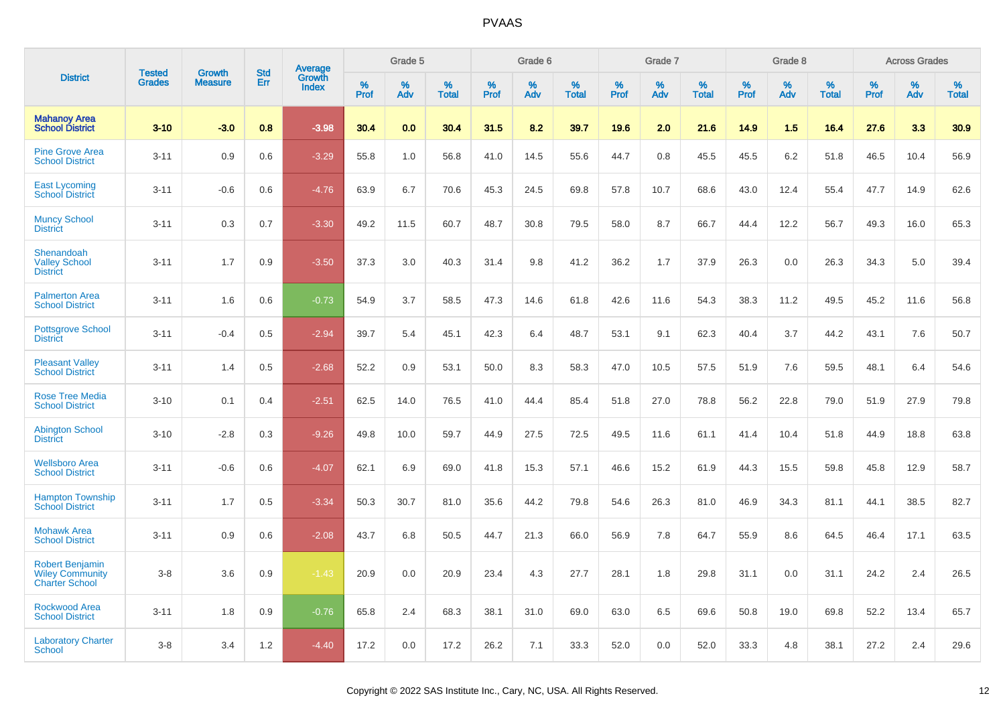|                                                                           |                                |                                 | <b>Std</b> | Average         |              | Grade 5     |                      |              | Grade 6     |                   |              | Grade 7     |                      |              | Grade 8     |                      |                     | <b>Across Grades</b> |                   |
|---------------------------------------------------------------------------|--------------------------------|---------------------------------|------------|-----------------|--------------|-------------|----------------------|--------------|-------------|-------------------|--------------|-------------|----------------------|--------------|-------------|----------------------|---------------------|----------------------|-------------------|
| <b>District</b>                                                           | <b>Tested</b><br><b>Grades</b> | <b>Growth</b><br><b>Measure</b> | Err        | Growth<br>Index | $\%$<br>Prof | $\%$<br>Adv | $\%$<br><b>Total</b> | $\%$<br>Prof | $\%$<br>Adv | %<br><b>Total</b> | $\%$<br>Prof | $\%$<br>Adv | $\%$<br><b>Total</b> | $\%$<br>Prof | $\%$<br>Adv | $\%$<br><b>Total</b> | $\%$<br><b>Prof</b> | $\%$<br>Adv          | %<br><b>Total</b> |
| <b>Mahanoy Area</b><br><b>School District</b>                             | $3-10$                         | $-3.0$                          | 0.8        | $-3.98$         | 30.4         | 0.0         | 30.4                 | 31.5         | 8.2         | 39.7              | 19.6         | 2.0         | 21.6                 | 14.9         | 1.5         | 16.4                 | 27.6                | 3.3                  | 30.9              |
| <b>Pine Grove Area</b><br><b>School District</b>                          | $3 - 11$                       | 0.9                             | 0.6        | $-3.29$         | 55.8         | 1.0         | 56.8                 | 41.0         | 14.5        | 55.6              | 44.7         | 0.8         | 45.5                 | 45.5         | 6.2         | 51.8                 | 46.5                | 10.4                 | 56.9              |
| <b>East Lycoming</b><br><b>School District</b>                            | $3 - 11$                       | $-0.6$                          | 0.6        | $-4.76$         | 63.9         | 6.7         | 70.6                 | 45.3         | 24.5        | 69.8              | 57.8         | 10.7        | 68.6                 | 43.0         | 12.4        | 55.4                 | 47.7                | 14.9                 | 62.6              |
| <b>Muncy School</b><br><b>District</b>                                    | $3 - 11$                       | 0.3                             | 0.7        | $-3.30$         | 49.2         | 11.5        | 60.7                 | 48.7         | 30.8        | 79.5              | 58.0         | 8.7         | 66.7                 | 44.4         | 12.2        | 56.7                 | 49.3                | 16.0                 | 65.3              |
| Shenandoah<br><b>Valley School</b><br><b>District</b>                     | $3 - 11$                       | 1.7                             | 0.9        | $-3.50$         | 37.3         | 3.0         | 40.3                 | 31.4         | 9.8         | 41.2              | 36.2         | 1.7         | 37.9                 | 26.3         | 0.0         | 26.3                 | 34.3                | 5.0                  | 39.4              |
| <b>Palmerton Area</b><br><b>School District</b>                           | $3 - 11$                       | 1.6                             | 0.6        | $-0.73$         | 54.9         | 3.7         | 58.5                 | 47.3         | 14.6        | 61.8              | 42.6         | 11.6        | 54.3                 | 38.3         | 11.2        | 49.5                 | 45.2                | 11.6                 | 56.8              |
| <b>Pottsgrove School</b><br><b>District</b>                               | $3 - 11$                       | $-0.4$                          | 0.5        | $-2.94$         | 39.7         | 5.4         | 45.1                 | 42.3         | 6.4         | 48.7              | 53.1         | 9.1         | 62.3                 | 40.4         | 3.7         | 44.2                 | 43.1                | 7.6                  | 50.7              |
| <b>Pleasant Valley</b><br><b>School District</b>                          | $3 - 11$                       | 1.4                             | 0.5        | $-2.68$         | 52.2         | 0.9         | 53.1                 | 50.0         | 8.3         | 58.3              | 47.0         | 10.5        | 57.5                 | 51.9         | 7.6         | 59.5                 | 48.1                | 6.4                  | 54.6              |
| <b>Rose Tree Media</b><br><b>School District</b>                          | $3 - 10$                       | 0.1                             | 0.4        | $-2.51$         | 62.5         | 14.0        | 76.5                 | 41.0         | 44.4        | 85.4              | 51.8         | 27.0        | 78.8                 | 56.2         | 22.8        | 79.0                 | 51.9                | 27.9                 | 79.8              |
| <b>Abington School</b><br><b>District</b>                                 | $3 - 10$                       | $-2.8$                          | 0.3        | $-9.26$         | 49.8         | 10.0        | 59.7                 | 44.9         | 27.5        | 72.5              | 49.5         | 11.6        | 61.1                 | 41.4         | 10.4        | 51.8                 | 44.9                | 18.8                 | 63.8              |
| <b>Wellsboro Area</b><br><b>School District</b>                           | $3 - 11$                       | $-0.6$                          | 0.6        | $-4.07$         | 62.1         | 6.9         | 69.0                 | 41.8         | 15.3        | 57.1              | 46.6         | 15.2        | 61.9                 | 44.3         | 15.5        | 59.8                 | 45.8                | 12.9                 | 58.7              |
| <b>Hampton Township</b><br><b>School District</b>                         | $3 - 11$                       | 1.7                             | 0.5        | $-3.34$         | 50.3         | 30.7        | 81.0                 | 35.6         | 44.2        | 79.8              | 54.6         | 26.3        | 81.0                 | 46.9         | 34.3        | 81.1                 | 44.1                | 38.5                 | 82.7              |
| <b>Mohawk Area</b><br><b>School District</b>                              | $3 - 11$                       | 0.9                             | 0.6        | $-2.08$         | 43.7         | 6.8         | 50.5                 | 44.7         | 21.3        | 66.0              | 56.9         | 7.8         | 64.7                 | 55.9         | 8.6         | 64.5                 | 46.4                | 17.1                 | 63.5              |
| <b>Robert Benjamin</b><br><b>Wiley Community</b><br><b>Charter School</b> | $3 - 8$                        | 3.6                             | 0.9        | $-1.43$         | 20.9         | 0.0         | 20.9                 | 23.4         | 4.3         | 27.7              | 28.1         | 1.8         | 29.8                 | 31.1         | 0.0         | 31.1                 | 24.2                | 2.4                  | 26.5              |
| <b>Rockwood Area</b><br><b>School District</b>                            | $3 - 11$                       | 1.8                             | 0.9        | $-0.76$         | 65.8         | 2.4         | 68.3                 | 38.1         | 31.0        | 69.0              | 63.0         | 6.5         | 69.6                 | 50.8         | 19.0        | 69.8                 | 52.2                | 13.4                 | 65.7              |
| <b>Laboratory Charter</b><br><b>School</b>                                | $3 - 8$                        | 3.4                             | 1.2        | $-4.40$         | 17.2         | 0.0         | 17.2                 | 26.2         | 7.1         | 33.3              | 52.0         | 0.0         | 52.0                 | 33.3         | 4.8         | 38.1                 | 27.2                | 2.4                  | 29.6              |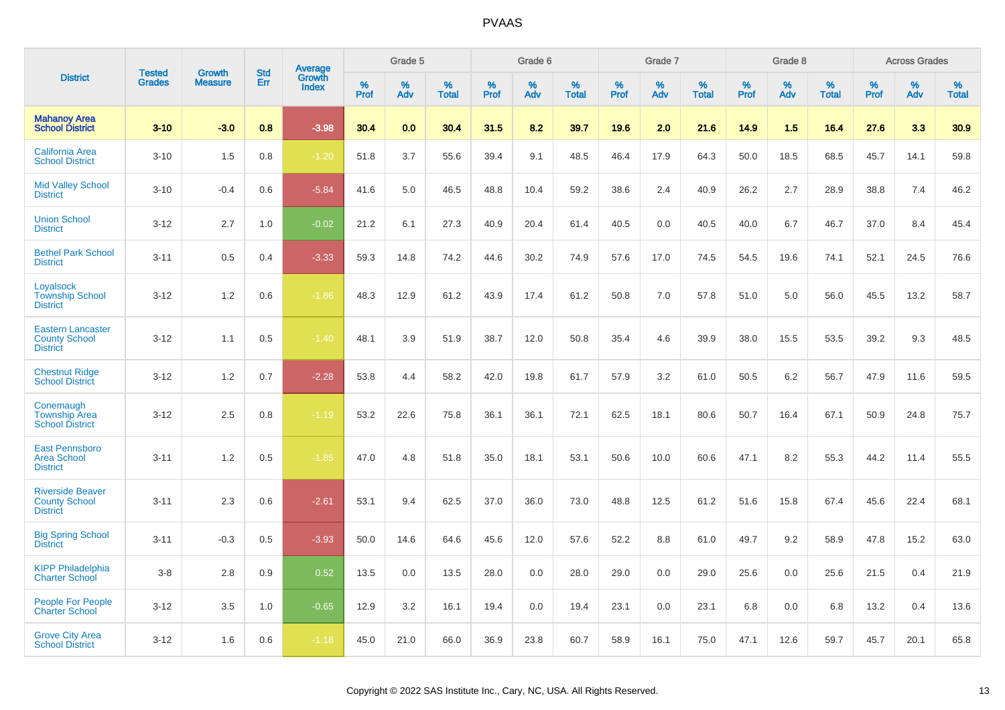|                                                                     |                                |                                 | <b>Std</b> | Average                |              | Grade 5  |                   |              | Grade 6  |                   |              | Grade 7  |                   |              | Grade 8  |                   |              | <b>Across Grades</b> |                   |
|---------------------------------------------------------------------|--------------------------------|---------------------------------|------------|------------------------|--------------|----------|-------------------|--------------|----------|-------------------|--------------|----------|-------------------|--------------|----------|-------------------|--------------|----------------------|-------------------|
| <b>District</b>                                                     | <b>Tested</b><br><b>Grades</b> | <b>Growth</b><br><b>Measure</b> | Err        | Growth<br><b>Index</b> | $\%$<br>Prof | %<br>Adv | %<br><b>Total</b> | $\%$<br>Prof | %<br>Adv | %<br><b>Total</b> | $\%$<br>Prof | %<br>Adv | %<br><b>Total</b> | $\%$<br>Prof | %<br>Adv | %<br><b>Total</b> | $\%$<br>Prof | $\%$<br>Adv          | %<br><b>Total</b> |
| <b>Mahanoy Area</b><br><b>School District</b>                       | $3 - 10$                       | $-3.0$                          | 0.8        | $-3.98$                | 30.4         | 0.0      | 30.4              | 31.5         | 8.2      | 39.7              | 19.6         | 2.0      | 21.6              | 14.9         | 1.5      | 16.4              | 27.6         | 3.3                  | 30.9              |
| California Area<br><b>School District</b>                           | $3 - 10$                       | 1.5                             | 0.8        | $-1.20$                | 51.8         | 3.7      | 55.6              | 39.4         | 9.1      | 48.5              | 46.4         | 17.9     | 64.3              | 50.0         | 18.5     | 68.5              | 45.7         | 14.1                 | 59.8              |
| <b>Mid Valley School</b><br><b>District</b>                         | $3 - 10$                       | $-0.4$                          | 0.6        | $-5.84$                | 41.6         | 5.0      | 46.5              | 48.8         | 10.4     | 59.2              | 38.6         | 2.4      | 40.9              | 26.2         | 2.7      | 28.9              | 38.8         | 7.4                  | 46.2              |
| <b>Union School</b><br><b>District</b>                              | $3 - 12$                       | 2.7                             | 1.0        | $-0.02$                | 21.2         | 6.1      | 27.3              | 40.9         | 20.4     | 61.4              | 40.5         | 0.0      | 40.5              | 40.0         | 6.7      | 46.7              | 37.0         | 8.4                  | 45.4              |
| <b>Bethel Park School</b><br><b>District</b>                        | $3 - 11$                       | 0.5                             | 0.4        | $-3.33$                | 59.3         | 14.8     | 74.2              | 44.6         | 30.2     | 74.9              | 57.6         | 17.0     | 74.5              | 54.5         | 19.6     | 74.1              | 52.1         | 24.5                 | 76.6              |
| Loyalsock<br><b>Township School</b><br><b>District</b>              | $3 - 12$                       | 1.2                             | 0.6        | $-1.86$                | 48.3         | 12.9     | 61.2              | 43.9         | 17.4     | 61.2              | 50.8         | 7.0      | 57.8              | 51.0         | 5.0      | 56.0              | 45.5         | 13.2                 | 58.7              |
| <b>Eastern Lancaster</b><br><b>County School</b><br><b>District</b> | $3 - 12$                       | 1.1                             | 0.5        | $-1.40$                | 48.1         | 3.9      | 51.9              | 38.7         | 12.0     | 50.8              | 35.4         | 4.6      | 39.9              | 38.0         | 15.5     | 53.5              | 39.2         | 9.3                  | 48.5              |
| <b>Chestnut Ridge</b><br><b>School District</b>                     | $3 - 12$                       | 1.2                             | 0.7        | $-2.28$                | 53.8         | 4.4      | 58.2              | 42.0         | 19.8     | 61.7              | 57.9         | 3.2      | 61.0              | 50.5         | 6.2      | 56.7              | 47.9         | 11.6                 | 59.5              |
| Conemaugh<br><b>Township Area</b><br><b>School District</b>         | $3 - 12$                       | 2.5                             | 0.8        | $-1.19$                | 53.2         | 22.6     | 75.8              | 36.1         | 36.1     | 72.1              | 62.5         | 18.1     | 80.6              | 50.7         | 16.4     | 67.1              | 50.9         | 24.8                 | 75.7              |
| East Pennsboro<br><b>Area School</b><br><b>District</b>             | $3 - 11$                       | 1.2                             | 0.5        | $-1.85$                | 47.0         | 4.8      | 51.8              | 35.0         | 18.1     | 53.1              | 50.6         | 10.0     | 60.6              | 47.1         | 8.2      | 55.3              | 44.2         | 11.4                 | 55.5              |
| <b>Riverside Beaver</b><br><b>County School</b><br><b>District</b>  | $3 - 11$                       | 2.3                             | 0.6        | $-2.61$                | 53.1         | 9.4      | 62.5              | 37.0         | 36.0     | 73.0              | 48.8         | 12.5     | 61.2              | 51.6         | 15.8     | 67.4              | 45.6         | 22.4                 | 68.1              |
| <b>Big Spring School</b><br><b>District</b>                         | $3 - 11$                       | $-0.3$                          | 0.5        | $-3.93$                | 50.0         | 14.6     | 64.6              | 45.6         | 12.0     | 57.6              | 52.2         | 8.8      | 61.0              | 49.7         | 9.2      | 58.9              | 47.8         | 15.2                 | 63.0              |
| <b>KIPP Philadelphia</b><br><b>Charter School</b>                   | $3-8$                          | 2.8                             | 0.9        | 0.52                   | 13.5         | 0.0      | 13.5              | 28.0         | 0.0      | 28.0              | 29.0         | 0.0      | 29.0              | 25.6         | 0.0      | 25.6              | 21.5         | 0.4                  | 21.9              |
| <b>People For People</b><br><b>Charter School</b>                   | $3 - 12$                       | 3.5                             | 1.0        | $-0.65$                | 12.9         | 3.2      | 16.1              | 19.4         | 0.0      | 19.4              | 23.1         | 0.0      | 23.1              | 6.8          | 0.0      | 6.8               | 13.2         | 0.4                  | 13.6              |
| <b>Grove City Area</b><br><b>School District</b>                    | $3 - 12$                       | 1.6                             | 0.6        | $-1.18$                | 45.0         | 21.0     | 66.0              | 36.9         | 23.8     | 60.7              | 58.9         | 16.1     | 75.0              | 47.1         | 12.6     | 59.7              | 45.7         | 20.1                 | 65.8              |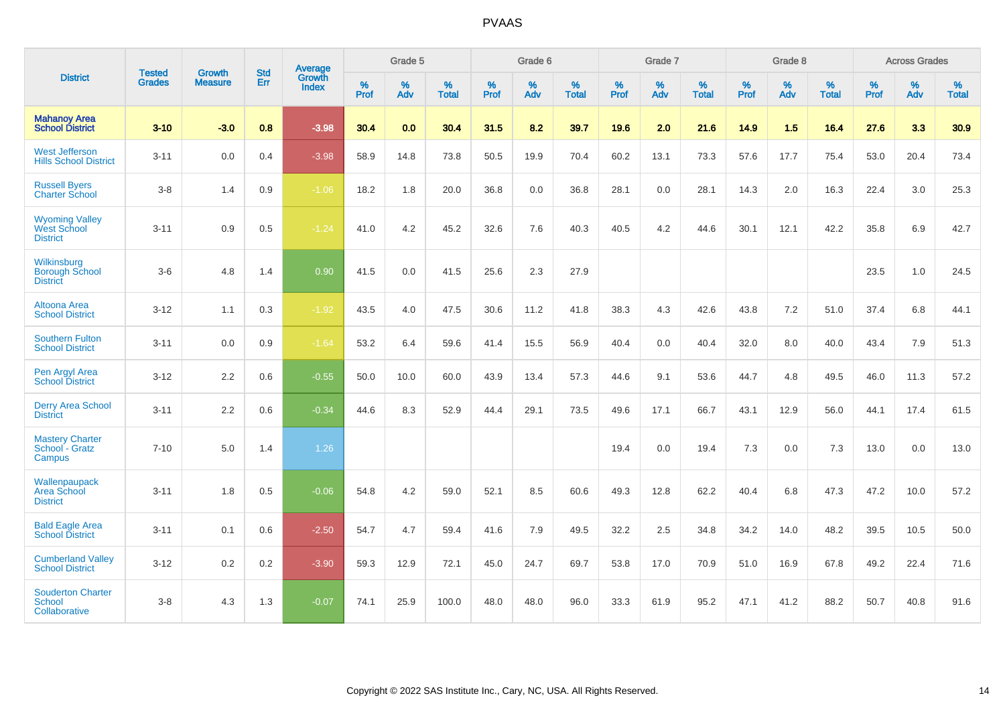|                                                         | <b>Tested</b> | <b>Growth</b>  | <b>Std</b> | Average                |           | Grade 5  |                   |           | Grade 6  |                   |           | Grade 7  |                   |           | Grade 8  |                   |           | <b>Across Grades</b> |                   |
|---------------------------------------------------------|---------------|----------------|------------|------------------------|-----------|----------|-------------------|-----------|----------|-------------------|-----------|----------|-------------------|-----------|----------|-------------------|-----------|----------------------|-------------------|
| <b>District</b>                                         | <b>Grades</b> | <b>Measure</b> | <b>Err</b> | Growth<br><b>Index</b> | %<br>Prof | %<br>Adv | %<br><b>Total</b> | %<br>Prof | %<br>Adv | %<br><b>Total</b> | %<br>Prof | %<br>Adv | %<br><b>Total</b> | %<br>Prof | %<br>Adv | %<br><b>Total</b> | %<br>Prof | %<br>Adv             | %<br><b>Total</b> |
| <b>Mahanoy Area</b><br><b>School District</b>           | $3 - 10$      | $-3.0$         | 0.8        | $-3.98$                | 30.4      | 0.0      | 30.4              | 31.5      | 8.2      | 39.7              | 19.6      | 2.0      | 21.6              | 14.9      | 1.5      | 16.4              | 27.6      | 3.3                  | 30.9              |
| <b>West Jefferson</b><br><b>Hills School District</b>   | $3 - 11$      | 0.0            | 0.4        | $-3.98$                | 58.9      | 14.8     | 73.8              | 50.5      | 19.9     | 70.4              | 60.2      | 13.1     | 73.3              | 57.6      | 17.7     | 75.4              | 53.0      | 20.4                 | 73.4              |
| <b>Russell Byers</b><br><b>Charter School</b>           | $3 - 8$       | 1.4            | 0.9        | $-1.06$                | 18.2      | 1.8      | 20.0              | 36.8      | 0.0      | 36.8              | 28.1      | 0.0      | 28.1              | 14.3      | 2.0      | 16.3              | 22.4      | 3.0                  | 25.3              |
| <b>Wyoming Valley</b><br>West School<br><b>District</b> | $3 - 11$      | 0.9            | 0.5        | $-1.24$                | 41.0      | 4.2      | 45.2              | 32.6      | 7.6      | 40.3              | 40.5      | 4.2      | 44.6              | 30.1      | 12.1     | 42.2              | 35.8      | 6.9                  | 42.7              |
| Wilkinsburg<br><b>Borough School</b><br><b>District</b> | $3-6$         | 4.8            | 1.4        | 0.90                   | 41.5      | 0.0      | 41.5              | 25.6      | 2.3      | 27.9              |           |          |                   |           |          |                   | 23.5      | 1.0                  | 24.5              |
| <b>Altoona Area</b><br><b>School District</b>           | $3 - 12$      | 1.1            | 0.3        | $-1.92$                | 43.5      | 4.0      | 47.5              | 30.6      | 11.2     | 41.8              | 38.3      | 4.3      | 42.6              | 43.8      | 7.2      | 51.0              | 37.4      | 6.8                  | 44.1              |
| <b>Southern Fulton</b><br><b>School District</b>        | $3 - 11$      | 0.0            | 0.9        | $-1.64$                | 53.2      | 6.4      | 59.6              | 41.4      | 15.5     | 56.9              | 40.4      | 0.0      | 40.4              | 32.0      | 8.0      | 40.0              | 43.4      | 7.9                  | 51.3              |
| Pen Argyl Area<br><b>School District</b>                | $3 - 12$      | 2.2            | 0.6        | $-0.55$                | 50.0      | 10.0     | 60.0              | 43.9      | 13.4     | 57.3              | 44.6      | 9.1      | 53.6              | 44.7      | 4.8      | 49.5              | 46.0      | 11.3                 | 57.2              |
| <b>Derry Area School</b><br><b>District</b>             | $3 - 11$      | 2.2            | 0.6        | $-0.34$                | 44.6      | 8.3      | 52.9              | 44.4      | 29.1     | 73.5              | 49.6      | 17.1     | 66.7              | 43.1      | 12.9     | 56.0              | 44.1      | 17.4                 | 61.5              |
| <b>Mastery Charter</b><br>School - Gratz<br>Campus      | $7 - 10$      | 5.0            | 1.4        | 1.26                   |           |          |                   |           |          |                   | 19.4      | 0.0      | 19.4              | 7.3       | 0.0      | 7.3               | 13.0      | 0.0                  | 13.0              |
| Wallenpaupack<br>Area School<br><b>District</b>         | $3 - 11$      | 1.8            | 0.5        | $-0.06$                | 54.8      | 4.2      | 59.0              | 52.1      | 8.5      | 60.6              | 49.3      | 12.8     | 62.2              | 40.4      | 6.8      | 47.3              | 47.2      | 10.0                 | 57.2              |
| <b>Bald Eagle Area</b><br><b>School District</b>        | $3 - 11$      | 0.1            | 0.6        | $-2.50$                | 54.7      | 4.7      | 59.4              | 41.6      | 7.9      | 49.5              | 32.2      | 2.5      | 34.8              | 34.2      | 14.0     | 48.2              | 39.5      | 10.5                 | 50.0              |
| <b>Cumberland Valley</b><br><b>School District</b>      | $3 - 12$      | $0.2\,$        | 0.2        | $-3.90$                | 59.3      | 12.9     | 72.1              | 45.0      | 24.7     | 69.7              | 53.8      | 17.0     | 70.9              | 51.0      | 16.9     | 67.8              | 49.2      | 22.4                 | 71.6              |
| <b>Souderton Charter</b><br>School<br>Collaborative     | $3 - 8$       | 4.3            | 1.3        | $-0.07$                | 74.1      | 25.9     | 100.0             | 48.0      | 48.0     | 96.0              | 33.3      | 61.9     | 95.2              | 47.1      | 41.2     | 88.2              | 50.7      | 40.8                 | 91.6              |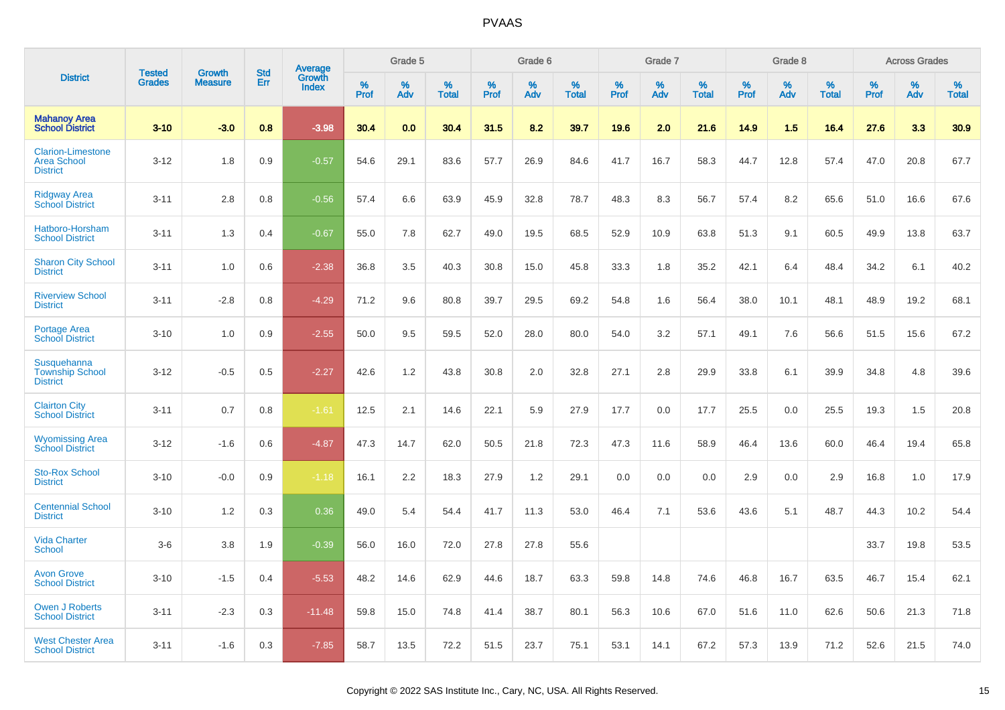|                                                                   | <b>Tested</b> | <b>Growth</b>  | <b>Std</b> | Average                |              | Grade 5  |                   |              | Grade 6  |                   |              | Grade 7  |                   |              | Grade 8  |                   |              | <b>Across Grades</b> |                   |
|-------------------------------------------------------------------|---------------|----------------|------------|------------------------|--------------|----------|-------------------|--------------|----------|-------------------|--------------|----------|-------------------|--------------|----------|-------------------|--------------|----------------------|-------------------|
| <b>District</b>                                                   | <b>Grades</b> | <b>Measure</b> | Err        | Growth<br><b>Index</b> | $\%$<br>Prof | %<br>Adv | %<br><b>Total</b> | $\%$<br>Prof | %<br>Adv | %<br><b>Total</b> | $\%$<br>Prof | %<br>Adv | %<br><b>Total</b> | $\%$<br>Prof | %<br>Adv | %<br><b>Total</b> | $\%$<br>Prof | %<br>Adv             | %<br><b>Total</b> |
| <b>Mahanoy Area</b><br><b>School District</b>                     | $3 - 10$      | $-3.0$         | 0.8        | $-3.98$                | 30.4         | 0.0      | 30.4              | 31.5         | 8.2      | 39.7              | 19.6         | 2.0      | 21.6              | 14.9         | 1.5      | 16.4              | 27.6         | 3.3                  | 30.9              |
| <b>Clarion-Limestone</b><br><b>Area School</b><br><b>District</b> | $3 - 12$      | 1.8            | 0.9        | $-0.57$                | 54.6         | 29.1     | 83.6              | 57.7         | 26.9     | 84.6              | 41.7         | 16.7     | 58.3              | 44.7         | 12.8     | 57.4              | 47.0         | 20.8                 | 67.7              |
| <b>Ridgway Area</b><br><b>School District</b>                     | $3 - 11$      | 2.8            | 0.8        | $-0.56$                | 57.4         | 6.6      | 63.9              | 45.9         | 32.8     | 78.7              | 48.3         | 8.3      | 56.7              | 57.4         | 8.2      | 65.6              | 51.0         | 16.6                 | 67.6              |
| Hatboro-Horsham<br><b>School District</b>                         | $3 - 11$      | 1.3            | 0.4        | $-0.67$                | 55.0         | 7.8      | 62.7              | 49.0         | 19.5     | 68.5              | 52.9         | 10.9     | 63.8              | 51.3         | 9.1      | 60.5              | 49.9         | 13.8                 | 63.7              |
| <b>Sharon City School</b><br><b>District</b>                      | $3 - 11$      | 1.0            | 0.6        | $-2.38$                | 36.8         | 3.5      | 40.3              | 30.8         | 15.0     | 45.8              | 33.3         | 1.8      | 35.2              | 42.1         | 6.4      | 48.4              | 34.2         | 6.1                  | 40.2              |
| <b>Riverview School</b><br><b>District</b>                        | $3 - 11$      | $-2.8$         | 0.8        | $-4.29$                | 71.2         | 9.6      | 80.8              | 39.7         | 29.5     | 69.2              | 54.8         | 1.6      | 56.4              | 38.0         | 10.1     | 48.1              | 48.9         | 19.2                 | 68.1              |
| <b>Portage Area</b><br><b>School District</b>                     | $3 - 10$      | 1.0            | 0.9        | $-2.55$                | 50.0         | 9.5      | 59.5              | 52.0         | 28.0     | 80.0              | 54.0         | 3.2      | 57.1              | 49.1         | 7.6      | 56.6              | 51.5         | 15.6                 | 67.2              |
| Susquehanna<br><b>Township School</b><br><b>District</b>          | $3 - 12$      | $-0.5$         | 0.5        | $-2.27$                | 42.6         | 1.2      | 43.8              | 30.8         | 2.0      | 32.8              | 27.1         | 2.8      | 29.9              | 33.8         | 6.1      | 39.9              | 34.8         | 4.8                  | 39.6              |
| <b>Clairton City</b><br><b>School District</b>                    | $3 - 11$      | 0.7            | 0.8        | $-1.61$                | 12.5         | 2.1      | 14.6              | 22.1         | 5.9      | 27.9              | 17.7         | 0.0      | 17.7              | 25.5         | 0.0      | 25.5              | 19.3         | 1.5                  | 20.8              |
| <b>Wyomissing Area</b><br><b>School District</b>                  | $3 - 12$      | $-1.6$         | 0.6        | $-4.87$                | 47.3         | 14.7     | 62.0              | 50.5         | 21.8     | 72.3              | 47.3         | 11.6     | 58.9              | 46.4         | 13.6     | 60.0              | 46.4         | 19.4                 | 65.8              |
| <b>Sto-Rox School</b><br><b>District</b>                          | $3 - 10$      | $-0.0$         | 0.9        | $-1.18$                | 16.1         | 2.2      | 18.3              | 27.9         | 1.2      | 29.1              | 0.0          | 0.0      | 0.0               | 2.9          | 0.0      | 2.9               | 16.8         | 1.0                  | 17.9              |
| <b>Centennial School</b><br><b>District</b>                       | $3 - 10$      | 1.2            | 0.3        | 0.36                   | 49.0         | 5.4      | 54.4              | 41.7         | 11.3     | 53.0              | 46.4         | 7.1      | 53.6              | 43.6         | 5.1      | 48.7              | 44.3         | 10.2                 | 54.4              |
| <b>Vida Charter</b><br><b>School</b>                              | $3-6$         | 3.8            | 1.9        | $-0.39$                | 56.0         | 16.0     | 72.0              | 27.8         | 27.8     | 55.6              |              |          |                   |              |          |                   | 33.7         | 19.8                 | 53.5              |
| <b>Avon Grove</b><br><b>School District</b>                       | $3 - 10$      | $-1.5$         | 0.4        | $-5.53$                | 48.2         | 14.6     | 62.9              | 44.6         | 18.7     | 63.3              | 59.8         | 14.8     | 74.6              | 46.8         | 16.7     | 63.5              | 46.7         | 15.4                 | 62.1              |
| <b>Owen J Roberts</b><br><b>School District</b>                   | $3 - 11$      | $-2.3$         | 0.3        | $-11.48$               | 59.8         | 15.0     | 74.8              | 41.4         | 38.7     | 80.1              | 56.3         | 10.6     | 67.0              | 51.6         | 11.0     | 62.6              | 50.6         | 21.3                 | 71.8              |
| <b>West Chester Area</b><br><b>School District</b>                | $3 - 11$      | $-1.6$         | 0.3        | $-7.85$                | 58.7         | 13.5     | 72.2              | 51.5         | 23.7     | 75.1              | 53.1         | 14.1     | 67.2              | 57.3         | 13.9     | 71.2              | 52.6         | 21.5                 | 74.0              |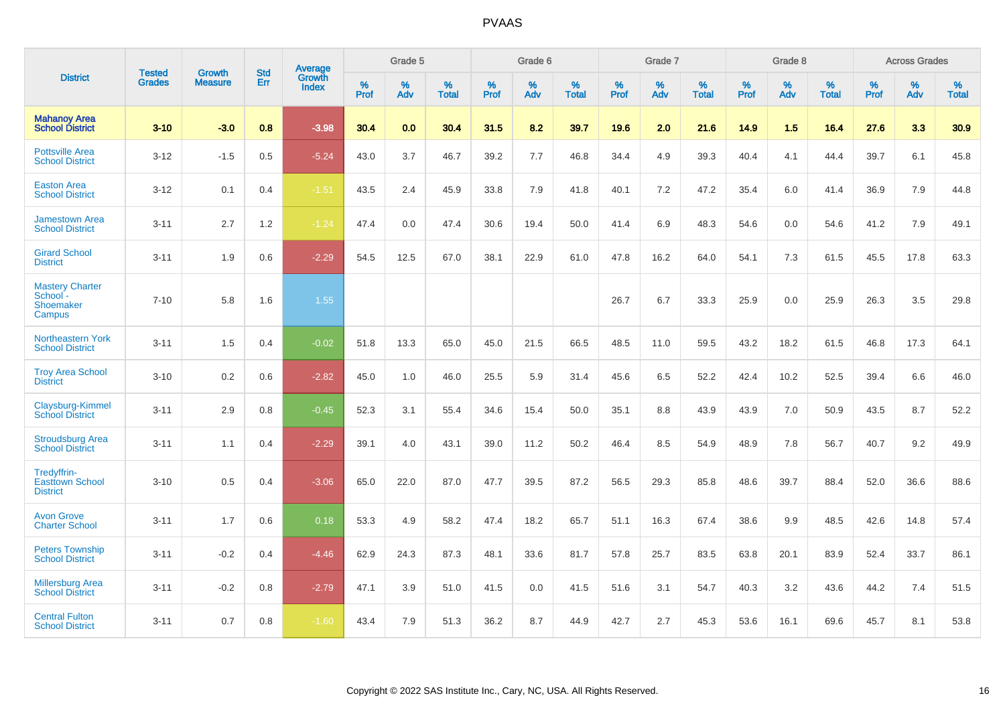|                                                           | <b>Tested</b> | <b>Growth</b>  | <b>Std</b> | <b>Average</b>         |           | Grade 5  |                   |           | Grade 6  |                   |           | Grade 7  |                   |           | Grade 8  |                   |           | <b>Across Grades</b> |                   |
|-----------------------------------------------------------|---------------|----------------|------------|------------------------|-----------|----------|-------------------|-----------|----------|-------------------|-----------|----------|-------------------|-----------|----------|-------------------|-----------|----------------------|-------------------|
| <b>District</b>                                           | <b>Grades</b> | <b>Measure</b> | Err        | Growth<br><b>Index</b> | %<br>Prof | %<br>Adv | %<br><b>Total</b> | %<br>Prof | %<br>Adv | %<br><b>Total</b> | %<br>Prof | %<br>Adv | %<br><b>Total</b> | %<br>Prof | %<br>Adv | %<br><b>Total</b> | %<br>Prof | %<br>Adv             | %<br><b>Total</b> |
| <b>Mahanoy Area</b><br><b>School District</b>             | $3 - 10$      | $-3.0$         | 0.8        | $-3.98$                | 30.4      | 0.0      | 30.4              | 31.5      | 8.2      | 39.7              | 19.6      | 2.0      | 21.6              | 14.9      | 1.5      | 16.4              | 27.6      | 3.3                  | 30.9              |
| <b>Pottsville Area</b><br><b>School District</b>          | $3 - 12$      | $-1.5$         | 0.5        | $-5.24$                | 43.0      | 3.7      | 46.7              | 39.2      | 7.7      | 46.8              | 34.4      | 4.9      | 39.3              | 40.4      | 4.1      | 44.4              | 39.7      | 6.1                  | 45.8              |
| <b>Easton Area</b><br><b>School District</b>              | $3 - 12$      | 0.1            | 0.4        | $-1.51$                | 43.5      | 2.4      | 45.9              | 33.8      | 7.9      | 41.8              | 40.1      | 7.2      | 47.2              | 35.4      | 6.0      | 41.4              | 36.9      | 7.9                  | 44.8              |
| <b>Jamestown Area</b><br><b>School District</b>           | $3 - 11$      | 2.7            | 1.2        | $-1.24$                | 47.4      | 0.0      | 47.4              | 30.6      | 19.4     | 50.0              | 41.4      | 6.9      | 48.3              | 54.6      | 0.0      | 54.6              | 41.2      | 7.9                  | 49.1              |
| <b>Girard School</b><br><b>District</b>                   | $3 - 11$      | 1.9            | 0.6        | $-2.29$                | 54.5      | 12.5     | 67.0              | 38.1      | 22.9     | 61.0              | 47.8      | 16.2     | 64.0              | 54.1      | 7.3      | 61.5              | 45.5      | 17.8                 | 63.3              |
| <b>Mastery Charter</b><br>School -<br>Shoemaker<br>Campus | $7 - 10$      | 5.8            | 1.6        | 1.55                   |           |          |                   |           |          |                   | 26.7      | 6.7      | 33.3              | 25.9      | 0.0      | 25.9              | 26.3      | 3.5                  | 29.8              |
| <b>Northeastern York</b><br><b>School District</b>        | $3 - 11$      | 1.5            | 0.4        | $-0.02$                | 51.8      | 13.3     | 65.0              | 45.0      | 21.5     | 66.5              | 48.5      | 11.0     | 59.5              | 43.2      | 18.2     | 61.5              | 46.8      | 17.3                 | 64.1              |
| <b>Troy Area School</b><br><b>District</b>                | $3 - 10$      | 0.2            | 0.6        | $-2.82$                | 45.0      | 1.0      | 46.0              | 25.5      | 5.9      | 31.4              | 45.6      | 6.5      | 52.2              | 42.4      | 10.2     | 52.5              | 39.4      | 6.6                  | 46.0              |
| Claysburg-Kimmel<br><b>School District</b>                | $3 - 11$      | 2.9            | 0.8        | $-0.45$                | 52.3      | 3.1      | 55.4              | 34.6      | 15.4     | 50.0              | 35.1      | 8.8      | 43.9              | 43.9      | 7.0      | 50.9              | 43.5      | 8.7                  | 52.2              |
| <b>Stroudsburg Area</b><br><b>School District</b>         | $3 - 11$      | 1.1            | 0.4        | $-2.29$                | 39.1      | 4.0      | 43.1              | 39.0      | 11.2     | 50.2              | 46.4      | 8.5      | 54.9              | 48.9      | 7.8      | 56.7              | 40.7      | 9.2                  | 49.9              |
| Tredyffrin-<br><b>Easttown School</b><br><b>District</b>  | $3 - 10$      | 0.5            | 0.4        | $-3.06$                | 65.0      | 22.0     | 87.0              | 47.7      | 39.5     | 87.2              | 56.5      | 29.3     | 85.8              | 48.6      | 39.7     | 88.4              | 52.0      | 36.6                 | 88.6              |
| <b>Avon Grove</b><br><b>Charter School</b>                | $3 - 11$      | 1.7            | 0.6        | 0.18                   | 53.3      | 4.9      | 58.2              | 47.4      | 18.2     | 65.7              | 51.1      | 16.3     | 67.4              | 38.6      | 9.9      | 48.5              | 42.6      | 14.8                 | 57.4              |
| <b>Peters Township</b><br><b>School District</b>          | $3 - 11$      | $-0.2$         | 0.4        | $-4.46$                | 62.9      | 24.3     | 87.3              | 48.1      | 33.6     | 81.7              | 57.8      | 25.7     | 83.5              | 63.8      | 20.1     | 83.9              | 52.4      | 33.7                 | 86.1              |
| <b>Millersburg Area</b><br><b>School District</b>         | $3 - 11$      | $-0.2$         | 0.8        | $-2.79$                | 47.1      | 3.9      | 51.0              | 41.5      | 0.0      | 41.5              | 51.6      | 3.1      | 54.7              | 40.3      | 3.2      | 43.6              | 44.2      | 7.4                  | 51.5              |
| <b>Central Fulton</b><br><b>School District</b>           | $3 - 11$      | 0.7            | 0.8        | $-1.60$                | 43.4      | 7.9      | 51.3              | 36.2      | 8.7      | 44.9              | 42.7      | 2.7      | 45.3              | 53.6      | 16.1     | 69.6              | 45.7      | 8.1                  | 53.8              |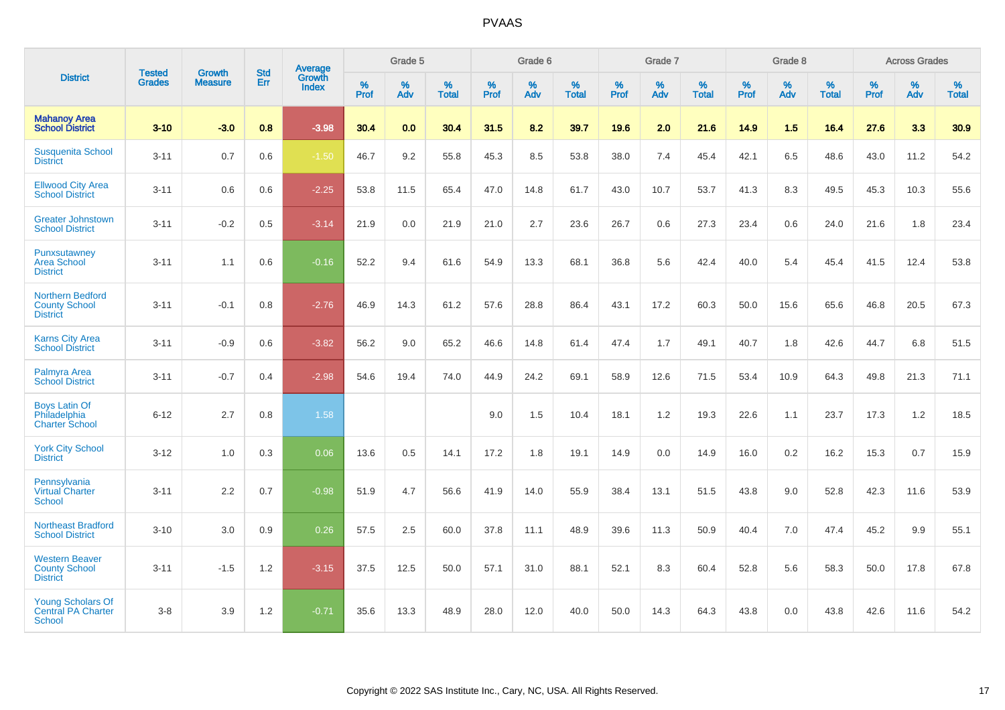|                                                                        |                                |                          | <b>Std</b> | <b>Average</b>         |           | Grade 5  |                   |           | Grade 6  |                   |           | Grade 7  |                   |           | Grade 8  |                   |           | <b>Across Grades</b> |                   |
|------------------------------------------------------------------------|--------------------------------|--------------------------|------------|------------------------|-----------|----------|-------------------|-----------|----------|-------------------|-----------|----------|-------------------|-----------|----------|-------------------|-----------|----------------------|-------------------|
| <b>District</b>                                                        | <b>Tested</b><br><b>Grades</b> | Growth<br><b>Measure</b> | Err        | Growth<br><b>Index</b> | %<br>Prof | %<br>Adv | %<br><b>Total</b> | %<br>Prof | %<br>Adv | %<br><b>Total</b> | %<br>Prof | %<br>Adv | %<br><b>Total</b> | %<br>Prof | %<br>Adv | %<br><b>Total</b> | %<br>Prof | %<br>Adv             | %<br><b>Total</b> |
| <b>Mahanoy Area</b><br><b>School District</b>                          | $3 - 10$                       | $-3.0$                   | 0.8        | $-3.98$                | 30.4      | 0.0      | 30.4              | 31.5      | 8.2      | 39.7              | 19.6      | 2.0      | 21.6              | 14.9      | 1.5      | 16.4              | 27.6      | 3.3                  | 30.9              |
| <b>Susquenita School</b><br><b>District</b>                            | $3 - 11$                       | 0.7                      | 0.6        | $-1.50$                | 46.7      | 9.2      | 55.8              | 45.3      | 8.5      | 53.8              | 38.0      | 7.4      | 45.4              | 42.1      | 6.5      | 48.6              | 43.0      | 11.2                 | 54.2              |
| <b>Ellwood City Area</b><br><b>School District</b>                     | $3 - 11$                       | 0.6                      | 0.6        | $-2.25$                | 53.8      | 11.5     | 65.4              | 47.0      | 14.8     | 61.7              | 43.0      | 10.7     | 53.7              | 41.3      | 8.3      | 49.5              | 45.3      | 10.3                 | 55.6              |
| <b>Greater Johnstown</b><br><b>School District</b>                     | $3 - 11$                       | $-0.2$                   | 0.5        | $-3.14$                | 21.9      | 0.0      | 21.9              | 21.0      | 2.7      | 23.6              | 26.7      | 0.6      | 27.3              | 23.4      | 0.6      | 24.0              | 21.6      | 1.8                  | 23.4              |
| Punxsutawney<br><b>Area School</b><br><b>District</b>                  | $3 - 11$                       | 1.1                      | 0.6        | $-0.16$                | 52.2      | 9.4      | 61.6              | 54.9      | 13.3     | 68.1              | 36.8      | 5.6      | 42.4              | 40.0      | 5.4      | 45.4              | 41.5      | 12.4                 | 53.8              |
| <b>Northern Bedford</b><br><b>County School</b><br><b>District</b>     | $3 - 11$                       | $-0.1$                   | 0.8        | $-2.76$                | 46.9      | 14.3     | 61.2              | 57.6      | 28.8     | 86.4              | 43.1      | 17.2     | 60.3              | 50.0      | 15.6     | 65.6              | 46.8      | 20.5                 | 67.3              |
| <b>Karns City Area</b><br><b>School District</b>                       | $3 - 11$                       | $-0.9$                   | 0.6        | $-3.82$                | 56.2      | 9.0      | 65.2              | 46.6      | 14.8     | 61.4              | 47.4      | 1.7      | 49.1              | 40.7      | 1.8      | 42.6              | 44.7      | 6.8                  | 51.5              |
| Palmyra Area<br><b>School District</b>                                 | $3 - 11$                       | $-0.7$                   | 0.4        | $-2.98$                | 54.6      | 19.4     | 74.0              | 44.9      | 24.2     | 69.1              | 58.9      | 12.6     | 71.5              | 53.4      | 10.9     | 64.3              | 49.8      | 21.3                 | 71.1              |
| <b>Boys Latin Of</b><br>Philadelphia<br><b>Charter School</b>          | $6 - 12$                       | 2.7                      | 0.8        | 1.58                   |           |          |                   | 9.0       | 1.5      | 10.4              | 18.1      | 1.2      | 19.3              | 22.6      | 1.1      | 23.7              | 17.3      | 1.2                  | 18.5              |
| <b>York City School</b><br><b>District</b>                             | $3 - 12$                       | 1.0                      | 0.3        | 0.06                   | 13.6      | 0.5      | 14.1              | 17.2      | 1.8      | 19.1              | 14.9      | 0.0      | 14.9              | 16.0      | 0.2      | 16.2              | 15.3      | 0.7                  | 15.9              |
| Pennsylvania<br>Virtual Charter<br><b>School</b>                       | $3 - 11$                       | 2.2                      | 0.7        | $-0.98$                | 51.9      | 4.7      | 56.6              | 41.9      | 14.0     | 55.9              | 38.4      | 13.1     | 51.5              | 43.8      | 9.0      | 52.8              | 42.3      | 11.6                 | 53.9              |
| <b>Northeast Bradford</b><br><b>School District</b>                    | $3 - 10$                       | 3.0                      | 0.9        | 0.26                   | 57.5      | 2.5      | 60.0              | 37.8      | 11.1     | 48.9              | 39.6      | 11.3     | 50.9              | 40.4      | 7.0      | 47.4              | 45.2      | 9.9                  | 55.1              |
| <b>Western Beaver</b><br><b>County School</b><br><b>District</b>       | $3 - 11$                       | $-1.5$                   | 1.2        | $-3.15$                | 37.5      | 12.5     | 50.0              | 57.1      | 31.0     | 88.1              | 52.1      | 8.3      | 60.4              | 52.8      | 5.6      | 58.3              | 50.0      | 17.8                 | 67.8              |
| <b>Young Scholars Of</b><br><b>Central PA Charter</b><br><b>School</b> | $3 - 8$                        | 3.9                      | 1.2        | $-0.71$                | 35.6      | 13.3     | 48.9              | 28.0      | 12.0     | 40.0              | 50.0      | 14.3     | 64.3              | 43.8      | 0.0      | 43.8              | 42.6      | 11.6                 | 54.2              |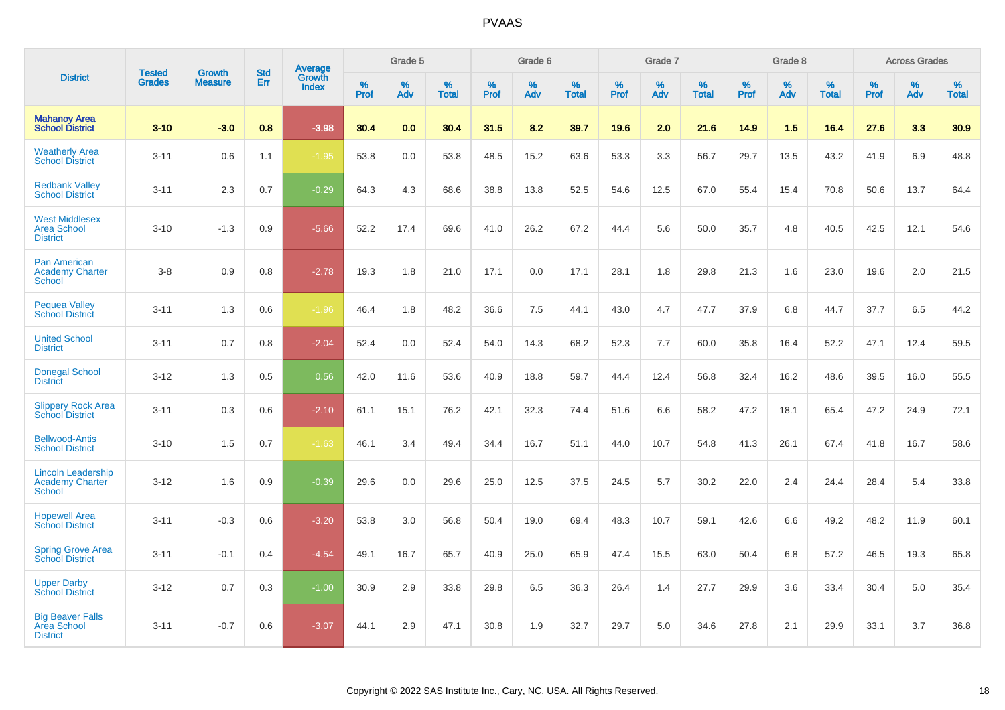|                                                                |                                |                                 | <b>Std</b> | <b>Average</b>         |           | Grade 5  |                   |           | Grade 6  |                   |           | Grade 7  |                   |           | Grade 8  |                   |           | <b>Across Grades</b> |                   |
|----------------------------------------------------------------|--------------------------------|---------------------------------|------------|------------------------|-----------|----------|-------------------|-----------|----------|-------------------|-----------|----------|-------------------|-----------|----------|-------------------|-----------|----------------------|-------------------|
| <b>District</b>                                                | <b>Tested</b><br><b>Grades</b> | <b>Growth</b><br><b>Measure</b> | Err        | Growth<br><b>Index</b> | %<br>Prof | %<br>Adv | %<br><b>Total</b> | %<br>Prof | %<br>Adv | %<br><b>Total</b> | %<br>Prof | %<br>Adv | %<br><b>Total</b> | %<br>Prof | %<br>Adv | %<br><b>Total</b> | %<br>Prof | %<br>Adv             | %<br><b>Total</b> |
| <b>Mahanoy Area</b><br><b>School District</b>                  | $3 - 10$                       | $-3.0$                          | 0.8        | $-3.98$                | 30.4      | 0.0      | 30.4              | 31.5      | 8.2      | 39.7              | 19.6      | 2.0      | 21.6              | 14.9      | 1.5      | 16.4              | 27.6      | 3.3                  | 30.9              |
| <b>Weatherly Area</b><br><b>School District</b>                | $3 - 11$                       | 0.6                             | 1.1        | $-1.95$                | 53.8      | 0.0      | 53.8              | 48.5      | 15.2     | 63.6              | 53.3      | 3.3      | 56.7              | 29.7      | 13.5     | 43.2              | 41.9      | 6.9                  | 48.8              |
| <b>Redbank Valley</b><br><b>School District</b>                | $3 - 11$                       | 2.3                             | 0.7        | $-0.29$                | 64.3      | 4.3      | 68.6              | 38.8      | 13.8     | 52.5              | 54.6      | 12.5     | 67.0              | 55.4      | 15.4     | 70.8              | 50.6      | 13.7                 | 64.4              |
| <b>West Middlesex</b><br><b>Area School</b><br><b>District</b> | $3 - 10$                       | $-1.3$                          | 0.9        | $-5.66$                | 52.2      | 17.4     | 69.6              | 41.0      | 26.2     | 67.2              | 44.4      | 5.6      | 50.0              | 35.7      | 4.8      | 40.5              | 42.5      | 12.1                 | 54.6              |
| <b>Pan American</b><br><b>Academy Charter</b><br><b>School</b> | $3 - 8$                        | 0.9                             | 0.8        | $-2.78$                | 19.3      | 1.8      | 21.0              | 17.1      | 0.0      | 17.1              | 28.1      | 1.8      | 29.8              | 21.3      | 1.6      | 23.0              | 19.6      | 2.0                  | 21.5              |
| <b>Pequea Valley</b><br><b>School District</b>                 | $3 - 11$                       | 1.3                             | 0.6        | $-1.96$                | 46.4      | 1.8      | 48.2              | 36.6      | 7.5      | 44.1              | 43.0      | 4.7      | 47.7              | 37.9      | 6.8      | 44.7              | 37.7      | 6.5                  | 44.2              |
| <b>United School</b><br><b>District</b>                        | $3 - 11$                       | 0.7                             | 0.8        | $-2.04$                | 52.4      | 0.0      | 52.4              | 54.0      | 14.3     | 68.2              | 52.3      | 7.7      | 60.0              | 35.8      | 16.4     | 52.2              | 47.1      | 12.4                 | 59.5              |
| <b>Donegal School</b><br><b>District</b>                       | $3 - 12$                       | 1.3                             | 0.5        | 0.56                   | 42.0      | 11.6     | 53.6              | 40.9      | 18.8     | 59.7              | 44.4      | 12.4     | 56.8              | 32.4      | 16.2     | 48.6              | 39.5      | 16.0                 | 55.5              |
| <b>Slippery Rock Area</b><br><b>School District</b>            | $3 - 11$                       | 0.3                             | 0.6        | $-2.10$                | 61.1      | 15.1     | 76.2              | 42.1      | 32.3     | 74.4              | 51.6      | 6.6      | 58.2              | 47.2      | 18.1     | 65.4              | 47.2      | 24.9                 | 72.1              |
| <b>Bellwood-Antis</b><br><b>School District</b>                | $3 - 10$                       | 1.5                             | 0.7        | $-1.63$                | 46.1      | 3.4      | 49.4              | 34.4      | 16.7     | 51.1              | 44.0      | 10.7     | 54.8              | 41.3      | 26.1     | 67.4              | 41.8      | 16.7                 | 58.6              |
| <b>Lincoln Leadership</b><br>Academy Charter<br><b>School</b>  | $3 - 12$                       | 1.6                             | 0.9        | $-0.39$                | 29.6      | 0.0      | 29.6              | 25.0      | 12.5     | 37.5              | 24.5      | 5.7      | 30.2              | 22.0      | 2.4      | 24.4              | 28.4      | 5.4                  | 33.8              |
| <b>Hopewell Area</b><br><b>School District</b>                 | $3 - 11$                       | $-0.3$                          | 0.6        | $-3.20$                | 53.8      | 3.0      | 56.8              | 50.4      | 19.0     | 69.4              | 48.3      | 10.7     | 59.1              | 42.6      | 6.6      | 49.2              | 48.2      | 11.9                 | 60.1              |
| <b>Spring Grove Area</b><br><b>School District</b>             | $3 - 11$                       | $-0.1$                          | 0.4        | $-4.54$                | 49.1      | 16.7     | 65.7              | 40.9      | 25.0     | 65.9              | 47.4      | 15.5     | 63.0              | 50.4      | 6.8      | 57.2              | 46.5      | 19.3                 | 65.8              |
| <b>Upper Darby</b><br><b>School District</b>                   | $3 - 12$                       | 0.7                             | 0.3        | $-1.00$                | 30.9      | 2.9      | 33.8              | 29.8      | 6.5      | 36.3              | 26.4      | 1.4      | 27.7              | 29.9      | 3.6      | 33.4              | 30.4      | 5.0                  | 35.4              |
| <b>Big Beaver Falls</b><br>Area School<br><b>District</b>      | $3 - 11$                       | $-0.7$                          | 0.6        | $-3.07$                | 44.1      | 2.9      | 47.1              | 30.8      | 1.9      | 32.7              | 29.7      | 5.0      | 34.6              | 27.8      | 2.1      | 29.9              | 33.1      | 3.7                  | 36.8              |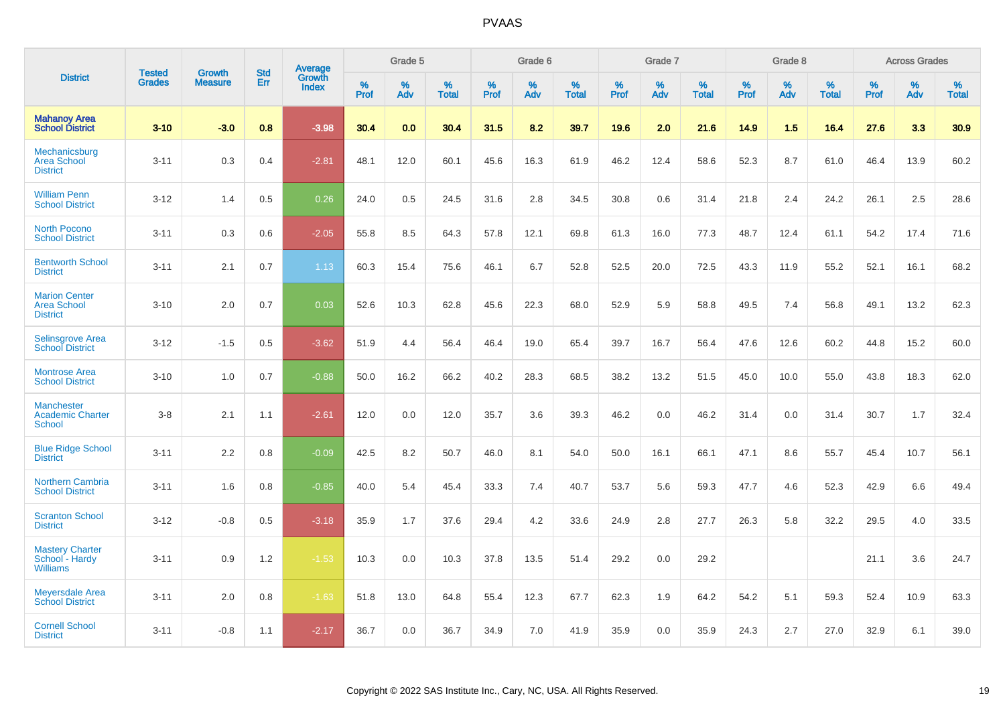|                                                               |                                | <b>Growth</b>  | <b>Std</b> | Average<br>Growth |              | Grade 5  |                   |           | Grade 6  |                   |              | Grade 7  |                   |              | Grade 8  |                   |              | <b>Across Grades</b> |                   |
|---------------------------------------------------------------|--------------------------------|----------------|------------|-------------------|--------------|----------|-------------------|-----------|----------|-------------------|--------------|----------|-------------------|--------------|----------|-------------------|--------------|----------------------|-------------------|
| <b>District</b>                                               | <b>Tested</b><br><b>Grades</b> | <b>Measure</b> | <b>Err</b> | Index             | $\%$<br>Prof | %<br>Adv | %<br><b>Total</b> | %<br>Prof | %<br>Adv | %<br><b>Total</b> | $\%$<br>Prof | %<br>Adv | %<br><b>Total</b> | $\%$<br>Prof | %<br>Adv | %<br><b>Total</b> | $\%$<br>Prof | %<br>Adv             | %<br><b>Total</b> |
| <b>Mahanoy Area</b><br><b>School District</b>                 | $3 - 10$                       | $-3.0$         | 0.8        | $-3.98$           | 30.4         | 0.0      | 30.4              | 31.5      | 8.2      | 39.7              | 19.6         | 2.0      | 21.6              | 14.9         | 1.5      | 16.4              | 27.6         | 3.3                  | 30.9              |
| Mechanicsburg<br><b>Area School</b><br><b>District</b>        | $3 - 11$                       | 0.3            | 0.4        | $-2.81$           | 48.1         | 12.0     | 60.1              | 45.6      | 16.3     | 61.9              | 46.2         | 12.4     | 58.6              | 52.3         | 8.7      | 61.0              | 46.4         | 13.9                 | 60.2              |
| <b>William Penn</b><br><b>School District</b>                 | $3 - 12$                       | 1.4            | 0.5        | 0.26              | 24.0         | 0.5      | 24.5              | 31.6      | 2.8      | 34.5              | 30.8         | 0.6      | 31.4              | 21.8         | 2.4      | 24.2              | 26.1         | 2.5                  | 28.6              |
| <b>North Pocono</b><br><b>School District</b>                 | $3 - 11$                       | 0.3            | 0.6        | $-2.05$           | 55.8         | 8.5      | 64.3              | 57.8      | 12.1     | 69.8              | 61.3         | 16.0     | 77.3              | 48.7         | 12.4     | 61.1              | 54.2         | 17.4                 | 71.6              |
| <b>Bentworth School</b><br><b>District</b>                    | $3 - 11$                       | 2.1            | 0.7        | 1.13              | 60.3         | 15.4     | 75.6              | 46.1      | 6.7      | 52.8              | 52.5         | 20.0     | 72.5              | 43.3         | 11.9     | 55.2              | 52.1         | 16.1                 | 68.2              |
| <b>Marion Center</b><br><b>Area School</b><br><b>District</b> | $3 - 10$                       | 2.0            | 0.7        | 0.03              | 52.6         | 10.3     | 62.8              | 45.6      | 22.3     | 68.0              | 52.9         | 5.9      | 58.8              | 49.5         | 7.4      | 56.8              | 49.1         | 13.2                 | 62.3              |
| Selinsgrove Area<br><b>School District</b>                    | $3 - 12$                       | $-1.5$         | 0.5        | $-3.62$           | 51.9         | 4.4      | 56.4              | 46.4      | 19.0     | 65.4              | 39.7         | 16.7     | 56.4              | 47.6         | 12.6     | 60.2              | 44.8         | 15.2                 | 60.0              |
| <b>Montrose Area</b><br><b>School District</b>                | $3 - 10$                       | 1.0            | 0.7        | $-0.88$           | 50.0         | 16.2     | 66.2              | 40.2      | 28.3     | 68.5              | 38.2         | 13.2     | 51.5              | 45.0         | 10.0     | 55.0              | 43.8         | 18.3                 | 62.0              |
| <b>Manchester</b><br><b>Academic Charter</b><br>School        | $3 - 8$                        | 2.1            | 1.1        | $-2.61$           | 12.0         | 0.0      | 12.0              | 35.7      | 3.6      | 39.3              | 46.2         | 0.0      | 46.2              | 31.4         | 0.0      | 31.4              | 30.7         | 1.7                  | 32.4              |
| <b>Blue Ridge School</b><br><b>District</b>                   | $3 - 11$                       | 2.2            | 0.8        | $-0.09$           | 42.5         | 8.2      | 50.7              | 46.0      | 8.1      | 54.0              | 50.0         | 16.1     | 66.1              | 47.1         | 8.6      | 55.7              | 45.4         | 10.7                 | 56.1              |
| <b>Northern Cambria</b><br><b>School District</b>             | $3 - 11$                       | 1.6            | 0.8        | $-0.85$           | 40.0         | 5.4      | 45.4              | 33.3      | 7.4      | 40.7              | 53.7         | 5.6      | 59.3              | 47.7         | 4.6      | 52.3              | 42.9         | 6.6                  | 49.4              |
| <b>Scranton School</b><br><b>District</b>                     | $3 - 12$                       | $-0.8$         | 0.5        | $-3.18$           | 35.9         | 1.7      | 37.6              | 29.4      | 4.2      | 33.6              | 24.9         | 2.8      | 27.7              | 26.3         | 5.8      | 32.2              | 29.5         | 4.0                  | 33.5              |
| <b>Mastery Charter</b><br>School - Hardy<br><b>Williams</b>   | $3 - 11$                       | 0.9            | 1.2        | $-1.53$           | 10.3         | 0.0      | 10.3              | 37.8      | 13.5     | 51.4              | 29.2         | 0.0      | 29.2              |              |          |                   | 21.1         | 3.6                  | 24.7              |
| <b>Meyersdale Area</b><br><b>School District</b>              | $3 - 11$                       | 2.0            | 0.8        | $-1.63$           | 51.8         | 13.0     | 64.8              | 55.4      | 12.3     | 67.7              | 62.3         | 1.9      | 64.2              | 54.2         | 5.1      | 59.3              | 52.4         | 10.9                 | 63.3              |
| <b>Cornell School</b><br><b>District</b>                      | $3 - 11$                       | $-0.8$         | 1.1        | $-2.17$           | 36.7         | 0.0      | 36.7              | 34.9      | 7.0      | 41.9              | 35.9         | 0.0      | 35.9              | 24.3         | 2.7      | 27.0              | 32.9         | 6.1                  | 39.0              |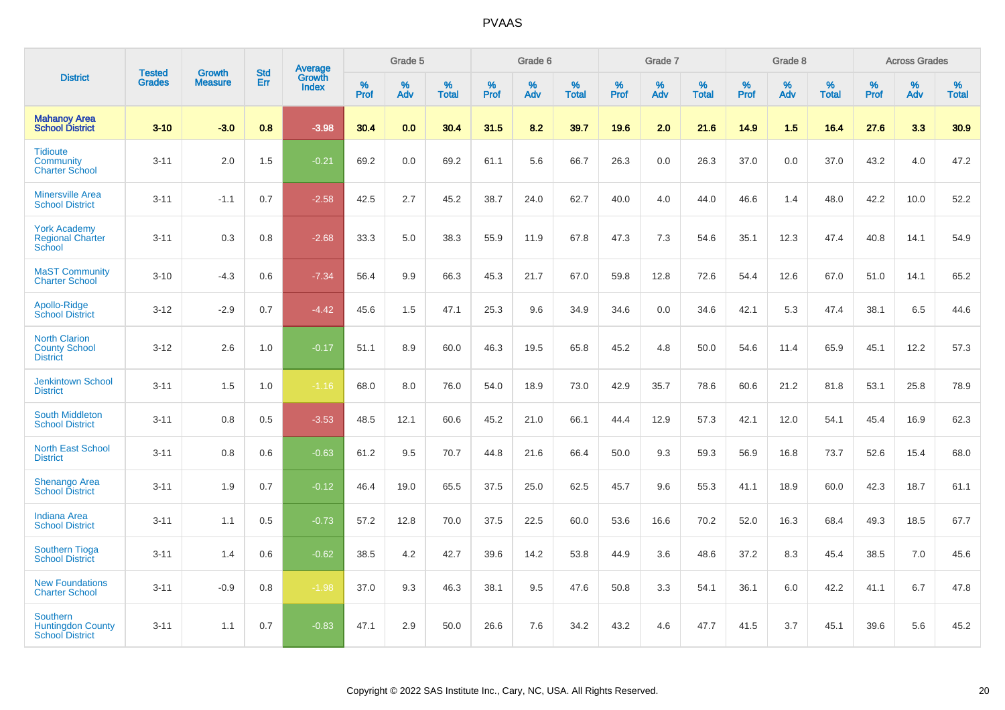|                                                                       |                                |                                 | <b>Std</b> | Average                |              | Grade 5  |                   |           | Grade 6  |                   |           | Grade 7  |                   |           | Grade 8  |                   |              | <b>Across Grades</b> |                   |
|-----------------------------------------------------------------------|--------------------------------|---------------------------------|------------|------------------------|--------------|----------|-------------------|-----------|----------|-------------------|-----------|----------|-------------------|-----------|----------|-------------------|--------------|----------------------|-------------------|
| <b>District</b>                                                       | <b>Tested</b><br><b>Grades</b> | <b>Growth</b><br><b>Measure</b> | Err        | Growth<br><b>Index</b> | $\%$<br>Prof | %<br>Adv | %<br><b>Total</b> | %<br>Prof | %<br>Adv | %<br><b>Total</b> | %<br>Prof | %<br>Adv | %<br><b>Total</b> | %<br>Prof | %<br>Adv | %<br><b>Total</b> | $\%$<br>Prof | %<br>Adv             | %<br><b>Total</b> |
| <b>Mahanoy Area</b><br><b>School District</b>                         | $3 - 10$                       | $-3.0$                          | 0.8        | $-3.98$                | 30.4         | 0.0      | 30.4              | 31.5      | 8.2      | 39.7              | 19.6      | 2.0      | 21.6              | 14.9      | 1.5      | 16.4              | 27.6         | 3.3                  | 30.9              |
| <b>Tidioute</b><br>Community<br><b>Charter School</b>                 | $3 - 11$                       | 2.0                             | 1.5        | $-0.21$                | 69.2         | 0.0      | 69.2              | 61.1      | 5.6      | 66.7              | 26.3      | 0.0      | 26.3              | 37.0      | 0.0      | 37.0              | 43.2         | 4.0                  | 47.2              |
| <b>Minersville Area</b><br><b>School District</b>                     | $3 - 11$                       | $-1.1$                          | 0.7        | $-2.58$                | 42.5         | 2.7      | 45.2              | 38.7      | 24.0     | 62.7              | 40.0      | 4.0      | 44.0              | 46.6      | 1.4      | 48.0              | 42.2         | 10.0                 | 52.2              |
| <b>York Academy</b><br><b>Regional Charter</b><br>School              | $3 - 11$                       | 0.3                             | 0.8        | $-2.68$                | 33.3         | 5.0      | 38.3              | 55.9      | 11.9     | 67.8              | 47.3      | 7.3      | 54.6              | 35.1      | 12.3     | 47.4              | 40.8         | 14.1                 | 54.9              |
| <b>MaST Community</b><br><b>Charter School</b>                        | $3 - 10$                       | $-4.3$                          | 0.6        | $-7.34$                | 56.4         | 9.9      | 66.3              | 45.3      | 21.7     | 67.0              | 59.8      | 12.8     | 72.6              | 54.4      | 12.6     | 67.0              | 51.0         | 14.1                 | 65.2              |
| Apollo-Ridge<br><b>School District</b>                                | $3 - 12$                       | $-2.9$                          | 0.7        | $-4.42$                | 45.6         | 1.5      | 47.1              | 25.3      | 9.6      | 34.9              | 34.6      | 0.0      | 34.6              | 42.1      | 5.3      | 47.4              | 38.1         | 6.5                  | 44.6              |
| <b>North Clarion</b><br><b>County School</b><br><b>District</b>       | $3 - 12$                       | 2.6                             | 1.0        | $-0.17$                | 51.1         | 8.9      | 60.0              | 46.3      | 19.5     | 65.8              | 45.2      | 4.8      | 50.0              | 54.6      | 11.4     | 65.9              | 45.1         | 12.2                 | 57.3              |
| <b>Jenkintown School</b><br><b>District</b>                           | $3 - 11$                       | 1.5                             | 1.0        | $-1.16$                | 68.0         | 8.0      | 76.0              | 54.0      | 18.9     | 73.0              | 42.9      | 35.7     | 78.6              | 60.6      | 21.2     | 81.8              | 53.1         | 25.8                 | 78.9              |
| <b>South Middleton</b><br><b>School District</b>                      | $3 - 11$                       | 0.8                             | 0.5        | $-3.53$                | 48.5         | 12.1     | 60.6              | 45.2      | 21.0     | 66.1              | 44.4      | 12.9     | 57.3              | 42.1      | 12.0     | 54.1              | 45.4         | 16.9                 | 62.3              |
| <b>North East School</b><br><b>District</b>                           | $3 - 11$                       | 0.8                             | 0.6        | $-0.63$                | 61.2         | 9.5      | 70.7              | 44.8      | 21.6     | 66.4              | 50.0      | 9.3      | 59.3              | 56.9      | 16.8     | 73.7              | 52.6         | 15.4                 | 68.0              |
| <b>Shenango Area</b><br><b>School District</b>                        | $3 - 11$                       | 1.9                             | 0.7        | $-0.12$                | 46.4         | 19.0     | 65.5              | 37.5      | 25.0     | 62.5              | 45.7      | 9.6      | 55.3              | 41.1      | 18.9     | 60.0              | 42.3         | 18.7                 | 61.1              |
| <b>Indiana Area</b><br><b>School District</b>                         | $3 - 11$                       | 1.1                             | 0.5        | $-0.73$                | 57.2         | 12.8     | 70.0              | 37.5      | 22.5     | 60.0              | 53.6      | 16.6     | 70.2              | 52.0      | 16.3     | 68.4              | 49.3         | 18.5                 | 67.7              |
| <b>Southern Tioga</b><br><b>School District</b>                       | $3 - 11$                       | 1.4                             | 0.6        | $-0.62$                | 38.5         | 4.2      | 42.7              | 39.6      | 14.2     | 53.8              | 44.9      | 3.6      | 48.6              | 37.2      | 8.3      | 45.4              | 38.5         | 7.0                  | 45.6              |
| <b>New Foundations</b><br><b>Charter School</b>                       | $3 - 11$                       | $-0.9$                          | 0.8        | $-1.98$                | 37.0         | 9.3      | 46.3              | 38.1      | 9.5      | 47.6              | 50.8      | 3.3      | 54.1              | 36.1      | 6.0      | 42.2              | 41.1         | 6.7                  | 47.8              |
| <b>Southern</b><br><b>Huntingdon County</b><br><b>School District</b> | $3 - 11$                       | 1.1                             | 0.7        | $-0.83$                | 47.1         | 2.9      | 50.0              | 26.6      | 7.6      | 34.2              | 43.2      | 4.6      | 47.7              | 41.5      | 3.7      | 45.1              | 39.6         | 5.6                  | 45.2              |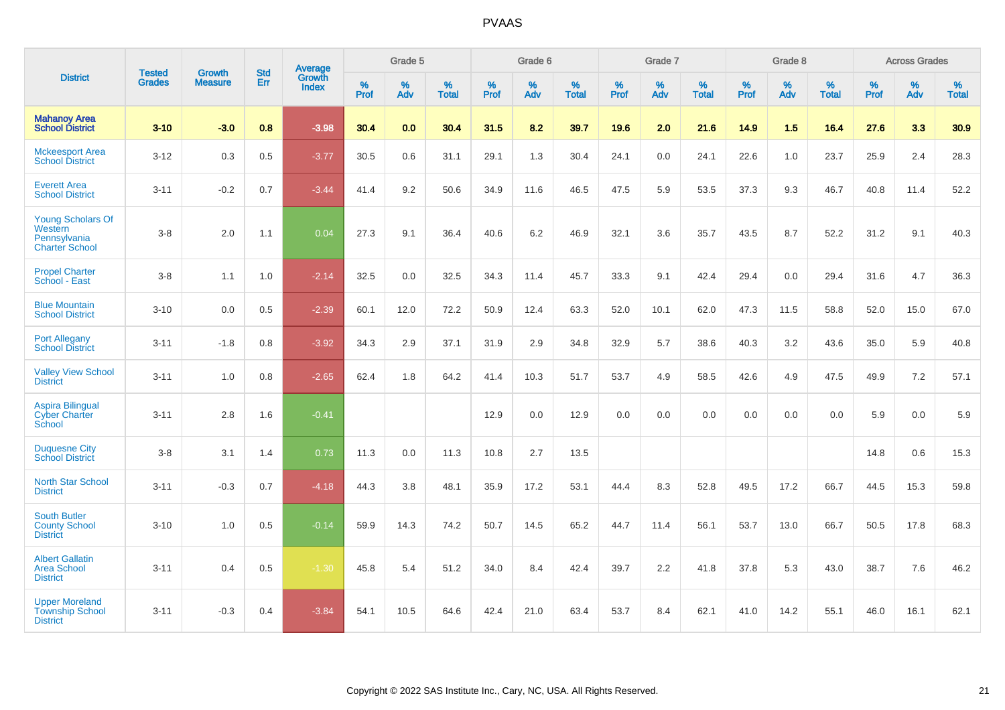|                                                                              | <b>Tested</b> | <b>Growth</b>  | <b>Std</b> | Average                       |              | Grade 5  |                   |              | Grade 6  |                   |              | Grade 7  |                   |              | Grade 8  |                   |                  | <b>Across Grades</b> |                   |
|------------------------------------------------------------------------------|---------------|----------------|------------|-------------------------------|--------------|----------|-------------------|--------------|----------|-------------------|--------------|----------|-------------------|--------------|----------|-------------------|------------------|----------------------|-------------------|
| <b>District</b>                                                              | <b>Grades</b> | <b>Measure</b> | Err        | <b>Growth</b><br><b>Index</b> | $\%$<br>Prof | %<br>Adv | %<br><b>Total</b> | $\%$<br>Prof | %<br>Adv | %<br><b>Total</b> | $\%$<br>Prof | %<br>Adv | %<br><b>Total</b> | $\%$<br>Prof | %<br>Adv | %<br><b>Total</b> | %<br><b>Prof</b> | %<br>Adv             | %<br><b>Total</b> |
| <b>Mahanoy Area</b><br><b>School District</b>                                | $3 - 10$      | $-3.0$         | 0.8        | $-3.98$                       | 30.4         | 0.0      | 30.4              | 31.5         | 8.2      | 39.7              | 19.6         | 2.0      | 21.6              | 14.9         | 1.5      | 16.4              | 27.6             | 3.3                  | 30.9              |
| <b>Mckeesport Area</b><br><b>School District</b>                             | $3 - 12$      | 0.3            | 0.5        | $-3.77$                       | 30.5         | 0.6      | 31.1              | 29.1         | 1.3      | 30.4              | 24.1         | 0.0      | 24.1              | 22.6         | 1.0      | 23.7              | 25.9             | 2.4                  | 28.3              |
| <b>Everett Area</b><br><b>School District</b>                                | $3 - 11$      | $-0.2$         | 0.7        | $-3.44$                       | 41.4         | 9.2      | 50.6              | 34.9         | 11.6     | 46.5              | 47.5         | 5.9      | 53.5              | 37.3         | 9.3      | 46.7              | 40.8             | 11.4                 | 52.2              |
| <b>Young Scholars Of</b><br>Western<br>Pennsylvania<br><b>Charter School</b> | $3 - 8$       | 2.0            | 1.1        | 0.04                          | 27.3         | 9.1      | 36.4              | 40.6         | 6.2      | 46.9              | 32.1         | 3.6      | 35.7              | 43.5         | 8.7      | 52.2              | 31.2             | 9.1                  | 40.3              |
| <b>Propel Charter</b><br>School - East                                       | $3 - 8$       | 1.1            | 1.0        | $-2.14$                       | 32.5         | 0.0      | 32.5              | 34.3         | 11.4     | 45.7              | 33.3         | 9.1      | 42.4              | 29.4         | 0.0      | 29.4              | 31.6             | 4.7                  | 36.3              |
| <b>Blue Mountain</b><br><b>School District</b>                               | $3 - 10$      | 0.0            | 0.5        | $-2.39$                       | 60.1         | 12.0     | 72.2              | 50.9         | 12.4     | 63.3              | 52.0         | 10.1     | 62.0              | 47.3         | 11.5     | 58.8              | 52.0             | 15.0                 | 67.0              |
| <b>Port Allegany</b><br><b>School District</b>                               | $3 - 11$      | $-1.8$         | 0.8        | $-3.92$                       | 34.3         | 2.9      | 37.1              | 31.9         | 2.9      | 34.8              | 32.9         | 5.7      | 38.6              | 40.3         | 3.2      | 43.6              | 35.0             | 5.9                  | 40.8              |
| <b>Valley View School</b><br><b>District</b>                                 | $3 - 11$      | 1.0            | 0.8        | $-2.65$                       | 62.4         | 1.8      | 64.2              | 41.4         | 10.3     | 51.7              | 53.7         | 4.9      | 58.5              | 42.6         | 4.9      | 47.5              | 49.9             | 7.2                  | 57.1              |
| <b>Aspira Bilingual</b><br><b>Cyber Charter</b><br>School                    | $3 - 11$      | 2.8            | 1.6        | $-0.41$                       |              |          |                   | 12.9         | 0.0      | 12.9              | 0.0          | 0.0      | 0.0               | 0.0          | 0.0      | 0.0               | 5.9              | 0.0                  | 5.9               |
| <b>Duquesne City</b><br><b>School District</b>                               | $3-8$         | 3.1            | 1.4        | 0.73                          | 11.3         | 0.0      | 11.3              | 10.8         | 2.7      | 13.5              |              |          |                   |              |          |                   | 14.8             | 0.6                  | 15.3              |
| North Star School<br><b>District</b>                                         | $3 - 11$      | $-0.3$         | 0.7        | $-4.18$                       | 44.3         | 3.8      | 48.1              | 35.9         | 17.2     | 53.1              | 44.4         | 8.3      | 52.8              | 49.5         | 17.2     | 66.7              | 44.5             | 15.3                 | 59.8              |
| <b>South Butler</b><br><b>County School</b><br><b>District</b>               | $3 - 10$      | 1.0            | 0.5        | $-0.14$                       | 59.9         | 14.3     | 74.2              | 50.7         | 14.5     | 65.2              | 44.7         | 11.4     | 56.1              | 53.7         | 13.0     | 66.7              | 50.5             | 17.8                 | 68.3              |
| <b>Albert Gallatin</b><br><b>Area School</b><br><b>District</b>              | $3 - 11$      | 0.4            | 0.5        | $-1.30$                       | 45.8         | 5.4      | 51.2              | 34.0         | 8.4      | 42.4              | 39.7         | 2.2      | 41.8              | 37.8         | 5.3      | 43.0              | 38.7             | 7.6                  | 46.2              |
| <b>Upper Moreland</b><br><b>Township School</b><br><b>District</b>           | $3 - 11$      | $-0.3$         | 0.4        | $-3.84$                       | 54.1         | 10.5     | 64.6              | 42.4         | 21.0     | 63.4              | 53.7         | 8.4      | 62.1              | 41.0         | 14.2     | 55.1              | 46.0             | 16.1                 | 62.1              |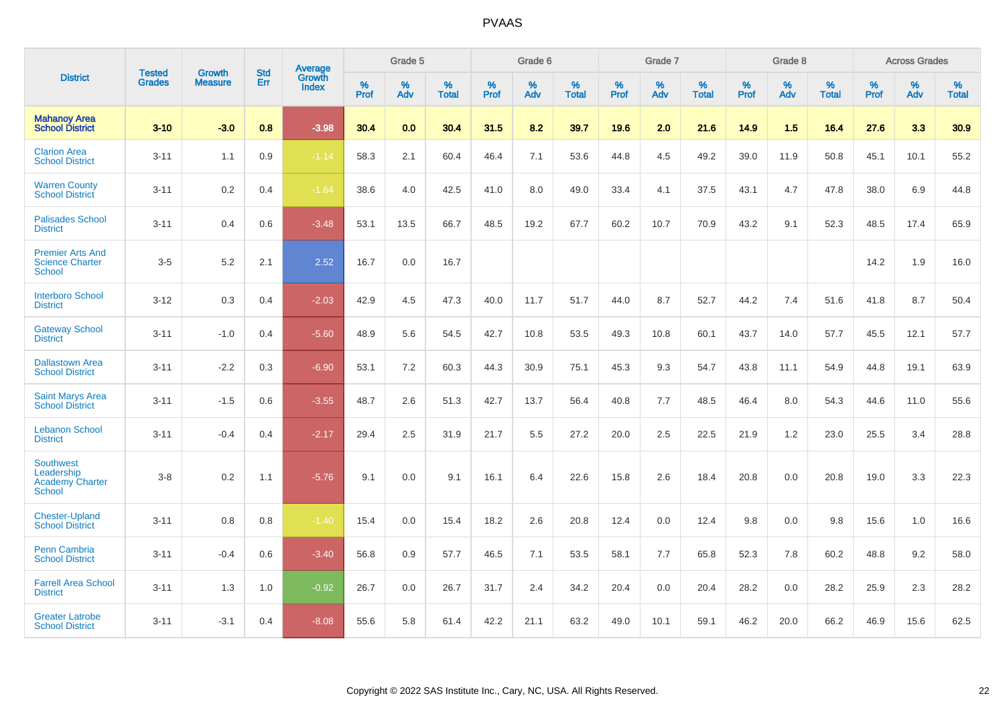|                                                                           |                                |                                 | <b>Std</b> | Average                       |           | Grade 5  |                   |           | Grade 6  |                   |           | Grade 7  |                   |           | Grade 8  |                   |           | <b>Across Grades</b> |                   |
|---------------------------------------------------------------------------|--------------------------------|---------------------------------|------------|-------------------------------|-----------|----------|-------------------|-----------|----------|-------------------|-----------|----------|-------------------|-----------|----------|-------------------|-----------|----------------------|-------------------|
| <b>District</b>                                                           | <b>Tested</b><br><b>Grades</b> | <b>Growth</b><br><b>Measure</b> | Err        | <b>Growth</b><br><b>Index</b> | %<br>Prof | %<br>Adv | %<br><b>Total</b> | %<br>Prof | %<br>Adv | %<br><b>Total</b> | %<br>Prof | %<br>Adv | %<br><b>Total</b> | %<br>Prof | %<br>Adv | %<br><b>Total</b> | %<br>Prof | %<br>Adv             | %<br><b>Total</b> |
| <b>Mahanoy Area</b><br><b>School District</b>                             | $3 - 10$                       | $-3.0$                          | 0.8        | $-3.98$                       | 30.4      | 0.0      | 30.4              | 31.5      | 8.2      | 39.7              | 19.6      | 2.0      | 21.6              | 14.9      | 1.5      | 16.4              | 27.6      | 3.3                  | 30.9              |
| <b>Clarion Area</b><br><b>School District</b>                             | $3 - 11$                       | 1.1                             | 0.9        | $-1.14$                       | 58.3      | 2.1      | 60.4              | 46.4      | 7.1      | 53.6              | 44.8      | 4.5      | 49.2              | 39.0      | 11.9     | 50.8              | 45.1      | 10.1                 | 55.2              |
| <b>Warren County</b><br><b>School District</b>                            | $3 - 11$                       | 0.2                             | 0.4        | $-1.64$                       | 38.6      | 4.0      | 42.5              | 41.0      | 8.0      | 49.0              | 33.4      | 4.1      | 37.5              | 43.1      | 4.7      | 47.8              | 38.0      | 6.9                  | 44.8              |
| <b>Palisades School</b><br><b>District</b>                                | $3 - 11$                       | 0.4                             | 0.6        | $-3.48$                       | 53.1      | 13.5     | 66.7              | 48.5      | 19.2     | 67.7              | 60.2      | 10.7     | 70.9              | 43.2      | 9.1      | 52.3              | 48.5      | 17.4                 | 65.9              |
| <b>Premier Arts And</b><br><b>Science Charter</b><br><b>School</b>        | $3-5$                          | 5.2                             | 2.1        | 2.52                          | 16.7      | 0.0      | 16.7              |           |          |                   |           |          |                   |           |          |                   | 14.2      | 1.9                  | 16.0              |
| <b>Interboro School</b><br><b>District</b>                                | $3 - 12$                       | 0.3                             | 0.4        | $-2.03$                       | 42.9      | 4.5      | 47.3              | 40.0      | 11.7     | 51.7              | 44.0      | 8.7      | 52.7              | 44.2      | 7.4      | 51.6              | 41.8      | 8.7                  | 50.4              |
| <b>Gateway School</b><br><b>District</b>                                  | $3 - 11$                       | $-1.0$                          | 0.4        | $-5.60$                       | 48.9      | 5.6      | 54.5              | 42.7      | 10.8     | 53.5              | 49.3      | 10.8     | 60.1              | 43.7      | 14.0     | 57.7              | 45.5      | 12.1                 | 57.7              |
| <b>Dallastown Area</b><br><b>School District</b>                          | $3 - 11$                       | $-2.2$                          | 0.3        | $-6.90$                       | 53.1      | 7.2      | 60.3              | 44.3      | 30.9     | 75.1              | 45.3      | 9.3      | 54.7              | 43.8      | 11.1     | 54.9              | 44.8      | 19.1                 | 63.9              |
| <b>Saint Marys Area</b><br><b>School District</b>                         | $3 - 11$                       | $-1.5$                          | 0.6        | $-3.55$                       | 48.7      | 2.6      | 51.3              | 42.7      | 13.7     | 56.4              | 40.8      | 7.7      | 48.5              | 46.4      | 8.0      | 54.3              | 44.6      | 11.0                 | 55.6              |
| <b>Lebanon School</b><br><b>District</b>                                  | $3 - 11$                       | $-0.4$                          | 0.4        | $-2.17$                       | 29.4      | 2.5      | 31.9              | 21.7      | 5.5      | 27.2              | 20.0      | 2.5      | 22.5              | 21.9      | 1.2      | 23.0              | 25.5      | 3.4                  | 28.8              |
| <b>Southwest</b><br>Leadership<br><b>Academy Charter</b><br><b>School</b> | $3 - 8$                        | 0.2                             | 1.1        | $-5.76$                       | 9.1       | 0.0      | 9.1               | 16.1      | 6.4      | 22.6              | 15.8      | 2.6      | 18.4              | 20.8      | 0.0      | 20.8              | 19.0      | 3.3                  | 22.3              |
| <b>Chester-Upland</b><br><b>School District</b>                           | $3 - 11$                       | 0.8                             | 0.8        | $-1.40$                       | 15.4      | 0.0      | 15.4              | 18.2      | 2.6      | 20.8              | 12.4      | 0.0      | 12.4              | 9.8       | 0.0      | 9.8               | 15.6      | 1.0                  | 16.6              |
| Penn Cambria<br><b>School District</b>                                    | $3 - 11$                       | $-0.4$                          | 0.6        | $-3.40$                       | 56.8      | 0.9      | 57.7              | 46.5      | 7.1      | 53.5              | 58.1      | 7.7      | 65.8              | 52.3      | 7.8      | 60.2              | 48.8      | 9.2                  | 58.0              |
| <b>Farrell Area School</b><br><b>District</b>                             | $3 - 11$                       | 1.3                             | 1.0        | $-0.92$                       | 26.7      | 0.0      | 26.7              | 31.7      | 2.4      | 34.2              | 20.4      | 0.0      | 20.4              | 28.2      | 0.0      | 28.2              | 25.9      | 2.3                  | 28.2              |
| <b>Greater Latrobe</b><br><b>School District</b>                          | $3 - 11$                       | $-3.1$                          | 0.4        | $-8.08$                       | 55.6      | 5.8      | 61.4              | 42.2      | 21.1     | 63.2              | 49.0      | 10.1     | 59.1              | 46.2      | 20.0     | 66.2              | 46.9      | 15.6                 | 62.5              |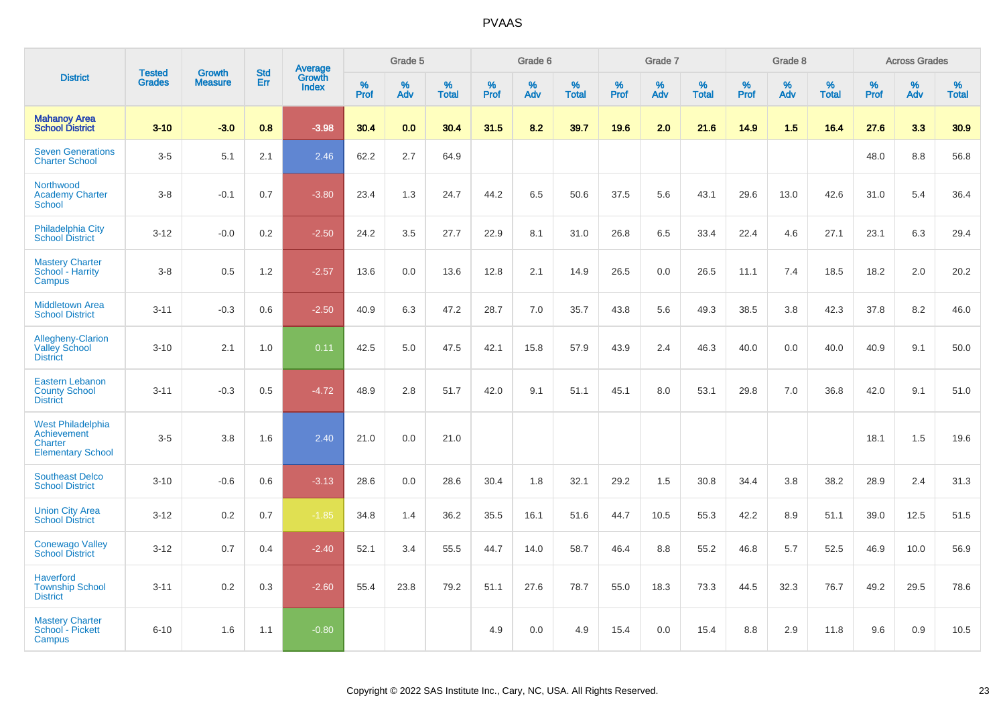|                                                                                |                                |                                 | <b>Std</b> |                                   |              | Grade 5     |                      |              | Grade 6  |                   |              | Grade 7     |                      |              | Grade 8  |                   |              | <b>Across Grades</b> |            |
|--------------------------------------------------------------------------------|--------------------------------|---------------------------------|------------|-----------------------------------|--------------|-------------|----------------------|--------------|----------|-------------------|--------------|-------------|----------------------|--------------|----------|-------------------|--------------|----------------------|------------|
| <b>District</b>                                                                | <b>Tested</b><br><b>Grades</b> | <b>Growth</b><br><b>Measure</b> | Err        | Average<br>Growth<br><b>Index</b> | $\%$<br>Prof | $\%$<br>Adv | $\%$<br><b>Total</b> | $\%$<br>Prof | %<br>Adv | %<br><b>Total</b> | $\%$<br>Prof | $\%$<br>Adv | $\%$<br><b>Total</b> | $\%$<br>Prof | %<br>Adv | %<br><b>Total</b> | $\%$<br>Prof | $\%$<br>Adv          | %<br>Total |
| <b>Mahanoy Area</b><br><b>School District</b>                                  | $3 - 10$                       | $-3.0$                          | 0.8        | $-3.98$                           | 30.4         | 0.0         | 30.4                 | 31.5         | 8.2      | 39.7              | 19.6         | 2.0         | 21.6                 | 14.9         | 1.5      | 16.4              | 27.6         | 3.3                  | 30.9       |
| <b>Seven Generations</b><br><b>Charter School</b>                              | $3-5$                          | 5.1                             | 2.1        | 2.46                              | 62.2         | 2.7         | 64.9                 |              |          |                   |              |             |                      |              |          |                   | 48.0         | $8.8\,$              | 56.8       |
| Northwood<br><b>Academy Charter</b><br>School                                  | $3 - 8$                        | $-0.1$                          | 0.7        | $-3.80$                           | 23.4         | 1.3         | 24.7                 | 44.2         | 6.5      | 50.6              | 37.5         | 5.6         | 43.1                 | 29.6         | 13.0     | 42.6              | 31.0         | 5.4                  | 36.4       |
| Philadelphia City<br><b>School District</b>                                    | $3 - 12$                       | $-0.0$                          | 0.2        | $-2.50$                           | 24.2         | 3.5         | 27.7                 | 22.9         | 8.1      | 31.0              | 26.8         | 6.5         | 33.4                 | 22.4         | 4.6      | 27.1              | 23.1         | 6.3                  | 29.4       |
| <b>Mastery Charter</b><br>School - Harrity<br>Campus                           | $3 - 8$                        | 0.5                             | 1.2        | $-2.57$                           | 13.6         | $0.0\,$     | 13.6                 | 12.8         | 2.1      | 14.9              | 26.5         | 0.0         | 26.5                 | 11.1         | 7.4      | 18.5              | 18.2         | 2.0                  | 20.2       |
| <b>Middletown Area</b><br><b>School District</b>                               | $3 - 11$                       | $-0.3$                          | 0.6        | $-2.50$                           | 40.9         | 6.3         | 47.2                 | 28.7         | 7.0      | 35.7              | 43.8         | 5.6         | 49.3                 | 38.5         | 3.8      | 42.3              | 37.8         | 8.2                  | 46.0       |
| Allegheny-Clarion<br><b>Valley School</b><br><b>District</b>                   | $3 - 10$                       | 2.1                             | 1.0        | 0.11                              | 42.5         | 5.0         | 47.5                 | 42.1         | 15.8     | 57.9              | 43.9         | 2.4         | 46.3                 | 40.0         | 0.0      | 40.0              | 40.9         | 9.1                  | 50.0       |
| <b>Eastern Lebanon</b><br><b>County School</b><br><b>District</b>              | $3 - 11$                       | $-0.3$                          | 0.5        | $-4.72$                           | 48.9         | 2.8         | 51.7                 | 42.0         | 9.1      | 51.1              | 45.1         | 8.0         | 53.1                 | 29.8         | 7.0      | 36.8              | 42.0         | 9.1                  | 51.0       |
| West Philadelphia<br><b>Achievement</b><br>Charter<br><b>Elementary School</b> | $3-5$                          | 3.8                             | 1.6        | 2.40                              | 21.0         | 0.0         | 21.0                 |              |          |                   |              |             |                      |              |          |                   | 18.1         | 1.5                  | 19.6       |
| <b>Southeast Delco</b><br><b>School District</b>                               | $3 - 10$                       | $-0.6$                          | 0.6        | $-3.13$                           | 28.6         | 0.0         | 28.6                 | 30.4         | 1.8      | 32.1              | 29.2         | 1.5         | 30.8                 | 34.4         | 3.8      | 38.2              | 28.9         | 2.4                  | 31.3       |
| <b>Union City Area</b><br><b>School District</b>                               | $3 - 12$                       | 0.2                             | 0.7        | $-1.85$                           | 34.8         | 1.4         | 36.2                 | 35.5         | 16.1     | 51.6              | 44.7         | 10.5        | 55.3                 | 42.2         | 8.9      | 51.1              | 39.0         | 12.5                 | 51.5       |
| <b>Conewago Valley</b><br><b>School District</b>                               | $3 - 12$                       | 0.7                             | 0.4        | $-2.40$                           | 52.1         | 3.4         | 55.5                 | 44.7         | 14.0     | 58.7              | 46.4         | 8.8         | 55.2                 | 46.8         | 5.7      | 52.5              | 46.9         | 10.0                 | 56.9       |
| <b>Haverford</b><br><b>Township School</b><br><b>District</b>                  | $3 - 11$                       | 0.2                             | 0.3        | $-2.60$                           | 55.4         | 23.8        | 79.2                 | 51.1         | 27.6     | 78.7              | 55.0         | 18.3        | 73.3                 | 44.5         | 32.3     | 76.7              | 49.2         | 29.5                 | 78.6       |
| <b>Mastery Charter</b><br>School - Pickett<br>Campus                           | $6 - 10$                       | 1.6                             | 1.1        | $-0.80$                           |              |             |                      | 4.9          | 0.0      | 4.9               | 15.4         | 0.0         | 15.4                 | 8.8          | 2.9      | 11.8              | 9.6          | 0.9                  | 10.5       |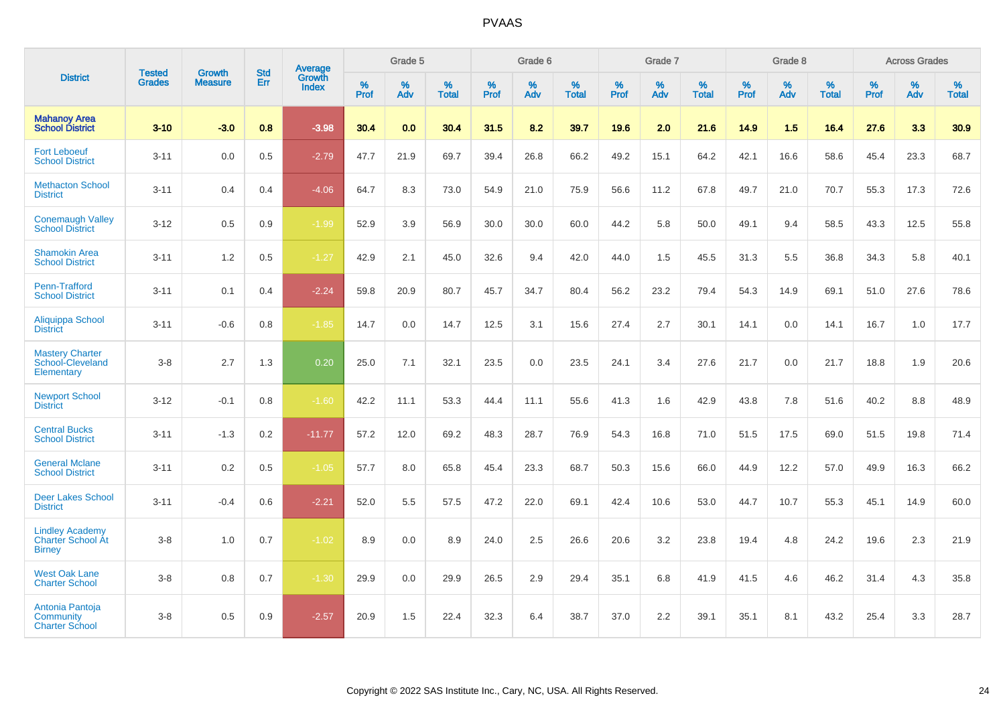|                                                                     |                                |                                 | <b>Std</b> | Average                |           | Grade 5  |                   |           | Grade 6  |                   |           | Grade 7  |                   |           | Grade 8  |                   |           | <b>Across Grades</b> |                   |
|---------------------------------------------------------------------|--------------------------------|---------------------------------|------------|------------------------|-----------|----------|-------------------|-----------|----------|-------------------|-----------|----------|-------------------|-----------|----------|-------------------|-----------|----------------------|-------------------|
| <b>District</b>                                                     | <b>Tested</b><br><b>Grades</b> | <b>Growth</b><br><b>Measure</b> | Err        | Growth<br><b>Index</b> | %<br>Prof | %<br>Adv | %<br><b>Total</b> | %<br>Prof | %<br>Adv | %<br><b>Total</b> | %<br>Prof | %<br>Adv | %<br><b>Total</b> | %<br>Prof | %<br>Adv | %<br><b>Total</b> | %<br>Prof | %<br>Adv             | %<br><b>Total</b> |
| <b>Mahanoy Area</b><br><b>School District</b>                       | $3 - 10$                       | $-3.0$                          | 0.8        | $-3.98$                | 30.4      | 0.0      | 30.4              | 31.5      | 8.2      | 39.7              | 19.6      | 2.0      | 21.6              | 14.9      | 1.5      | 16.4              | 27.6      | 3.3                  | 30.9              |
| <b>Fort Leboeuf</b><br><b>School District</b>                       | $3 - 11$                       | 0.0                             | 0.5        | $-2.79$                | 47.7      | 21.9     | 69.7              | 39.4      | 26.8     | 66.2              | 49.2      | 15.1     | 64.2              | 42.1      | 16.6     | 58.6              | 45.4      | 23.3                 | 68.7              |
| <b>Methacton School</b><br><b>District</b>                          | $3 - 11$                       | 0.4                             | 0.4        | $-4.06$                | 64.7      | 8.3      | 73.0              | 54.9      | 21.0     | 75.9              | 56.6      | 11.2     | 67.8              | 49.7      | 21.0     | 70.7              | 55.3      | 17.3                 | 72.6              |
| <b>Conemaugh Valley</b><br><b>School District</b>                   | $3 - 12$                       | 0.5                             | 0.9        | $-1.99$                | 52.9      | 3.9      | 56.9              | 30.0      | 30.0     | 60.0              | 44.2      | 5.8      | 50.0              | 49.1      | 9.4      | 58.5              | 43.3      | 12.5                 | 55.8              |
| <b>Shamokin Area</b><br><b>School District</b>                      | $3 - 11$                       | 1.2                             | 0.5        | $-1.27$                | 42.9      | 2.1      | 45.0              | 32.6      | 9.4      | 42.0              | 44.0      | 1.5      | 45.5              | 31.3      | 5.5      | 36.8              | 34.3      | 5.8                  | 40.1              |
| Penn-Trafford<br><b>School District</b>                             | $3 - 11$                       | 0.1                             | 0.4        | $-2.24$                | 59.8      | 20.9     | 80.7              | 45.7      | 34.7     | 80.4              | 56.2      | 23.2     | 79.4              | 54.3      | 14.9     | 69.1              | 51.0      | 27.6                 | 78.6              |
| Aliquippa School<br><b>District</b>                                 | $3 - 11$                       | $-0.6$                          | 0.8        | $-1.85$                | 14.7      | 0.0      | 14.7              | 12.5      | 3.1      | 15.6              | 27.4      | 2.7      | 30.1              | 14.1      | 0.0      | 14.1              | 16.7      | 1.0                  | 17.7              |
| <b>Mastery Charter</b><br>School-Cleveland<br>Elementary            | $3 - 8$                        | 2.7                             | 1.3        | 0.20                   | 25.0      | 7.1      | 32.1              | 23.5      | 0.0      | 23.5              | 24.1      | 3.4      | 27.6              | 21.7      | 0.0      | 21.7              | 18.8      | 1.9                  | 20.6              |
| <b>Newport School</b><br><b>District</b>                            | $3 - 12$                       | $-0.1$                          | 0.8        | $-1.60$                | 42.2      | 11.1     | 53.3              | 44.4      | 11.1     | 55.6              | 41.3      | 1.6      | 42.9              | 43.8      | 7.8      | 51.6              | 40.2      | 8.8                  | 48.9              |
| <b>Central Bucks</b><br><b>School District</b>                      | $3 - 11$                       | $-1.3$                          | 0.2        | $-11.77$               | 57.2      | 12.0     | 69.2              | 48.3      | 28.7     | 76.9              | 54.3      | 16.8     | 71.0              | 51.5      | 17.5     | 69.0              | 51.5      | 19.8                 | 71.4              |
| <b>General Mclane</b><br><b>School District</b>                     | $3 - 11$                       | 0.2                             | 0.5        | $-1.05$                | 57.7      | 8.0      | 65.8              | 45.4      | 23.3     | 68.7              | 50.3      | 15.6     | 66.0              | 44.9      | 12.2     | 57.0              | 49.9      | 16.3                 | 66.2              |
| <b>Deer Lakes School</b><br><b>District</b>                         | $3 - 11$                       | $-0.4$                          | 0.6        | $-2.21$                | 52.0      | 5.5      | 57.5              | 47.2      | 22.0     | 69.1              | 42.4      | 10.6     | 53.0              | 44.7      | 10.7     | 55.3              | 45.1      | 14.9                 | 60.0              |
| <b>Lindley Academy</b><br><b>Charter School At</b><br><b>Birney</b> | $3 - 8$                        | 1.0                             | 0.7        | $-1.02$                | 8.9       | 0.0      | 8.9               | 24.0      | 2.5      | 26.6              | 20.6      | 3.2      | 23.8              | 19.4      | 4.8      | 24.2              | 19.6      | 2.3                  | 21.9              |
| <b>West Oak Lane</b><br><b>Charter School</b>                       | $3 - 8$                        | 0.8                             | 0.7        | $-1.30$                | 29.9      | 0.0      | 29.9              | 26.5      | 2.9      | 29.4              | 35.1      | 6.8      | 41.9              | 41.5      | 4.6      | 46.2              | 31.4      | 4.3                  | 35.8              |
| Antonia Pantoja<br>Community<br><b>Charter School</b>               | $3 - 8$                        | 0.5                             | 0.9        | $-2.57$                | 20.9      | 1.5      | 22.4              | 32.3      | 6.4      | 38.7              | 37.0      | 2.2      | 39.1              | 35.1      | 8.1      | 43.2              | 25.4      | 3.3                  | 28.7              |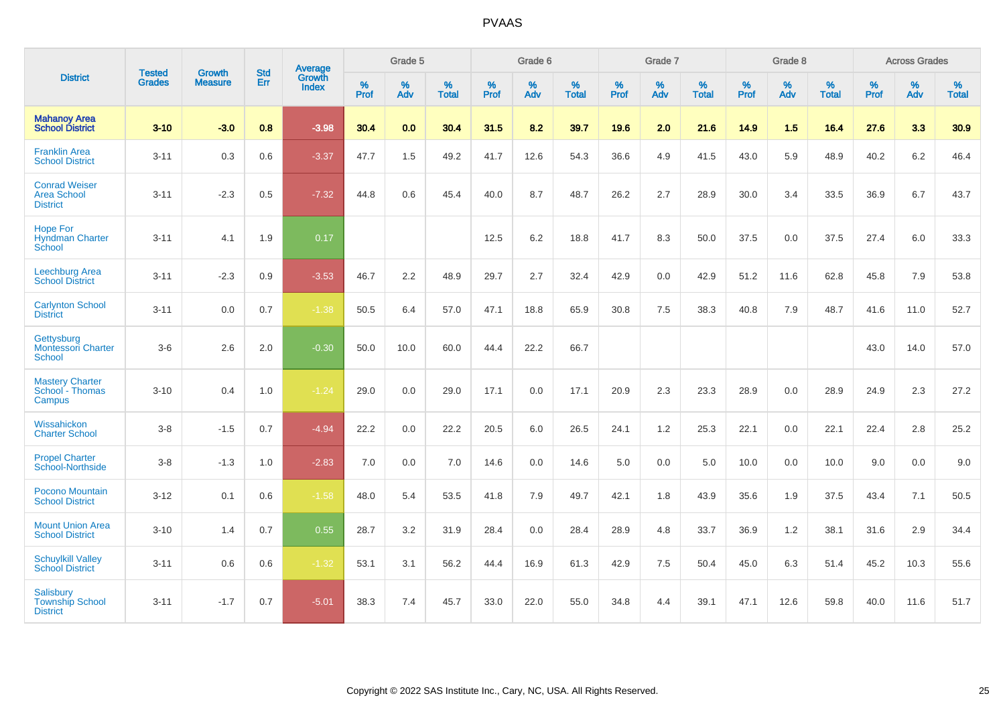|                                                               | <b>Tested</b> | <b>Growth</b>  | <b>Std</b> | Average                |           | Grade 5  |                   |           | Grade 6  |                   |           | Grade 7  |                   |           | Grade 8  |                   |           | <b>Across Grades</b> |                   |
|---------------------------------------------------------------|---------------|----------------|------------|------------------------|-----------|----------|-------------------|-----------|----------|-------------------|-----------|----------|-------------------|-----------|----------|-------------------|-----------|----------------------|-------------------|
| <b>District</b>                                               | <b>Grades</b> | <b>Measure</b> | <b>Err</b> | Growth<br><b>Index</b> | %<br>Prof | %<br>Adv | %<br><b>Total</b> | %<br>Prof | %<br>Adv | %<br><b>Total</b> | %<br>Prof | %<br>Adv | %<br><b>Total</b> | %<br>Prof | %<br>Adv | %<br><b>Total</b> | %<br>Prof | %<br>Adv             | %<br><b>Total</b> |
| <b>Mahanoy Area</b><br><b>School District</b>                 | $3 - 10$      | $-3.0$         | 0.8        | $-3.98$                | 30.4      | 0.0      | 30.4              | 31.5      | 8.2      | 39.7              | 19.6      | 2.0      | 21.6              | 14.9      | 1.5      | 16.4              | 27.6      | 3.3                  | 30.9              |
| <b>Franklin Area</b><br><b>School District</b>                | $3 - 11$      | 0.3            | 0.6        | $-3.37$                | 47.7      | 1.5      | 49.2              | 41.7      | 12.6     | 54.3              | 36.6      | 4.9      | 41.5              | 43.0      | 5.9      | 48.9              | 40.2      | 6.2                  | 46.4              |
| <b>Conrad Weiser</b><br><b>Area School</b><br><b>District</b> | $3 - 11$      | $-2.3$         | 0.5        | $-7.32$                | 44.8      | 0.6      | 45.4              | 40.0      | 8.7      | 48.7              | 26.2      | 2.7      | 28.9              | 30.0      | 3.4      | 33.5              | 36.9      | 6.7                  | 43.7              |
| <b>Hope For</b><br><b>Hyndman Charter</b><br>School           | $3 - 11$      | 4.1            | 1.9        | 0.17                   |           |          |                   | 12.5      | 6.2      | 18.8              | 41.7      | 8.3      | 50.0              | 37.5      | 0.0      | 37.5              | 27.4      | 6.0                  | 33.3              |
| Leechburg Area<br><b>School District</b>                      | $3 - 11$      | $-2.3$         | 0.9        | $-3.53$                | 46.7      | 2.2      | 48.9              | 29.7      | 2.7      | 32.4              | 42.9      | 0.0      | 42.9              | 51.2      | 11.6     | 62.8              | 45.8      | 7.9                  | 53.8              |
| <b>Carlynton School</b><br><b>District</b>                    | $3 - 11$      | 0.0            | 0.7        | $-1.38$                | 50.5      | 6.4      | 57.0              | 47.1      | 18.8     | 65.9              | 30.8      | 7.5      | 38.3              | 40.8      | 7.9      | 48.7              | 41.6      | 11.0                 | 52.7              |
| Gettysburg<br><b>Montessori Charter</b><br>School             | $3-6$         | 2.6            | 2.0        | $-0.30$                | 50.0      | 10.0     | 60.0              | 44.4      | 22.2     | 66.7              |           |          |                   |           |          |                   | 43.0      | 14.0                 | 57.0              |
| <b>Mastery Charter</b><br>School - Thomas<br>Campus           | $3 - 10$      | 0.4            | 1.0        | $-1.24$                | 29.0      | 0.0      | 29.0              | 17.1      | 0.0      | 17.1              | 20.9      | 2.3      | 23.3              | 28.9      | 0.0      | 28.9              | 24.9      | 2.3                  | 27.2              |
| Wissahickon<br><b>Charter School</b>                          | $3 - 8$       | $-1.5$         | 0.7        | $-4.94$                | 22.2      | 0.0      | 22.2              | 20.5      | 6.0      | 26.5              | 24.1      | 1.2      | 25.3              | 22.1      | 0.0      | 22.1              | 22.4      | 2.8                  | 25.2              |
| <b>Propel Charter</b><br>School-Northside                     | $3-8$         | $-1.3$         | 1.0        | $-2.83$                | 7.0       | 0.0      | 7.0               | 14.6      | 0.0      | 14.6              | 5.0       | 0.0      | 5.0               | 10.0      | 0.0      | 10.0              | 9.0       | 0.0                  | 9.0               |
| Pocono Mountain<br><b>School District</b>                     | $3 - 12$      | 0.1            | 0.6        | $-1.58$                | 48.0      | 5.4      | 53.5              | 41.8      | 7.9      | 49.7              | 42.1      | 1.8      | 43.9              | 35.6      | 1.9      | 37.5              | 43.4      | 7.1                  | 50.5              |
| <b>Mount Union Area</b><br><b>School District</b>             | $3 - 10$      | 1.4            | 0.7        | 0.55                   | 28.7      | 3.2      | 31.9              | 28.4      | 0.0      | 28.4              | 28.9      | 4.8      | 33.7              | 36.9      | 1.2      | 38.1              | 31.6      | 2.9                  | 34.4              |
| <b>Schuylkill Valley</b><br><b>School District</b>            | $3 - 11$      | 0.6            | 0.6        | $-1.32$                | 53.1      | 3.1      | 56.2              | 44.4      | 16.9     | 61.3              | 42.9      | 7.5      | 50.4              | 45.0      | 6.3      | 51.4              | 45.2      | 10.3                 | 55.6              |
| Salisbury<br><b>Township School</b><br><b>District</b>        | $3 - 11$      | $-1.7$         | 0.7        | $-5.01$                | 38.3      | 7.4      | 45.7              | 33.0      | 22.0     | 55.0              | 34.8      | 4.4      | 39.1              | 47.1      | 12.6     | 59.8              | 40.0      | 11.6                 | 51.7              |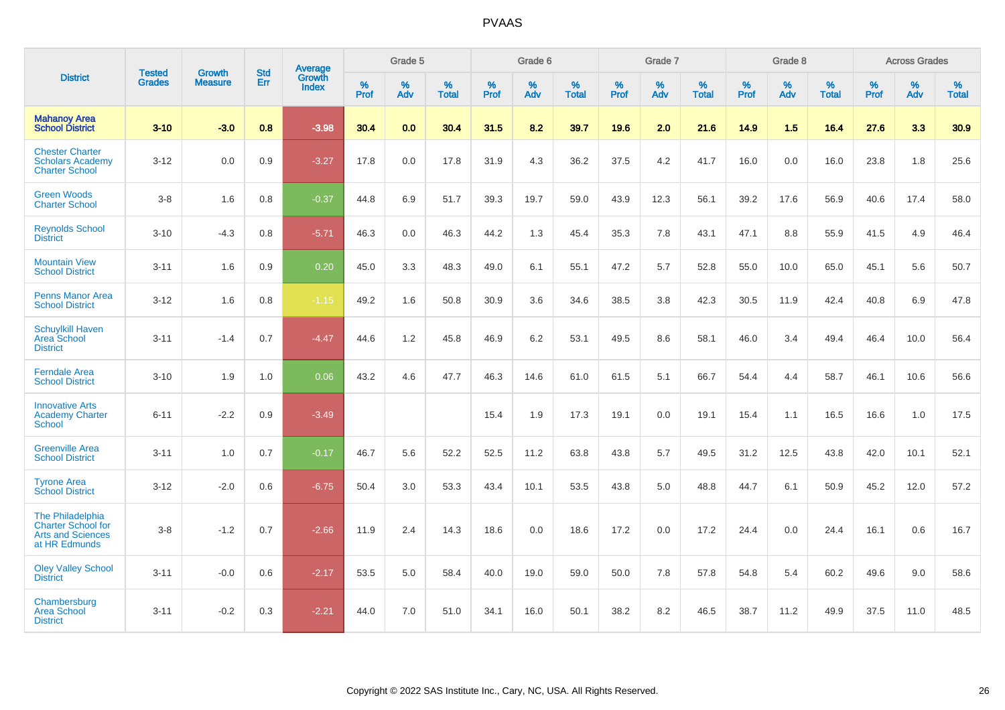|                                                                                            |                                |                                 | <b>Std</b> | Average                       |              | Grade 5  |                   |           | Grade 6  |                   |           | Grade 7  |                   |           | Grade 8  |                   |           | <b>Across Grades</b> |                   |
|--------------------------------------------------------------------------------------------|--------------------------------|---------------------------------|------------|-------------------------------|--------------|----------|-------------------|-----------|----------|-------------------|-----------|----------|-------------------|-----------|----------|-------------------|-----------|----------------------|-------------------|
| <b>District</b>                                                                            | <b>Tested</b><br><b>Grades</b> | <b>Growth</b><br><b>Measure</b> | Err        | <b>Growth</b><br><b>Index</b> | $\%$<br>Prof | %<br>Adv | %<br><b>Total</b> | %<br>Prof | %<br>Adv | %<br><b>Total</b> | %<br>Prof | %<br>Adv | %<br><b>Total</b> | %<br>Prof | %<br>Adv | %<br><b>Total</b> | %<br>Prof | %<br>Adv             | %<br><b>Total</b> |
| <b>Mahanoy Area</b><br><b>School District</b>                                              | $3 - 10$                       | $-3.0$                          | 0.8        | $-3.98$                       | 30.4         | 0.0      | 30.4              | 31.5      | 8.2      | 39.7              | 19.6      | 2.0      | 21.6              | 14.9      | 1.5      | 16.4              | 27.6      | 3.3                  | 30.9              |
| <b>Chester Charter</b><br><b>Scholars Academy</b><br><b>Charter School</b>                 | $3 - 12$                       | 0.0                             | 0.9        | $-3.27$                       | 17.8         | 0.0      | 17.8              | 31.9      | 4.3      | 36.2              | 37.5      | 4.2      | 41.7              | 16.0      | 0.0      | 16.0              | 23.8      | 1.8                  | 25.6              |
| <b>Green Woods</b><br><b>Charter School</b>                                                | $3-8$                          | 1.6                             | 0.8        | $-0.37$                       | 44.8         | 6.9      | 51.7              | 39.3      | 19.7     | 59.0              | 43.9      | 12.3     | 56.1              | 39.2      | 17.6     | 56.9              | 40.6      | 17.4                 | 58.0              |
| <b>Reynolds School</b><br><b>District</b>                                                  | $3 - 10$                       | $-4.3$                          | 0.8        | $-5.71$                       | 46.3         | 0.0      | 46.3              | 44.2      | 1.3      | 45.4              | 35.3      | 7.8      | 43.1              | 47.1      | 8.8      | 55.9              | 41.5      | 4.9                  | 46.4              |
| <b>Mountain View</b><br><b>School District</b>                                             | $3 - 11$                       | 1.6                             | 0.9        | 0.20                          | 45.0         | 3.3      | 48.3              | 49.0      | 6.1      | 55.1              | 47.2      | 5.7      | 52.8              | 55.0      | 10.0     | 65.0              | 45.1      | 5.6                  | 50.7              |
| <b>Penns Manor Area</b><br><b>School District</b>                                          | $3 - 12$                       | 1.6                             | 0.8        | $-1.15$                       | 49.2         | 1.6      | 50.8              | 30.9      | 3.6      | 34.6              | 38.5      | 3.8      | 42.3              | 30.5      | 11.9     | 42.4              | 40.8      | 6.9                  | 47.8              |
| <b>Schuylkill Haven</b><br>Area School<br><b>District</b>                                  | $3 - 11$                       | $-1.4$                          | 0.7        | $-4.47$                       | 44.6         | 1.2      | 45.8              | 46.9      | 6.2      | 53.1              | 49.5      | 8.6      | 58.1              | 46.0      | 3.4      | 49.4              | 46.4      | 10.0                 | 56.4              |
| <b>Ferndale Area</b><br><b>School District</b>                                             | $3 - 10$                       | 1.9                             | 1.0        | 0.06                          | 43.2         | 4.6      | 47.7              | 46.3      | 14.6     | 61.0              | 61.5      | 5.1      | 66.7              | 54.4      | 4.4      | 58.7              | 46.1      | 10.6                 | 56.6              |
| <b>Innovative Arts</b><br><b>Academy Charter</b><br>School                                 | $6 - 11$                       | $-2.2$                          | 0.9        | $-3.49$                       |              |          |                   | 15.4      | 1.9      | 17.3              | 19.1      | 0.0      | 19.1              | 15.4      | 1.1      | 16.5              | 16.6      | 1.0                  | 17.5              |
| <b>Greenville Area</b><br><b>School District</b>                                           | $3 - 11$                       | 1.0                             | 0.7        | $-0.17$                       | 46.7         | 5.6      | 52.2              | 52.5      | 11.2     | 63.8              | 43.8      | 5.7      | 49.5              | 31.2      | 12.5     | 43.8              | 42.0      | 10.1                 | 52.1              |
| <b>Tyrone Area</b><br><b>School District</b>                                               | $3 - 12$                       | $-2.0$                          | 0.6        | $-6.75$                       | 50.4         | 3.0      | 53.3              | 43.4      | 10.1     | 53.5              | 43.8      | 5.0      | 48.8              | 44.7      | 6.1      | 50.9              | 45.2      | 12.0                 | 57.2              |
| The Philadelphia<br><b>Charter School for</b><br><b>Arts and Sciences</b><br>at HR Edmunds | $3-8$                          | $-1.2$                          | 0.7        | $-2.66$                       | 11.9         | 2.4      | 14.3              | 18.6      | 0.0      | 18.6              | 17.2      | 0.0      | 17.2              | 24.4      | 0.0      | 24.4              | 16.1      | 0.6                  | 16.7              |
| <b>Oley Valley School</b><br><b>District</b>                                               | $3 - 11$                       | $-0.0$                          | 0.6        | $-2.17$                       | 53.5         | 5.0      | 58.4              | 40.0      | 19.0     | 59.0              | 50.0      | 7.8      | 57.8              | 54.8      | 5.4      | 60.2              | 49.6      | 9.0                  | 58.6              |
| Chambersburg<br><b>Area School</b><br><b>District</b>                                      | $3 - 11$                       | $-0.2$                          | 0.3        | $-2.21$                       | 44.0         | 7.0      | 51.0              | 34.1      | 16.0     | 50.1              | 38.2      | 8.2      | 46.5              | 38.7      | 11.2     | 49.9              | 37.5      | 11.0                 | 48.5              |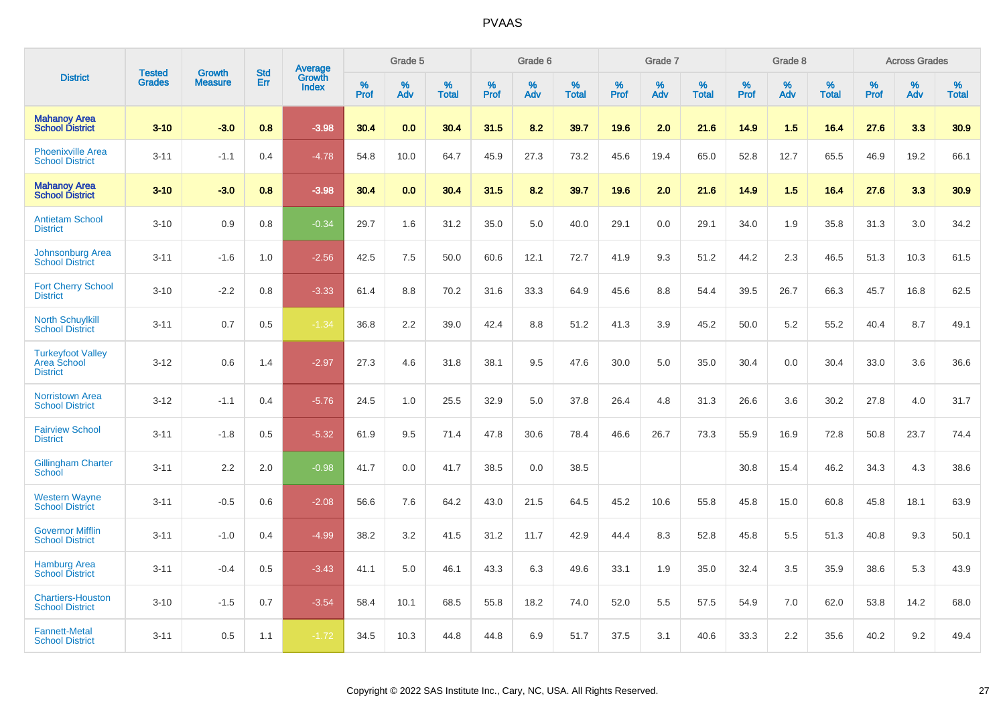|                                                            | <b>Tested</b> | <b>Growth</b>  | <b>Std</b> | Average                |              | Grade 5  |                      |                  | Grade 6  |                   |              | Grade 7  |                      |              | Grade 8  |                      |              | <b>Across Grades</b> |                      |
|------------------------------------------------------------|---------------|----------------|------------|------------------------|--------------|----------|----------------------|------------------|----------|-------------------|--------------|----------|----------------------|--------------|----------|----------------------|--------------|----------------------|----------------------|
| <b>District</b>                                            | <b>Grades</b> | <b>Measure</b> | Err        | Growth<br><b>Index</b> | $\%$<br>Prof | %<br>Adv | $\%$<br><b>Total</b> | %<br><b>Prof</b> | %<br>Adv | %<br><b>Total</b> | $\%$<br>Prof | %<br>Adv | $\%$<br><b>Total</b> | $\%$<br>Prof | %<br>Adv | $\%$<br><b>Total</b> | $\%$<br>Prof | %<br>Adv             | $\%$<br><b>Total</b> |
| <b>Mahanoy Area</b><br><b>School District</b>              | $3 - 10$      | $-3.0$         | 0.8        | $-3.98$                | 30.4         | 0.0      | 30.4                 | 31.5             | 8.2      | 39.7              | 19.6         | 2.0      | 21.6                 | 14.9         | 1.5      | 16.4                 | 27.6         | 3.3                  | 30.9                 |
| <b>Phoenixville Area</b><br><b>School District</b>         | $3 - 11$      | $-1.1$         | 0.4        | $-4.78$                | 54.8         | 10.0     | 64.7                 | 45.9             | 27.3     | 73.2              | 45.6         | 19.4     | 65.0                 | 52.8         | 12.7     | 65.5                 | 46.9         | 19.2                 | 66.1                 |
| <b>Mahanoy Area</b><br><b>School District</b>              | $3 - 10$      | $-3.0$         | 0.8        | $-3.98$                | 30.4         | 0.0      | 30.4                 | 31.5             | 8.2      | 39.7              | 19.6         | 2.0      | 21.6                 | 14.9         | 1.5      | 16.4                 | 27.6         | 3.3                  | 30.9                 |
| <b>Antietam School</b><br><b>District</b>                  | $3 - 10$      | 0.9            | 0.8        | $-0.34$                | 29.7         | 1.6      | 31.2                 | 35.0             | 5.0      | 40.0              | 29.1         | 0.0      | 29.1                 | 34.0         | 1.9      | 35.8                 | 31.3         | 3.0                  | 34.2                 |
| Johnsonburg Area<br><b>School District</b>                 | $3 - 11$      | $-1.6$         | 1.0        | $-2.56$                | 42.5         | 7.5      | 50.0                 | 60.6             | 12.1     | 72.7              | 41.9         | 9.3      | 51.2                 | 44.2         | 2.3      | 46.5                 | 51.3         | 10.3                 | 61.5                 |
| <b>Fort Cherry School</b><br><b>District</b>               | $3 - 10$      | $-2.2$         | 0.8        | $-3.33$                | 61.4         | 8.8      | 70.2                 | 31.6             | 33.3     | 64.9              | 45.6         | 8.8      | 54.4                 | 39.5         | 26.7     | 66.3                 | 45.7         | 16.8                 | 62.5                 |
| <b>North Schuylkill</b><br><b>School District</b>          | $3 - 11$      | 0.7            | 0.5        | $-1.34$                | 36.8         | 2.2      | 39.0                 | 42.4             | 8.8      | 51.2              | 41.3         | 3.9      | 45.2                 | 50.0         | 5.2      | 55.2                 | 40.4         | 8.7                  | 49.1                 |
| <b>Turkeyfoot Valley</b><br>Area School<br><b>District</b> | $3 - 12$      | 0.6            | 1.4        | $-2.97$                | 27.3         | 4.6      | 31.8                 | 38.1             | 9.5      | 47.6              | 30.0         | 5.0      | 35.0                 | 30.4         | 0.0      | 30.4                 | 33.0         | 3.6                  | 36.6                 |
| <b>Norristown Area</b><br><b>School District</b>           | $3 - 12$      | $-1.1$         | 0.4        | $-5.76$                | 24.5         | 1.0      | 25.5                 | 32.9             | 5.0      | 37.8              | 26.4         | 4.8      | 31.3                 | 26.6         | 3.6      | 30.2                 | 27.8         | 4.0                  | 31.7                 |
| <b>Fairview School</b><br><b>District</b>                  | $3 - 11$      | $-1.8$         | 0.5        | $-5.32$                | 61.9         | 9.5      | 71.4                 | 47.8             | 30.6     | 78.4              | 46.6         | 26.7     | 73.3                 | 55.9         | 16.9     | 72.8                 | 50.8         | 23.7                 | 74.4                 |
| <b>Gillingham Charter</b><br>School                        | $3 - 11$      | 2.2            | 2.0        | $-0.98$                | 41.7         | 0.0      | 41.7                 | 38.5             | 0.0      | 38.5              |              |          |                      | 30.8         | 15.4     | 46.2                 | 34.3         | 4.3                  | 38.6                 |
| <b>Western Wayne</b><br><b>School District</b>             | $3 - 11$      | $-0.5$         | 0.6        | $-2.08$                | 56.6         | 7.6      | 64.2                 | 43.0             | 21.5     | 64.5              | 45.2         | 10.6     | 55.8                 | 45.8         | 15.0     | 60.8                 | 45.8         | 18.1                 | 63.9                 |
| <b>Governor Mifflin</b><br><b>School District</b>          | $3 - 11$      | $-1.0$         | 0.4        | $-4.99$                | 38.2         | 3.2      | 41.5                 | 31.2             | 11.7     | 42.9              | 44.4         | 8.3      | 52.8                 | 45.8         | 5.5      | 51.3                 | 40.8         | 9.3                  | 50.1                 |
| <b>Hamburg Area</b><br><b>School District</b>              | $3 - 11$      | $-0.4$         | 0.5        | $-3.43$                | 41.1         | 5.0      | 46.1                 | 43.3             | 6.3      | 49.6              | 33.1         | 1.9      | 35.0                 | 32.4         | 3.5      | 35.9                 | 38.6         | 5.3                  | 43.9                 |
| <b>Chartiers-Houston</b><br><b>School District</b>         | $3 - 10$      | $-1.5$         | 0.7        | $-3.54$                | 58.4         | 10.1     | 68.5                 | 55.8             | 18.2     | 74.0              | 52.0         | 5.5      | 57.5                 | 54.9         | 7.0      | 62.0                 | 53.8         | 14.2                 | 68.0                 |
| <b>Fannett-Metal</b><br><b>School District</b>             | $3 - 11$      | 0.5            | 1.1        | $-1.72$                | 34.5         | 10.3     | 44.8                 | 44.8             | 6.9      | 51.7              | 37.5         | 3.1      | 40.6                 | 33.3         | 2.2      | 35.6                 | 40.2         | 9.2                  | 49.4                 |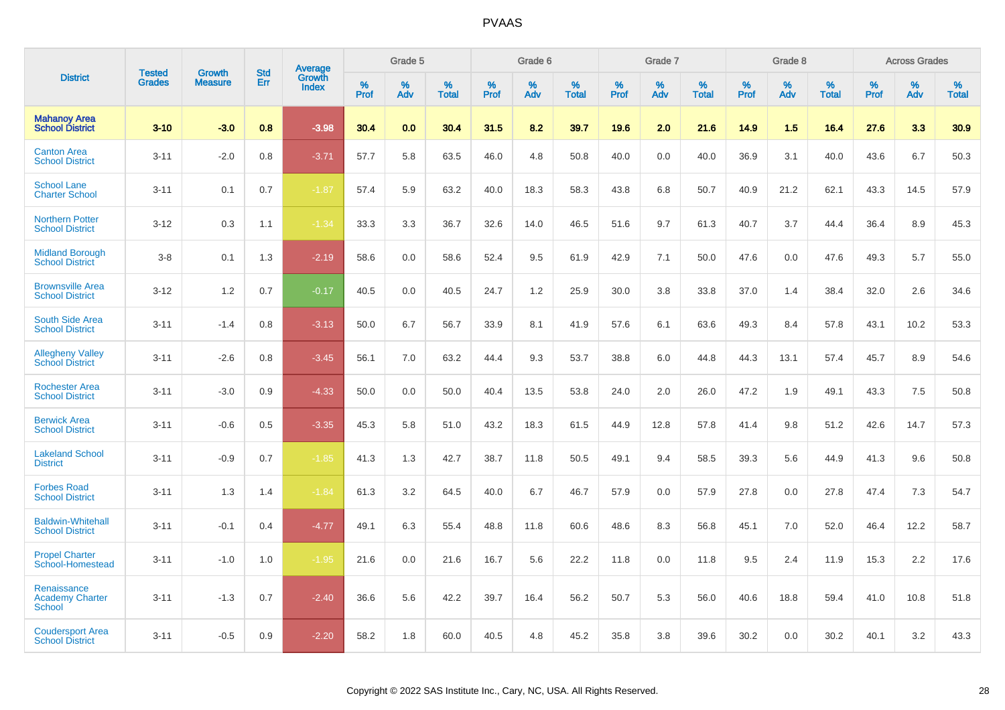|                                                        |                                | <b>Growth</b>  | <b>Std</b> | Average                |              | Grade 5     |                      |                     | Grade 6     |                      |              | Grade 7     |                   |              | Grade 8     |                   |                     | <b>Across Grades</b> |                      |
|--------------------------------------------------------|--------------------------------|----------------|------------|------------------------|--------------|-------------|----------------------|---------------------|-------------|----------------------|--------------|-------------|-------------------|--------------|-------------|-------------------|---------------------|----------------------|----------------------|
| <b>District</b>                                        | <b>Tested</b><br><b>Grades</b> | <b>Measure</b> | Err        | Growth<br><b>Index</b> | $\%$<br>Prof | $\%$<br>Adv | $\%$<br><b>Total</b> | $\%$<br><b>Prof</b> | $\%$<br>Adv | $\%$<br><b>Total</b> | $\%$<br>Prof | $\%$<br>Adv | %<br><b>Total</b> | $\%$<br>Prof | $\%$<br>Adv | %<br><b>Total</b> | $\%$<br><b>Prof</b> | $\%$<br>Adv          | $\%$<br><b>Total</b> |
| <b>Mahanoy Area</b><br><b>School District</b>          | $3 - 10$                       | $-3.0$         | 0.8        | $-3.98$                | 30.4         | 0.0         | 30.4                 | 31.5                | 8.2         | 39.7                 | 19.6         | 2.0         | 21.6              | 14.9         | 1.5         | 16.4              | 27.6                | 3.3                  | 30.9                 |
| <b>Canton Area</b><br><b>School District</b>           | $3 - 11$                       | $-2.0$         | 0.8        | $-3.71$                | 57.7         | 5.8         | 63.5                 | 46.0                | 4.8         | 50.8                 | 40.0         | 0.0         | 40.0              | 36.9         | 3.1         | 40.0              | 43.6                | 6.7                  | 50.3                 |
| <b>School Lane</b><br><b>Charter School</b>            | $3 - 11$                       | 0.1            | 0.7        | $-1.87$                | 57.4         | 5.9         | 63.2                 | 40.0                | 18.3        | 58.3                 | 43.8         | 6.8         | 50.7              | 40.9         | 21.2        | 62.1              | 43.3                | 14.5                 | 57.9                 |
| <b>Northern Potter</b><br><b>School District</b>       | $3 - 12$                       | 0.3            | 1.1        | $-1.34$                | 33.3         | 3.3         | 36.7                 | 32.6                | 14.0        | 46.5                 | 51.6         | 9.7         | 61.3              | 40.7         | 3.7         | 44.4              | 36.4                | 8.9                  | 45.3                 |
| <b>Midland Borough</b><br><b>School District</b>       | $3-8$                          | 0.1            | 1.3        | $-2.19$                | 58.6         | 0.0         | 58.6                 | 52.4                | 9.5         | 61.9                 | 42.9         | 7.1         | 50.0              | 47.6         | 0.0         | 47.6              | 49.3                | 5.7                  | 55.0                 |
| <b>Brownsville Area</b><br><b>School District</b>      | $3 - 12$                       | 1.2            | 0.7        | $-0.17$                | 40.5         | 0.0         | 40.5                 | 24.7                | 1.2         | 25.9                 | 30.0         | 3.8         | 33.8              | 37.0         | 1.4         | 38.4              | 32.0                | 2.6                  | 34.6                 |
| <b>South Side Area</b><br><b>School District</b>       | $3 - 11$                       | $-1.4$         | 0.8        | $-3.13$                | 50.0         | 6.7         | 56.7                 | 33.9                | 8.1         | 41.9                 | 57.6         | 6.1         | 63.6              | 49.3         | 8.4         | 57.8              | 43.1                | 10.2                 | 53.3                 |
| <b>Allegheny Valley</b><br><b>School District</b>      | $3 - 11$                       | $-2.6$         | 0.8        | $-3.45$                | 56.1         | 7.0         | 63.2                 | 44.4                | 9.3         | 53.7                 | 38.8         | 6.0         | 44.8              | 44.3         | 13.1        | 57.4              | 45.7                | 8.9                  | 54.6                 |
| <b>Rochester Area</b><br><b>School District</b>        | $3 - 11$                       | $-3.0$         | 0.9        | $-4.33$                | 50.0         | 0.0         | 50.0                 | 40.4                | 13.5        | 53.8                 | 24.0         | 2.0         | 26.0              | 47.2         | 1.9         | 49.1              | 43.3                | 7.5                  | 50.8                 |
| <b>Berwick Area</b><br><b>School District</b>          | $3 - 11$                       | $-0.6$         | 0.5        | $-3.35$                | 45.3         | 5.8         | 51.0                 | 43.2                | 18.3        | 61.5                 | 44.9         | 12.8        | 57.8              | 41.4         | 9.8         | 51.2              | 42.6                | 14.7                 | 57.3                 |
| <b>Lakeland School</b><br><b>District</b>              | $3 - 11$                       | $-0.9$         | 0.7        | $-1.85$                | 41.3         | 1.3         | 42.7                 | 38.7                | 11.8        | 50.5                 | 49.1         | 9.4         | 58.5              | 39.3         | 5.6         | 44.9              | 41.3                | 9.6                  | 50.8                 |
| <b>Forbes Road</b><br><b>School District</b>           | $3 - 11$                       | 1.3            | 1.4        | $-1.84$                | 61.3         | 3.2         | 64.5                 | 40.0                | 6.7         | 46.7                 | 57.9         | 0.0         | 57.9              | 27.8         | 0.0         | 27.8              | 47.4                | 7.3                  | 54.7                 |
| <b>Baldwin-Whitehall</b><br><b>School District</b>     | $3 - 11$                       | $-0.1$         | 0.4        | $-4.77$                | 49.1         | 6.3         | 55.4                 | 48.8                | 11.8        | 60.6                 | 48.6         | 8.3         | 56.8              | 45.1         | 7.0         | 52.0              | 46.4                | 12.2                 | 58.7                 |
| <b>Propel Charter</b><br>School-Homestead              | $3 - 11$                       | $-1.0$         | 1.0        | $-1.95$                | 21.6         | 0.0         | 21.6                 | 16.7                | 5.6         | 22.2                 | 11.8         | 0.0         | 11.8              | 9.5          | 2.4         | 11.9              | 15.3                | 2.2                  | 17.6                 |
| Renaissance<br><b>Academy Charter</b><br><b>School</b> | $3 - 11$                       | $-1.3$         | 0.7        | $-2.40$                | 36.6         | 5.6         | 42.2                 | 39.7                | 16.4        | 56.2                 | 50.7         | 5.3         | 56.0              | 40.6         | 18.8        | 59.4              | 41.0                | 10.8                 | 51.8                 |
| <b>Coudersport Area</b><br><b>School District</b>      | $3 - 11$                       | $-0.5$         | 0.9        | $-2.20$                | 58.2         | 1.8         | 60.0                 | 40.5                | 4.8         | 45.2                 | 35.8         | 3.8         | 39.6              | 30.2         | 0.0         | 30.2              | 40.1                | 3.2                  | 43.3                 |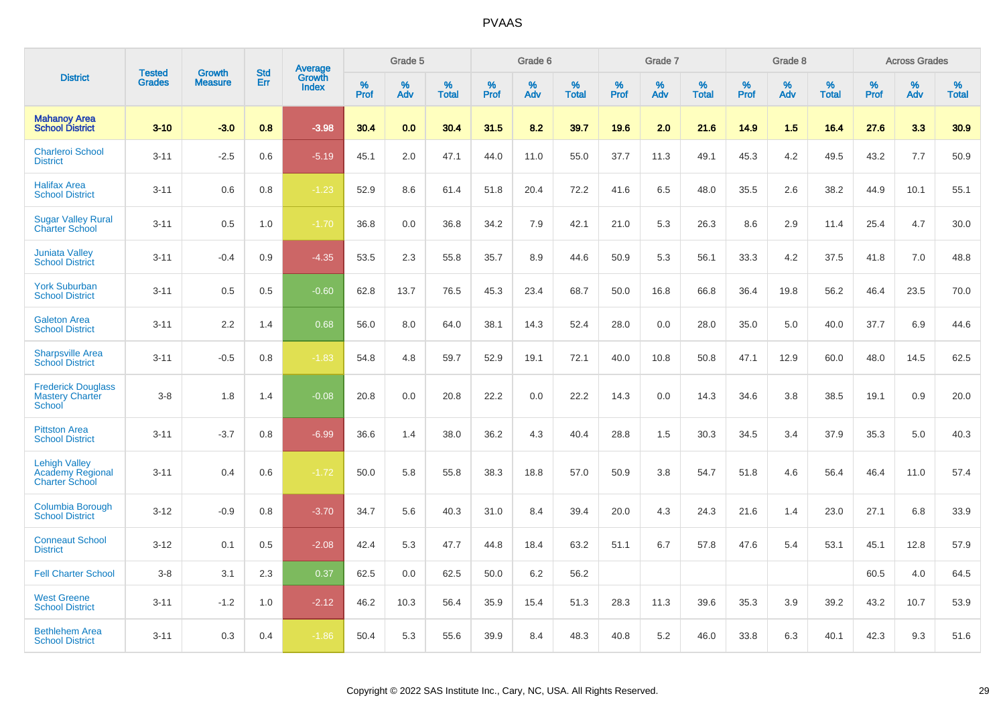|                                                                   | <b>Tested</b> | <b>Growth</b>  | <b>Std</b> | Average         |              | Grade 5  |                      |              | Grade 6     |                      |              | Grade 7  |                      |              | Grade 8     |                      |              | <b>Across Grades</b> |                      |
|-------------------------------------------------------------------|---------------|----------------|------------|-----------------|--------------|----------|----------------------|--------------|-------------|----------------------|--------------|----------|----------------------|--------------|-------------|----------------------|--------------|----------------------|----------------------|
| <b>District</b>                                                   | <b>Grades</b> | <b>Measure</b> | Err        | Growth<br>Index | $\%$<br>Prof | %<br>Adv | $\%$<br><b>Total</b> | $\%$<br>Prof | $\%$<br>Adv | $\%$<br><b>Total</b> | $\%$<br>Prof | %<br>Adv | $\%$<br><b>Total</b> | $\%$<br>Prof | $\%$<br>Adv | $\%$<br><b>Total</b> | $\%$<br>Prof | $\%$<br>Adv          | $\%$<br><b>Total</b> |
| <b>Mahanoy Area</b><br><b>School District</b>                     | $3 - 10$      | $-3.0$         | 0.8        | $-3.98$         | 30.4         | 0.0      | 30.4                 | 31.5         | 8.2         | 39.7                 | 19.6         | 2.0      | 21.6                 | 14.9         | 1.5         | 16.4                 | 27.6         | 3.3                  | 30.9                 |
| <b>Charleroi School</b><br><b>District</b>                        | $3 - 11$      | $-2.5$         | 0.6        | $-5.19$         | 45.1         | 2.0      | 47.1                 | 44.0         | 11.0        | 55.0                 | 37.7         | 11.3     | 49.1                 | 45.3         | 4.2         | 49.5                 | 43.2         | 7.7                  | 50.9                 |
| <b>Halifax Area</b><br><b>School District</b>                     | $3 - 11$      | 0.6            | 0.8        | $-1.23$         | 52.9         | 8.6      | 61.4                 | 51.8         | 20.4        | 72.2                 | 41.6         | 6.5      | 48.0                 | 35.5         | 2.6         | 38.2                 | 44.9         | 10.1                 | 55.1                 |
| <b>Sugar Valley Rural</b><br><b>Charter School</b>                | $3 - 11$      | 0.5            | 1.0        | $-1.70$         | 36.8         | 0.0      | 36.8                 | 34.2         | 7.9         | 42.1                 | 21.0         | 5.3      | 26.3                 | 8.6          | 2.9         | 11.4                 | 25.4         | 4.7                  | 30.0                 |
| <b>Juniata Valley</b><br><b>School District</b>                   | $3 - 11$      | $-0.4$         | 0.9        | $-4.35$         | 53.5         | 2.3      | 55.8                 | 35.7         | 8.9         | 44.6                 | 50.9         | 5.3      | 56.1                 | 33.3         | 4.2         | 37.5                 | 41.8         | 7.0                  | 48.8                 |
| <b>York Suburban</b><br><b>School District</b>                    | $3 - 11$      | 0.5            | 0.5        | $-0.60$         | 62.8         | 13.7     | 76.5                 | 45.3         | 23.4        | 68.7                 | 50.0         | 16.8     | 66.8                 | 36.4         | 19.8        | 56.2                 | 46.4         | 23.5                 | 70.0                 |
| <b>Galeton Area</b><br><b>School District</b>                     | $3 - 11$      | 2.2            | 1.4        | 0.68            | 56.0         | 8.0      | 64.0                 | 38.1         | 14.3        | 52.4                 | 28.0         | 0.0      | 28.0                 | 35.0         | 5.0         | 40.0                 | 37.7         | 6.9                  | 44.6                 |
| <b>Sharpsville Area</b><br><b>School District</b>                 | $3 - 11$      | $-0.5$         | 0.8        | $-1.83$         | 54.8         | 4.8      | 59.7                 | 52.9         | 19.1        | 72.1                 | 40.0         | 10.8     | 50.8                 | 47.1         | 12.9        | 60.0                 | 48.0         | 14.5                 | 62.5                 |
| <b>Frederick Douglass</b><br><b>Mastery Charter</b><br>School     | $3 - 8$       | 1.8            | 1.4        | $-0.08$         | 20.8         | 0.0      | 20.8                 | 22.2         | 0.0         | 22.2                 | 14.3         | 0.0      | 14.3                 | 34.6         | 3.8         | 38.5                 | 19.1         | 0.9                  | 20.0                 |
| <b>Pittston Area</b><br><b>School District</b>                    | $3 - 11$      | $-3.7$         | 0.8        | $-6.99$         | 36.6         | 1.4      | 38.0                 | 36.2         | 4.3         | 40.4                 | 28.8         | 1.5      | 30.3                 | 34.5         | 3.4         | 37.9                 | 35.3         | 5.0                  | 40.3                 |
| <b>Lehigh Valley</b><br>Academy Regional<br><b>Charter School</b> | $3 - 11$      | 0.4            | 0.6        | $-1.72$         | 50.0         | 5.8      | 55.8                 | 38.3         | 18.8        | 57.0                 | 50.9         | 3.8      | 54.7                 | 51.8         | 4.6         | 56.4                 | 46.4         | 11.0                 | 57.4                 |
| <b>Columbia Borough</b><br><b>School District</b>                 | $3 - 12$      | $-0.9$         | 0.8        | $-3.70$         | 34.7         | 5.6      | 40.3                 | 31.0         | 8.4         | 39.4                 | 20.0         | 4.3      | 24.3                 | 21.6         | 1.4         | 23.0                 | 27.1         | 6.8                  | 33.9                 |
| <b>Conneaut School</b><br><b>District</b>                         | $3 - 12$      | 0.1            | 0.5        | $-2.08$         | 42.4         | 5.3      | 47.7                 | 44.8         | 18.4        | 63.2                 | 51.1         | 6.7      | 57.8                 | 47.6         | 5.4         | 53.1                 | 45.1         | 12.8                 | 57.9                 |
| <b>Fell Charter School</b>                                        | $3 - 8$       | 3.1            | 2.3        | 0.37            | 62.5         | 0.0      | 62.5                 | 50.0         | 6.2         | 56.2                 |              |          |                      |              |             |                      | 60.5         | 4.0                  | 64.5                 |
| <b>West Greene</b><br><b>School District</b>                      | $3 - 11$      | $-1.2$         | 1.0        | $-2.12$         | 46.2         | 10.3     | 56.4                 | 35.9         | 15.4        | 51.3                 | 28.3         | 11.3     | 39.6                 | 35.3         | 3.9         | 39.2                 | 43.2         | 10.7                 | 53.9                 |
| <b>Bethlehem Area</b><br><b>School District</b>                   | $3 - 11$      | 0.3            | 0.4        | $-1.86$         | 50.4         | 5.3      | 55.6                 | 39.9         | 8.4         | 48.3                 | 40.8         | 5.2      | 46.0                 | 33.8         | 6.3         | 40.1                 | 42.3         | 9.3                  | 51.6                 |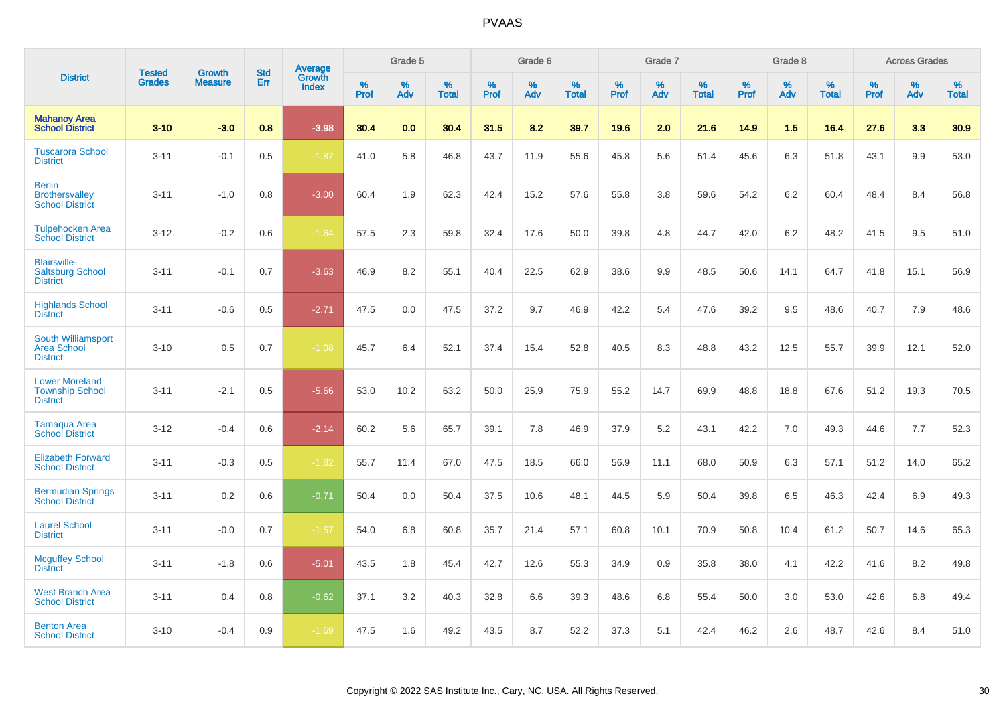|                                                                    |                                | <b>Growth</b>  | <b>Std</b> | Average         |              | Grade 5  |                   |           | Grade 6  |                   |           | Grade 7  |                   |           | Grade 8  |                   |           | <b>Across Grades</b> |                   |
|--------------------------------------------------------------------|--------------------------------|----------------|------------|-----------------|--------------|----------|-------------------|-----------|----------|-------------------|-----------|----------|-------------------|-----------|----------|-------------------|-----------|----------------------|-------------------|
| <b>District</b>                                                    | <b>Tested</b><br><b>Grades</b> | <b>Measure</b> | Err        | Growth<br>Index | $\%$<br>Prof | %<br>Adv | %<br><b>Total</b> | %<br>Prof | %<br>Adv | %<br><b>Total</b> | %<br>Prof | %<br>Adv | %<br><b>Total</b> | %<br>Prof | %<br>Adv | %<br><b>Total</b> | %<br>Prof | %<br>Adv             | %<br><b>Total</b> |
| <b>Mahanoy Area</b><br><b>School District</b>                      | $3 - 10$                       | $-3.0$         | 0.8        | $-3.98$         | 30.4         | 0.0      | 30.4              | 31.5      | 8.2      | 39.7              | 19.6      | 2.0      | 21.6              | 14.9      | 1.5      | 16.4              | 27.6      | 3.3                  | 30.9              |
| <b>Tuscarora School</b><br><b>District</b>                         | $3 - 11$                       | $-0.1$         | 0.5        | $-1.87$         | 41.0         | 5.8      | 46.8              | 43.7      | 11.9     | 55.6              | 45.8      | 5.6      | 51.4              | 45.6      | 6.3      | 51.8              | 43.1      | 9.9                  | 53.0              |
| <b>Berlin</b><br><b>Brothersvalley</b><br><b>School District</b>   | $3 - 11$                       | $-1.0$         | 0.8        | $-3.00$         | 60.4         | 1.9      | 62.3              | 42.4      | 15.2     | 57.6              | 55.8      | 3.8      | 59.6              | 54.2      | 6.2      | 60.4              | 48.4      | 8.4                  | 56.8              |
| <b>Tulpehocken Area</b><br><b>School District</b>                  | $3 - 12$                       | $-0.2$         | 0.6        | $-1.64$         | 57.5         | 2.3      | 59.8              | 32.4      | 17.6     | 50.0              | 39.8      | 4.8      | 44.7              | 42.0      | 6.2      | 48.2              | 41.5      | 9.5                  | 51.0              |
| <b>Blairsville-</b><br><b>Saltsburg School</b><br><b>District</b>  | $3 - 11$                       | $-0.1$         | 0.7        | $-3.63$         | 46.9         | 8.2      | 55.1              | 40.4      | 22.5     | 62.9              | 38.6      | 9.9      | 48.5              | 50.6      | 14.1     | 64.7              | 41.8      | 15.1                 | 56.9              |
| <b>Highlands School</b><br><b>District</b>                         | $3 - 11$                       | $-0.6$         | 0.5        | $-2.71$         | 47.5         | 0.0      | 47.5              | 37.2      | 9.7      | 46.9              | 42.2      | 5.4      | 47.6              | 39.2      | 9.5      | 48.6              | 40.7      | 7.9                  | 48.6              |
| South Williamsport<br><b>Area School</b><br><b>District</b>        | $3 - 10$                       | 0.5            | 0.7        | $-1.08$         | 45.7         | 6.4      | 52.1              | 37.4      | 15.4     | 52.8              | 40.5      | 8.3      | 48.8              | 43.2      | 12.5     | 55.7              | 39.9      | 12.1                 | 52.0              |
| <b>Lower Moreland</b><br><b>Township School</b><br><b>District</b> | $3 - 11$                       | $-2.1$         | 0.5        | $-5.66$         | 53.0         | 10.2     | 63.2              | 50.0      | 25.9     | 75.9              | 55.2      | 14.7     | 69.9              | 48.8      | 18.8     | 67.6              | 51.2      | 19.3                 | 70.5              |
| Tamaqua Area<br><b>School District</b>                             | $3 - 12$                       | $-0.4$         | 0.6        | $-2.14$         | 60.2         | 5.6      | 65.7              | 39.1      | 7.8      | 46.9              | 37.9      | 5.2      | 43.1              | 42.2      | 7.0      | 49.3              | 44.6      | 7.7                  | 52.3              |
| <b>Elizabeth Forward</b><br><b>School District</b>                 | $3 - 11$                       | $-0.3$         | 0.5        | $-1.82$         | 55.7         | 11.4     | 67.0              | 47.5      | 18.5     | 66.0              | 56.9      | 11.1     | 68.0              | 50.9      | 6.3      | 57.1              | 51.2      | 14.0                 | 65.2              |
| <b>Bermudian Springs</b><br><b>School District</b>                 | $3 - 11$                       | 0.2            | 0.6        | $-0.71$         | 50.4         | 0.0      | 50.4              | 37.5      | 10.6     | 48.1              | 44.5      | 5.9      | 50.4              | 39.8      | 6.5      | 46.3              | 42.4      | 6.9                  | 49.3              |
| <b>Laurel School</b><br><b>District</b>                            | $3 - 11$                       | $-0.0$         | 0.7        | $-1.57$         | 54.0         | 6.8      | 60.8              | 35.7      | 21.4     | 57.1              | 60.8      | 10.1     | 70.9              | 50.8      | 10.4     | 61.2              | 50.7      | 14.6                 | 65.3              |
| <b>Mcguffey School</b><br><b>District</b>                          | $3 - 11$                       | $-1.8$         | 0.6        | $-5.01$         | 43.5         | 1.8      | 45.4              | 42.7      | 12.6     | 55.3              | 34.9      | 0.9      | 35.8              | 38.0      | 4.1      | 42.2              | 41.6      | 8.2                  | 49.8              |
| <b>West Branch Area</b><br><b>School District</b>                  | $3 - 11$                       | 0.4            | 0.8        | $-0.62$         | 37.1         | 3.2      | 40.3              | 32.8      | 6.6      | 39.3              | 48.6      | 6.8      | 55.4              | 50.0      | 3.0      | 53.0              | 42.6      | 6.8                  | 49.4              |
| <b>Benton Area</b><br><b>School District</b>                       | $3 - 10$                       | $-0.4$         | 0.9        | $-1.69$         | 47.5         | 1.6      | 49.2              | 43.5      | 8.7      | 52.2              | 37.3      | 5.1      | 42.4              | 46.2      | 2.6      | 48.7              | 42.6      | 8.4                  | 51.0              |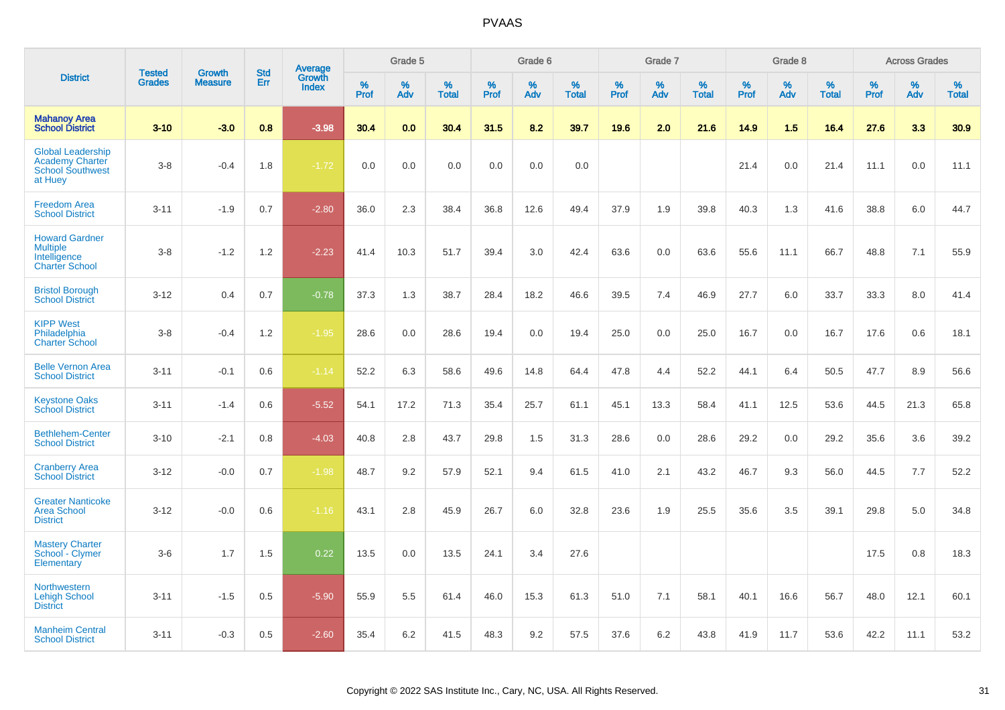|                                                                                          | <b>Tested</b> | <b>Growth</b>  | <b>Std</b> |                                   |           | Grade 5  |                   |              | Grade 6  |                   |              | Grade 7  |                   |              | Grade 8  |                   |              | <b>Across Grades</b> |                   |
|------------------------------------------------------------------------------------------|---------------|----------------|------------|-----------------------------------|-----------|----------|-------------------|--------------|----------|-------------------|--------------|----------|-------------------|--------------|----------|-------------------|--------------|----------------------|-------------------|
| <b>District</b>                                                                          | <b>Grades</b> | <b>Measure</b> | Err        | Average<br>Growth<br><b>Index</b> | %<br>Prof | %<br>Adv | %<br><b>Total</b> | $\%$<br>Prof | %<br>Adv | %<br><b>Total</b> | $\%$<br>Prof | %<br>Adv | %<br><b>Total</b> | $\%$<br>Prof | %<br>Adv | %<br><b>Total</b> | $\%$<br>Prof | $\%$<br>Adv          | %<br><b>Total</b> |
| <b>Mahanoy Area</b><br><b>School District</b>                                            | $3 - 10$      | $-3.0$         | 0.8        | $-3.98$                           | 30.4      | 0.0      | 30.4              | 31.5         | 8.2      | 39.7              | 19.6         | 2.0      | 21.6              | 14.9         | 1.5      | 16.4              | 27.6         | 3.3                  | 30.9              |
| <b>Global Leadership</b><br><b>Academy Charter</b><br><b>School Southwest</b><br>at Huey | $3-8$         | $-0.4$         | 1.8        | $-1.72$                           | 0.0       | 0.0      | 0.0               | 0.0          | 0.0      | 0.0               |              |          |                   | 21.4         | 0.0      | 21.4              | 11.1         | 0.0                  | 11.1              |
| <b>Freedom Area</b><br><b>School District</b>                                            | $3 - 11$      | $-1.9$         | 0.7        | $-2.80$                           | 36.0      | 2.3      | 38.4              | 36.8         | 12.6     | 49.4              | 37.9         | 1.9      | 39.8              | 40.3         | 1.3      | 41.6              | 38.8         | 6.0                  | 44.7              |
| <b>Howard Gardner</b><br><b>Multiple</b><br>Intelligence<br><b>Charter School</b>        | $3-8$         | $-1.2$         | 1.2        | $-2.23$                           | 41.4      | 10.3     | 51.7              | 39.4         | 3.0      | 42.4              | 63.6         | 0.0      | 63.6              | 55.6         | 11.1     | 66.7              | 48.8         | 7.1                  | 55.9              |
| <b>Bristol Borough</b><br><b>School District</b>                                         | $3 - 12$      | 0.4            | 0.7        | $-0.78$                           | 37.3      | 1.3      | 38.7              | 28.4         | 18.2     | 46.6              | 39.5         | 7.4      | 46.9              | 27.7         | 6.0      | 33.7              | 33.3         | 8.0                  | 41.4              |
| <b>KIPP West</b><br>Philadelphia<br><b>Charter School</b>                                | $3-8$         | $-0.4$         | 1.2        | $-1.95$                           | 28.6      | 0.0      | 28.6              | 19.4         | 0.0      | 19.4              | 25.0         | 0.0      | 25.0              | 16.7         | 0.0      | 16.7              | 17.6         | 0.6                  | 18.1              |
| <b>Belle Vernon Area</b><br><b>School District</b>                                       | $3 - 11$      | $-0.1$         | 0.6        | $-1.14$                           | 52.2      | 6.3      | 58.6              | 49.6         | 14.8     | 64.4              | 47.8         | 4.4      | 52.2              | 44.1         | 6.4      | 50.5              | 47.7         | 8.9                  | 56.6              |
| <b>Keystone Oaks</b><br><b>School District</b>                                           | $3 - 11$      | $-1.4$         | 0.6        | $-5.52$                           | 54.1      | 17.2     | 71.3              | 35.4         | 25.7     | 61.1              | 45.1         | 13.3     | 58.4              | 41.1         | 12.5     | 53.6              | 44.5         | 21.3                 | 65.8              |
| <b>Bethlehem-Center</b><br><b>School District</b>                                        | $3 - 10$      | $-2.1$         | 0.8        | $-4.03$                           | 40.8      | 2.8      | 43.7              | 29.8         | 1.5      | 31.3              | 28.6         | 0.0      | 28.6              | 29.2         | 0.0      | 29.2              | 35.6         | 3.6                  | 39.2              |
| <b>Cranberry Area</b><br><b>School District</b>                                          | $3 - 12$      | $-0.0$         | 0.7        | $-1.98$                           | 48.7      | 9.2      | 57.9              | 52.1         | 9.4      | 61.5              | 41.0         | 2.1      | 43.2              | 46.7         | 9.3      | 56.0              | 44.5         | 7.7                  | 52.2              |
| <b>Greater Nanticoke</b><br><b>Area School</b><br><b>District</b>                        | $3-12$        | $-0.0$         | 0.6        | $-1.16$                           | 43.1      | 2.8      | 45.9              | 26.7         | 6.0      | 32.8              | 23.6         | 1.9      | 25.5              | 35.6         | 3.5      | 39.1              | 29.8         | 5.0                  | 34.8              |
| <b>Mastery Charter</b><br>School - Clymer<br>Elementary                                  | $3-6$         | 1.7            | 1.5        | 0.22                              | 13.5      | 0.0      | 13.5              | 24.1         | 3.4      | 27.6              |              |          |                   |              |          |                   | 17.5         | 0.8                  | 18.3              |
| <b>Northwestern</b><br><b>Lehigh School</b><br><b>District</b>                           | $3 - 11$      | $-1.5$         | 0.5        | $-5.90$                           | 55.9      | 5.5      | 61.4              | 46.0         | 15.3     | 61.3              | 51.0         | 7.1      | 58.1              | 40.1         | 16.6     | 56.7              | 48.0         | 12.1                 | 60.1              |
| <b>Manheim Central</b><br><b>School District</b>                                         | $3 - 11$      | $-0.3$         | 0.5        | $-2.60$                           | 35.4      | 6.2      | 41.5              | 48.3         | 9.2      | 57.5              | 37.6         | 6.2      | 43.8              | 41.9         | 11.7     | 53.6              | 42.2         | 11.1                 | 53.2              |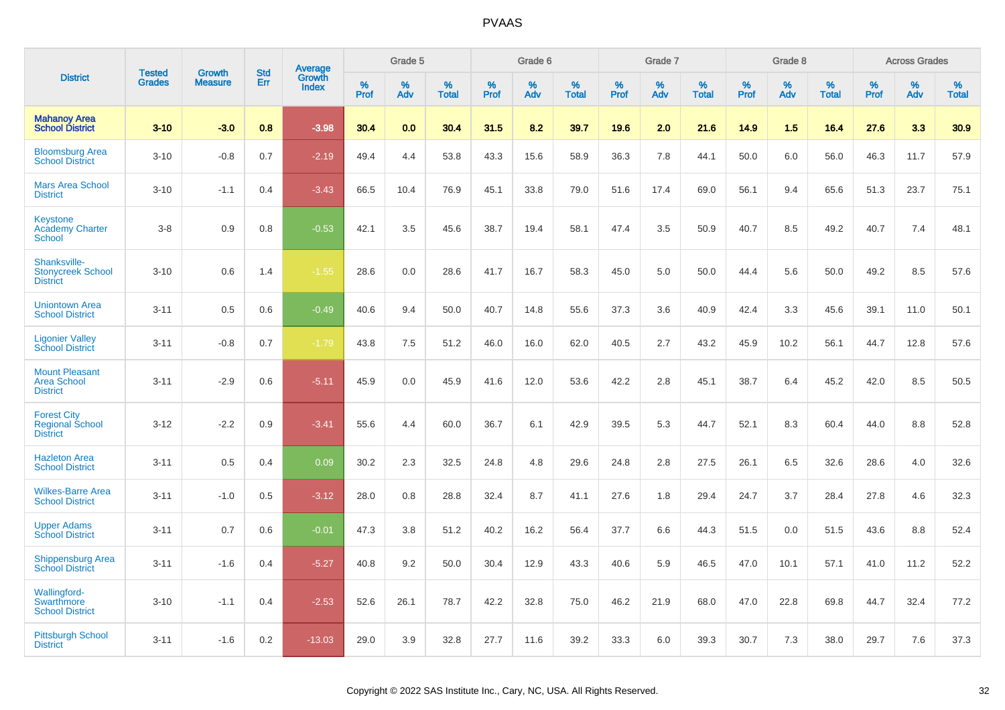|                                                                 | <b>Tested</b> | <b>Growth</b>  | <b>Std</b> |                                          |              | Grade 5  |                   |           | Grade 6  |                   |              | Grade 7  |                   |           | Grade 8  |                   |              | <b>Across Grades</b> |                   |
|-----------------------------------------------------------------|---------------|----------------|------------|------------------------------------------|--------------|----------|-------------------|-----------|----------|-------------------|--------------|----------|-------------------|-----------|----------|-------------------|--------------|----------------------|-------------------|
| <b>District</b>                                                 | <b>Grades</b> | <b>Measure</b> | <b>Err</b> | <b>Average</b><br>Growth<br><b>Index</b> | $\%$<br>Prof | %<br>Adv | %<br><b>Total</b> | %<br>Prof | %<br>Adv | %<br><b>Total</b> | $\%$<br>Prof | %<br>Adv | %<br><b>Total</b> | %<br>Prof | %<br>Adv | %<br><b>Total</b> | $\%$<br>Prof | %<br>Adv             | %<br><b>Total</b> |
| <b>Mahanoy Area</b><br><b>School District</b>                   | $3 - 10$      | $-3.0$         | 0.8        | $-3.98$                                  | 30.4         | 0.0      | 30.4              | 31.5      | 8.2      | 39.7              | 19.6         | 2.0      | 21.6              | 14.9      | 1.5      | 16.4              | 27.6         | 3.3                  | 30.9              |
| <b>Bloomsburg Area</b><br><b>School District</b>                | $3 - 10$      | $-0.8$         | 0.7        | $-2.19$                                  | 49.4         | 4.4      | 53.8              | 43.3      | 15.6     | 58.9              | 36.3         | 7.8      | 44.1              | 50.0      | 6.0      | 56.0              | 46.3         | 11.7                 | 57.9              |
| <b>Mars Area School</b><br><b>District</b>                      | $3 - 10$      | $-1.1$         | 0.4        | $-3.43$                                  | 66.5         | 10.4     | 76.9              | 45.1      | 33.8     | 79.0              | 51.6         | 17.4     | 69.0              | 56.1      | 9.4      | 65.6              | 51.3         | 23.7                 | 75.1              |
| <b>Keystone</b><br><b>Academy Charter</b><br>School             | $3 - 8$       | 0.9            | 0.8        | $-0.53$                                  | 42.1         | 3.5      | 45.6              | 38.7      | 19.4     | 58.1              | 47.4         | 3.5      | 50.9              | 40.7      | 8.5      | 49.2              | 40.7         | 7.4                  | 48.1              |
| Shanksville-<br><b>Stonycreek School</b><br><b>District</b>     | $3 - 10$      | 0.6            | 1.4        | $-1.55$                                  | 28.6         | 0.0      | 28.6              | 41.7      | 16.7     | 58.3              | 45.0         | 5.0      | 50.0              | 44.4      | 5.6      | 50.0              | 49.2         | 8.5                  | 57.6              |
| <b>Uniontown Area</b><br><b>School District</b>                 | $3 - 11$      | 0.5            | 0.6        | $-0.49$                                  | 40.6         | 9.4      | 50.0              | 40.7      | 14.8     | 55.6              | 37.3         | 3.6      | 40.9              | 42.4      | 3.3      | 45.6              | 39.1         | 11.0                 | 50.1              |
| <b>Ligonier Valley</b><br><b>School District</b>                | $3 - 11$      | $-0.8$         | 0.7        | $-1.79$                                  | 43.8         | 7.5      | 51.2              | 46.0      | 16.0     | 62.0              | 40.5         | 2.7      | 43.2              | 45.9      | 10.2     | 56.1              | 44.7         | 12.8                 | 57.6              |
| <b>Mount Pleasant</b><br><b>Area School</b><br><b>District</b>  | $3 - 11$      | $-2.9$         | 0.6        | $-5.11$                                  | 45.9         | 0.0      | 45.9              | 41.6      | 12.0     | 53.6              | 42.2         | 2.8      | 45.1              | 38.7      | 6.4      | 45.2              | 42.0         | 8.5                  | 50.5              |
| <b>Forest City</b><br><b>Regional School</b><br><b>District</b> | $3 - 12$      | $-2.2$         | 0.9        | $-3.41$                                  | 55.6         | 4.4      | 60.0              | 36.7      | 6.1      | 42.9              | 39.5         | 5.3      | 44.7              | 52.1      | 8.3      | 60.4              | 44.0         | 8.8                  | 52.8              |
| <b>Hazleton Area</b><br><b>School District</b>                  | $3 - 11$      | 0.5            | 0.4        | 0.09                                     | 30.2         | 2.3      | 32.5              | 24.8      | 4.8      | 29.6              | 24.8         | 2.8      | 27.5              | 26.1      | 6.5      | 32.6              | 28.6         | 4.0                  | 32.6              |
| <b>Wilkes-Barre Area</b><br><b>School District</b>              | $3 - 11$      | $-1.0$         | 0.5        | $-3.12$                                  | 28.0         | 0.8      | 28.8              | 32.4      | 8.7      | 41.1              | 27.6         | 1.8      | 29.4              | 24.7      | 3.7      | 28.4              | 27.8         | 4.6                  | 32.3              |
| <b>Upper Adams</b><br><b>School District</b>                    | $3 - 11$      | 0.7            | 0.6        | $-0.01$                                  | 47.3         | 3.8      | 51.2              | 40.2      | 16.2     | 56.4              | 37.7         | 6.6      | 44.3              | 51.5      | 0.0      | 51.5              | 43.6         | 8.8                  | 52.4              |
| <b>Shippensburg Area</b><br><b>School District</b>              | $3 - 11$      | $-1.6$         | 0.4        | $-5.27$                                  | 40.8         | 9.2      | 50.0              | 30.4      | 12.9     | 43.3              | 40.6         | 5.9      | 46.5              | 47.0      | 10.1     | 57.1              | 41.0         | 11.2                 | 52.2              |
| <b>Wallingford-</b><br>Swarthmore<br><b>School District</b>     | $3 - 10$      | $-1.1$         | 0.4        | $-2.53$                                  | 52.6         | 26.1     | 78.7              | 42.2      | 32.8     | 75.0              | 46.2         | 21.9     | 68.0              | 47.0      | 22.8     | 69.8              | 44.7         | 32.4                 | 77.2              |
| <b>Pittsburgh School</b><br><b>District</b>                     | $3 - 11$      | $-1.6$         | 0.2        | $-13.03$                                 | 29.0         | 3.9      | 32.8              | 27.7      | 11.6     | 39.2              | 33.3         | 6.0      | 39.3              | 30.7      | 7.3      | 38.0              | 29.7         | 7.6                  | 37.3              |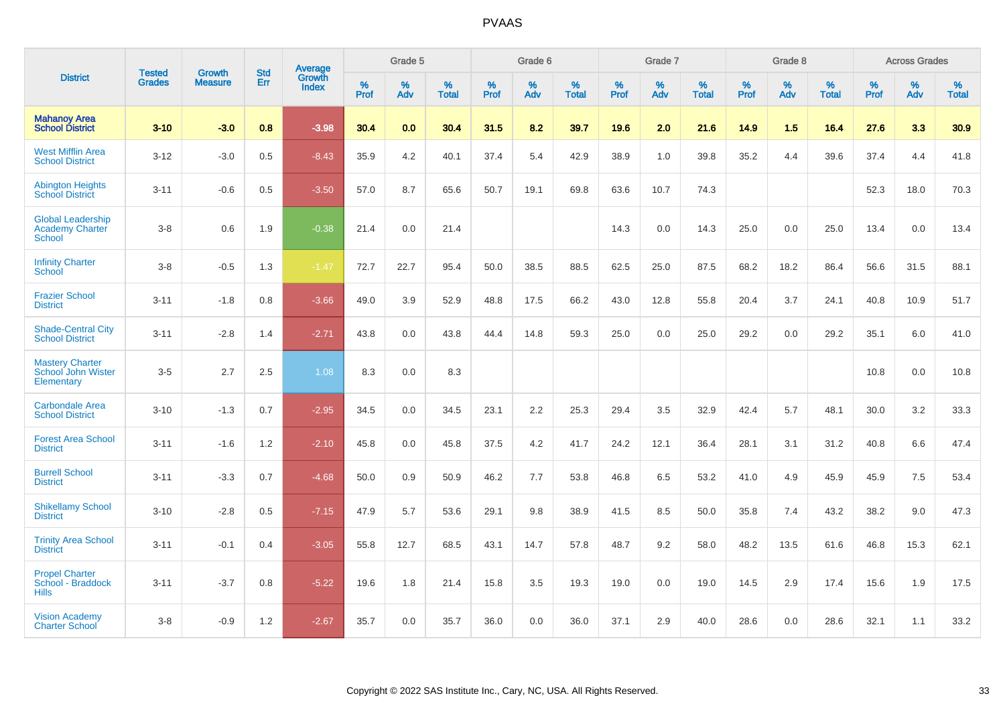|                                                                     | <b>Tested</b> | <b>Growth</b>  | <b>Std</b> | <b>Average</b>         |           | Grade 5  |                   |           | Grade 6  |                   |           | Grade 7  |                   |           | Grade 8  |                   |           | <b>Across Grades</b> |                   |
|---------------------------------------------------------------------|---------------|----------------|------------|------------------------|-----------|----------|-------------------|-----------|----------|-------------------|-----------|----------|-------------------|-----------|----------|-------------------|-----------|----------------------|-------------------|
| <b>District</b>                                                     | <b>Grades</b> | <b>Measure</b> | Err        | Growth<br><b>Index</b> | %<br>Prof | %<br>Adv | %<br><b>Total</b> | %<br>Prof | %<br>Adv | %<br><b>Total</b> | %<br>Prof | %<br>Adv | %<br><b>Total</b> | %<br>Prof | %<br>Adv | %<br><b>Total</b> | %<br>Prof | %<br>Adv             | %<br><b>Total</b> |
| <b>Mahanoy Area</b><br><b>School District</b>                       | $3 - 10$      | $-3.0$         | 0.8        | $-3.98$                | 30.4      | 0.0      | 30.4              | 31.5      | 8.2      | 39.7              | 19.6      | 2.0      | 21.6              | 14.9      | 1.5      | 16.4              | 27.6      | 3.3                  | 30.9              |
| <b>West Mifflin Area</b><br><b>School District</b>                  | $3 - 12$      | $-3.0$         | 0.5        | $-8.43$                | 35.9      | 4.2      | 40.1              | 37.4      | 5.4      | 42.9              | 38.9      | 1.0      | 39.8              | 35.2      | 4.4      | 39.6              | 37.4      | 4.4                  | 41.8              |
| <b>Abington Heights</b><br><b>School District</b>                   | $3 - 11$      | $-0.6$         | 0.5        | $-3.50$                | 57.0      | 8.7      | 65.6              | 50.7      | 19.1     | 69.8              | 63.6      | 10.7     | 74.3              |           |          |                   | 52.3      | 18.0                 | 70.3              |
| <b>Global Leadership</b><br><b>Academy Charter</b><br><b>School</b> | $3 - 8$       | 0.6            | 1.9        | $-0.38$                | 21.4      | 0.0      | 21.4              |           |          |                   | 14.3      | 0.0      | 14.3              | 25.0      | 0.0      | 25.0              | 13.4      | 0.0                  | 13.4              |
| <b>Infinity Charter</b><br><b>School</b>                            | $3 - 8$       | $-0.5$         | 1.3        | $-1.47$                | 72.7      | 22.7     | 95.4              | 50.0      | 38.5     | 88.5              | 62.5      | 25.0     | 87.5              | 68.2      | 18.2     | 86.4              | 56.6      | 31.5                 | 88.1              |
| <b>Frazier School</b><br><b>District</b>                            | $3 - 11$      | $-1.8$         | 0.8        | $-3.66$                | 49.0      | 3.9      | 52.9              | 48.8      | 17.5     | 66.2              | 43.0      | 12.8     | 55.8              | 20.4      | 3.7      | 24.1              | 40.8      | 10.9                 | 51.7              |
| <b>Shade-Central City</b><br><b>School District</b>                 | $3 - 11$      | $-2.8$         | 1.4        | $-2.71$                | 43.8      | 0.0      | 43.8              | 44.4      | 14.8     | 59.3              | 25.0      | 0.0      | 25.0              | 29.2      | 0.0      | 29.2              | 35.1      | 6.0                  | 41.0              |
| <b>Mastery Charter</b><br>School John Wister<br>Elementary          | $3-5$         | 2.7            | 2.5        | 1.08                   | 8.3       | 0.0      | 8.3               |           |          |                   |           |          |                   |           |          |                   | 10.8      | 0.0                  | 10.8              |
| <b>Carbondale Area</b><br><b>School District</b>                    | $3 - 10$      | $-1.3$         | 0.7        | $-2.95$                | 34.5      | 0.0      | 34.5              | 23.1      | 2.2      | 25.3              | 29.4      | 3.5      | 32.9              | 42.4      | 5.7      | 48.1              | 30.0      | 3.2                  | 33.3              |
| <b>Forest Area School</b><br><b>District</b>                        | $3 - 11$      | $-1.6$         | 1.2        | $-2.10$                | 45.8      | 0.0      | 45.8              | 37.5      | 4.2      | 41.7              | 24.2      | 12.1     | 36.4              | 28.1      | 3.1      | 31.2              | 40.8      | 6.6                  | 47.4              |
| <b>Burrell School</b><br><b>District</b>                            | $3 - 11$      | $-3.3$         | 0.7        | $-4.68$                | 50.0      | 0.9      | 50.9              | 46.2      | 7.7      | 53.8              | 46.8      | 6.5      | 53.2              | 41.0      | 4.9      | 45.9              | 45.9      | 7.5                  | 53.4              |
| <b>Shikellamy School</b><br><b>District</b>                         | $3 - 10$      | $-2.8$         | 0.5        | $-7.15$                | 47.9      | 5.7      | 53.6              | 29.1      | 9.8      | 38.9              | 41.5      | 8.5      | 50.0              | 35.8      | 7.4      | 43.2              | 38.2      | 9.0                  | 47.3              |
| <b>Trinity Area School</b><br><b>District</b>                       | $3 - 11$      | $-0.1$         | 0.4        | $-3.05$                | 55.8      | 12.7     | 68.5              | 43.1      | 14.7     | 57.8              | 48.7      | 9.2      | 58.0              | 48.2      | 13.5     | 61.6              | 46.8      | 15.3                 | 62.1              |
| <b>Propel Charter</b><br>School - Braddock<br><b>Hills</b>          | $3 - 11$      | $-3.7$         | 0.8        | $-5.22$                | 19.6      | 1.8      | 21.4              | 15.8      | 3.5      | 19.3              | 19.0      | 0.0      | 19.0              | 14.5      | 2.9      | 17.4              | 15.6      | 1.9                  | 17.5              |
| <b>Vision Academy</b><br><b>Charter School</b>                      | $3 - 8$       | $-0.9$         | 1.2        | $-2.67$                | 35.7      | 0.0      | 35.7              | 36.0      | 0.0      | 36.0              | 37.1      | 2.9      | 40.0              | 28.6      | 0.0      | 28.6              | 32.1      | 1.1                  | 33.2              |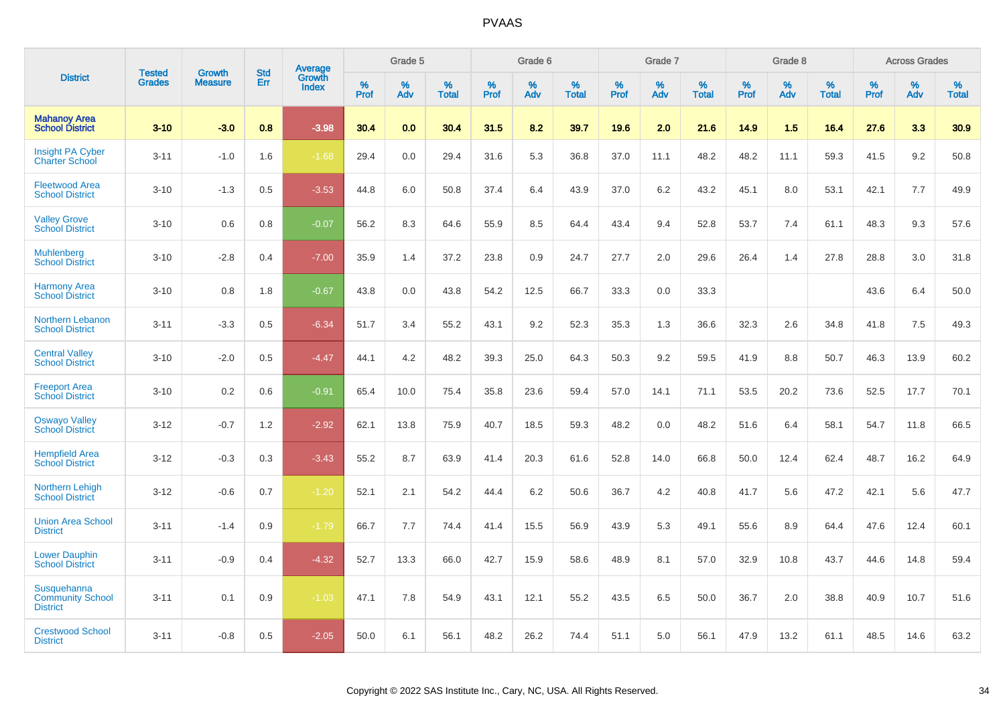|                                                           | <b>Tested</b> | <b>Growth</b>  | <b>Std</b> | Average         |              | Grade 5     |                      |                     | Grade 6     |                      |              | Grade 7     |                      |              | Grade 8     |                   |                     | <b>Across Grades</b> |                      |
|-----------------------------------------------------------|---------------|----------------|------------|-----------------|--------------|-------------|----------------------|---------------------|-------------|----------------------|--------------|-------------|----------------------|--------------|-------------|-------------------|---------------------|----------------------|----------------------|
| <b>District</b>                                           | <b>Grades</b> | <b>Measure</b> | Err        | Growth<br>Index | $\%$<br>Prof | $\%$<br>Adv | $\%$<br><b>Total</b> | $\%$<br><b>Prof</b> | $\%$<br>Adv | $\%$<br><b>Total</b> | $\%$<br>Prof | $\%$<br>Adv | $\%$<br><b>Total</b> | $\%$<br>Prof | $\%$<br>Adv | %<br><b>Total</b> | $\%$<br><b>Prof</b> | $\%$<br>Adv          | $\%$<br><b>Total</b> |
| <b>Mahanoy Area</b><br><b>School District</b>             | $3 - 10$      | $-3.0$         | 0.8        | $-3.98$         | 30.4         | 0.0         | 30.4                 | 31.5                | 8.2         | 39.7                 | 19.6         | 2.0         | 21.6                 | 14.9         | 1.5         | 16.4              | 27.6                | 3.3                  | 30.9                 |
| <b>Insight PA Cyber</b><br><b>Charter School</b>          | $3 - 11$      | $-1.0$         | 1.6        | $-1.68$         | 29.4         | 0.0         | 29.4                 | 31.6                | 5.3         | 36.8                 | 37.0         | 11.1        | 48.2                 | 48.2         | 11.1        | 59.3              | 41.5                | 9.2                  | 50.8                 |
| <b>Fleetwood Area</b><br><b>School District</b>           | $3 - 10$      | $-1.3$         | 0.5        | $-3.53$         | 44.8         | 6.0         | 50.8                 | 37.4                | 6.4         | 43.9                 | 37.0         | 6.2         | 43.2                 | 45.1         | 8.0         | 53.1              | 42.1                | 7.7                  | 49.9                 |
| <b>Valley Grove</b><br><b>School District</b>             | $3 - 10$      | 0.6            | 0.8        | $-0.07$         | 56.2         | 8.3         | 64.6                 | 55.9                | 8.5         | 64.4                 | 43.4         | 9.4         | 52.8                 | 53.7         | 7.4         | 61.1              | 48.3                | 9.3                  | 57.6                 |
| Muhlenberg<br><b>School District</b>                      | $3 - 10$      | $-2.8$         | 0.4        | $-7.00$         | 35.9         | 1.4         | 37.2                 | 23.8                | 0.9         | 24.7                 | 27.7         | 2.0         | 29.6                 | 26.4         | 1.4         | 27.8              | 28.8                | 3.0                  | 31.8                 |
| <b>Harmony Area</b><br><b>School District</b>             | $3 - 10$      | 0.8            | 1.8        | $-0.67$         | 43.8         | 0.0         | 43.8                 | 54.2                | 12.5        | 66.7                 | 33.3         | 0.0         | 33.3                 |              |             |                   | 43.6                | 6.4                  | 50.0                 |
| Northern Lebanon<br><b>School District</b>                | $3 - 11$      | $-3.3$         | 0.5        | $-6.34$         | 51.7         | 3.4         | 55.2                 | 43.1                | 9.2         | 52.3                 | 35.3         | 1.3         | 36.6                 | 32.3         | 2.6         | 34.8              | 41.8                | 7.5                  | 49.3                 |
| <b>Central Valley</b><br><b>School District</b>           | $3 - 10$      | $-2.0$         | 0.5        | $-4.47$         | 44.1         | 4.2         | 48.2                 | 39.3                | 25.0        | 64.3                 | 50.3         | 9.2         | 59.5                 | 41.9         | 8.8         | 50.7              | 46.3                | 13.9                 | 60.2                 |
| <b>Freeport Area</b><br><b>School District</b>            | $3 - 10$      | 0.2            | 0.6        | $-0.91$         | 65.4         | 10.0        | 75.4                 | 35.8                | 23.6        | 59.4                 | 57.0         | 14.1        | 71.1                 | 53.5         | 20.2        | 73.6              | 52.5                | 17.7                 | 70.1                 |
| <b>Oswayo Valley</b><br>School District                   | $3 - 12$      | $-0.7$         | 1.2        | $-2.92$         | 62.1         | 13.8        | 75.9                 | 40.7                | 18.5        | 59.3                 | 48.2         | 0.0         | 48.2                 | 51.6         | 6.4         | 58.1              | 54.7                | 11.8                 | 66.5                 |
| <b>Hempfield Area</b><br><b>School District</b>           | $3 - 12$      | $-0.3$         | 0.3        | $-3.43$         | 55.2         | 8.7         | 63.9                 | 41.4                | 20.3        | 61.6                 | 52.8         | 14.0        | 66.8                 | 50.0         | 12.4        | 62.4              | 48.7                | 16.2                 | 64.9                 |
| Northern Lehigh<br><b>School District</b>                 | $3 - 12$      | $-0.6$         | 0.7        | $-1.20$         | 52.1         | 2.1         | 54.2                 | 44.4                | 6.2         | 50.6                 | 36.7         | 4.2         | 40.8                 | 41.7         | 5.6         | 47.2              | 42.1                | 5.6                  | 47.7                 |
| <b>Union Area School</b><br><b>District</b>               | $3 - 11$      | $-1.4$         | 0.9        | $-1.79$         | 66.7         | 7.7         | 74.4                 | 41.4                | 15.5        | 56.9                 | 43.9         | 5.3         | 49.1                 | 55.6         | 8.9         | 64.4              | 47.6                | 12.4                 | 60.1                 |
| <b>Lower Dauphin</b><br><b>School District</b>            | $3 - 11$      | $-0.9$         | 0.4        | $-4.32$         | 52.7         | 13.3        | 66.0                 | 42.7                | 15.9        | 58.6                 | 48.9         | 8.1         | 57.0                 | 32.9         | 10.8        | 43.7              | 44.6                | 14.8                 | 59.4                 |
| Susquehanna<br><b>Community School</b><br><b>District</b> | $3 - 11$      | 0.1            | 0.9        | $-1.03$         | 47.1         | 7.8         | 54.9                 | 43.1                | 12.1        | 55.2                 | 43.5         | 6.5         | 50.0                 | 36.7         | 2.0         | 38.8              | 40.9                | 10.7                 | 51.6                 |
| <b>Crestwood School</b><br><b>District</b>                | $3 - 11$      | $-0.8$         | 0.5        | $-2.05$         | 50.0         | 6.1         | 56.1                 | 48.2                | 26.2        | 74.4                 | 51.1         | 5.0         | 56.1                 | 47.9         | 13.2        | 61.1              | 48.5                | 14.6                 | 63.2                 |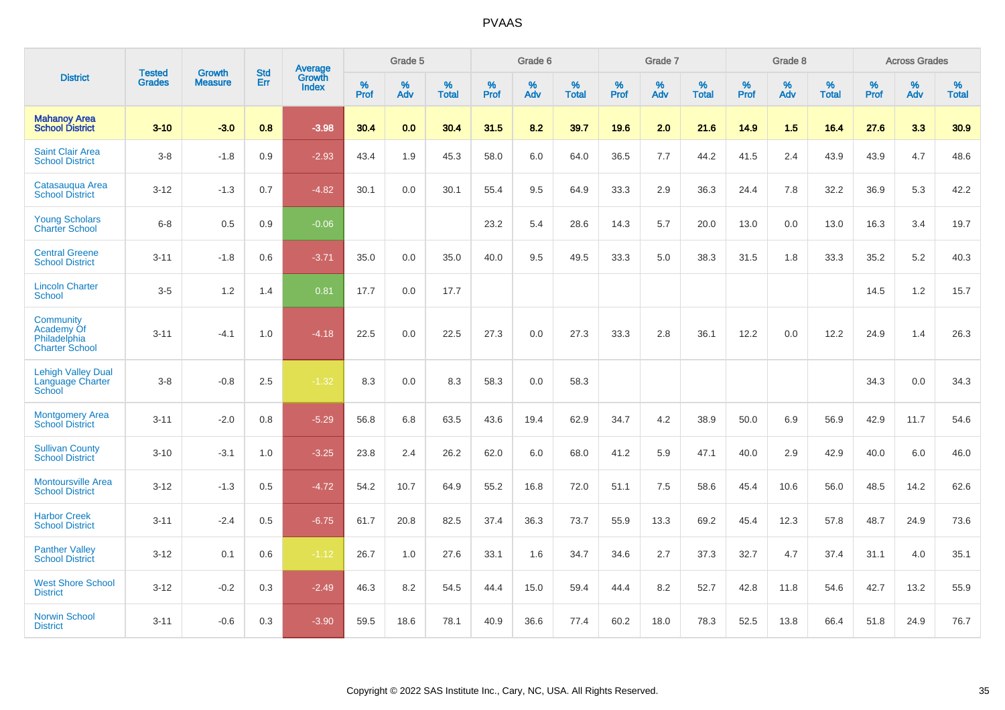|                                                                  | <b>Tested</b> | <b>Growth</b>  | <b>Std</b> | <b>Average</b>         |           | Grade 5  |                   |           | Grade 6  |                   |           | Grade 7  |                   |           | Grade 8  |                   |           | <b>Across Grades</b> |                   |
|------------------------------------------------------------------|---------------|----------------|------------|------------------------|-----------|----------|-------------------|-----------|----------|-------------------|-----------|----------|-------------------|-----------|----------|-------------------|-----------|----------------------|-------------------|
| <b>District</b>                                                  | <b>Grades</b> | <b>Measure</b> | Err        | Growth<br><b>Index</b> | %<br>Prof | %<br>Adv | %<br><b>Total</b> | %<br>Prof | %<br>Adv | %<br><b>Total</b> | %<br>Prof | %<br>Adv | %<br><b>Total</b> | %<br>Prof | %<br>Adv | %<br><b>Total</b> | %<br>Prof | %<br>Adv             | %<br><b>Total</b> |
| <b>Mahanoy Area</b><br><b>School District</b>                    | $3 - 10$      | $-3.0$         | 0.8        | $-3.98$                | 30.4      | 0.0      | 30.4              | 31.5      | 8.2      | 39.7              | 19.6      | 2.0      | 21.6              | 14.9      | 1.5      | 16.4              | 27.6      | 3.3                  | 30.9              |
| <b>Saint Clair Area</b><br><b>School District</b>                | $3 - 8$       | $-1.8$         | 0.9        | $-2.93$                | 43.4      | 1.9      | 45.3              | 58.0      | 6.0      | 64.0              | 36.5      | 7.7      | 44.2              | 41.5      | 2.4      | 43.9              | 43.9      | 4.7                  | 48.6              |
| Catasauqua Area<br><b>School District</b>                        | $3 - 12$      | $-1.3$         | 0.7        | $-4.82$                | 30.1      | 0.0      | 30.1              | 55.4      | 9.5      | 64.9              | 33.3      | 2.9      | 36.3              | 24.4      | 7.8      | 32.2              | 36.9      | 5.3                  | 42.2              |
| <b>Young Scholars</b><br><b>Charter School</b>                   | $6 - 8$       | 0.5            | 0.9        | $-0.06$                |           |          |                   | 23.2      | 5.4      | 28.6              | 14.3      | 5.7      | 20.0              | 13.0      | 0.0      | 13.0              | 16.3      | 3.4                  | 19.7              |
| <b>Central Greene</b><br><b>School District</b>                  | $3 - 11$      | $-1.8$         | 0.6        | $-3.71$                | 35.0      | 0.0      | 35.0              | 40.0      | 9.5      | 49.5              | 33.3      | 5.0      | 38.3              | 31.5      | 1.8      | 33.3              | 35.2      | $5.2\,$              | 40.3              |
| <b>Lincoln Charter</b><br><b>School</b>                          | $3-5$         | 1.2            | 1.4        | 0.81                   | 17.7      | 0.0      | 17.7              |           |          |                   |           |          |                   |           |          |                   | 14.5      | 1.2                  | 15.7              |
| Community<br>Academy Of<br>Philadelphia<br><b>Charter School</b> | $3 - 11$      | $-4.1$         | 1.0        | $-4.18$                | 22.5      | 0.0      | 22.5              | 27.3      | 0.0      | 27.3              | 33.3      | 2.8      | 36.1              | 12.2      | 0.0      | 12.2              | 24.9      | 1.4                  | 26.3              |
| <b>Lehigh Valley Dual</b><br>Language Charter<br>School          | $3 - 8$       | $-0.8$         | 2.5        | $-1.32$                | 8.3       | 0.0      | 8.3               | 58.3      | 0.0      | 58.3              |           |          |                   |           |          |                   | 34.3      | 0.0                  | 34.3              |
| <b>Montgomery Area</b><br><b>School District</b>                 | $3 - 11$      | $-2.0$         | 0.8        | $-5.29$                | 56.8      | 6.8      | 63.5              | 43.6      | 19.4     | 62.9              | 34.7      | 4.2      | 38.9              | 50.0      | 6.9      | 56.9              | 42.9      | 11.7                 | 54.6              |
| <b>Sullivan County</b><br><b>School District</b>                 | $3 - 10$      | $-3.1$         | 1.0        | $-3.25$                | 23.8      | 2.4      | 26.2              | 62.0      | 6.0      | 68.0              | 41.2      | 5.9      | 47.1              | 40.0      | 2.9      | 42.9              | 40.0      | 6.0                  | 46.0              |
| <b>Montoursville Area</b><br><b>School District</b>              | $3 - 12$      | $-1.3$         | 0.5        | $-4.72$                | 54.2      | 10.7     | 64.9              | 55.2      | 16.8     | 72.0              | 51.1      | 7.5      | 58.6              | 45.4      | 10.6     | 56.0              | 48.5      | 14.2                 | 62.6              |
| <b>Harbor Creek</b><br><b>School District</b>                    | $3 - 11$      | $-2.4$         | 0.5        | $-6.75$                | 61.7      | 20.8     | 82.5              | 37.4      | 36.3     | 73.7              | 55.9      | 13.3     | 69.2              | 45.4      | 12.3     | 57.8              | 48.7      | 24.9                 | 73.6              |
| <b>Panther Valley</b><br><b>School District</b>                  | $3 - 12$      | 0.1            | 0.6        | $-1.12$                | 26.7      | 1.0      | 27.6              | 33.1      | 1.6      | 34.7              | 34.6      | 2.7      | 37.3              | 32.7      | 4.7      | 37.4              | 31.1      | 4.0                  | 35.1              |
| <b>West Shore School</b><br><b>District</b>                      | $3 - 12$      | $-0.2$         | 0.3        | $-2.49$                | 46.3      | 8.2      | 54.5              | 44.4      | 15.0     | 59.4              | 44.4      | 8.2      | 52.7              | 42.8      | 11.8     | 54.6              | 42.7      | 13.2                 | 55.9              |
| <b>Norwin School</b><br><b>District</b>                          | $3 - 11$      | $-0.6$         | 0.3        | $-3.90$                | 59.5      | 18.6     | 78.1              | 40.9      | 36.6     | 77.4              | 60.2      | 18.0     | 78.3              | 52.5      | 13.8     | 66.4              | 51.8      | 24.9                 | 76.7              |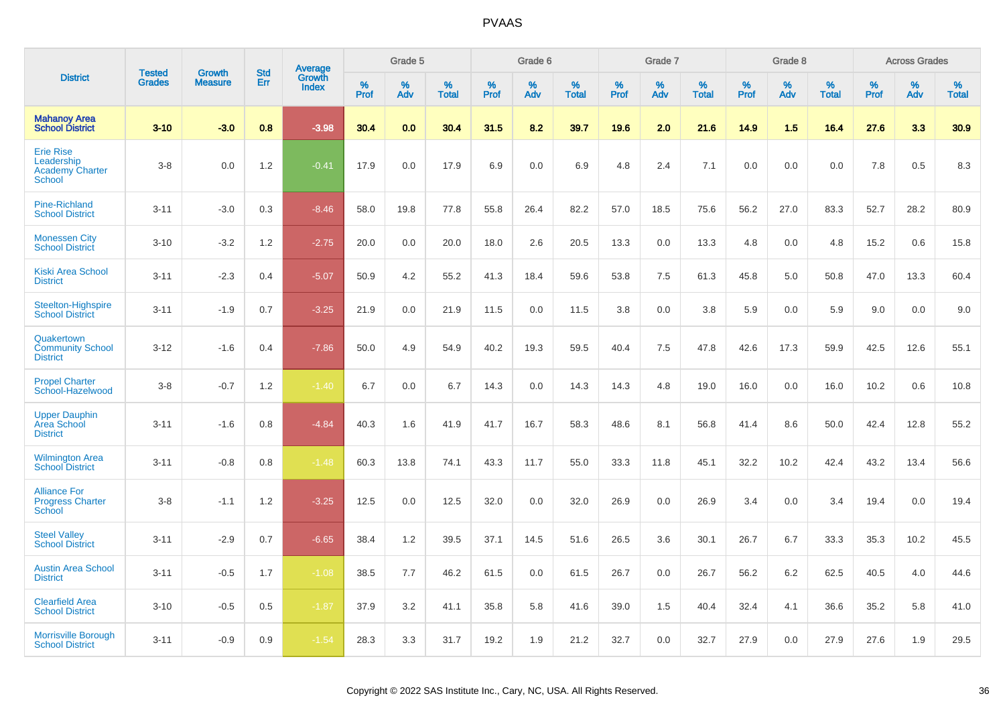|                                                                    | <b>Tested</b> | <b>Growth</b>  | <b>Std</b> | Average                |           | Grade 5  |                   |           | Grade 6  |                   |           | Grade 7  |                   |           | Grade 8  |                   |           | <b>Across Grades</b> |                   |
|--------------------------------------------------------------------|---------------|----------------|------------|------------------------|-----------|----------|-------------------|-----------|----------|-------------------|-----------|----------|-------------------|-----------|----------|-------------------|-----------|----------------------|-------------------|
| <b>District</b>                                                    | <b>Grades</b> | <b>Measure</b> | Err        | Growth<br><b>Index</b> | %<br>Prof | %<br>Adv | %<br><b>Total</b> | %<br>Prof | %<br>Adv | %<br><b>Total</b> | %<br>Prof | %<br>Adv | %<br><b>Total</b> | %<br>Prof | %<br>Adv | %<br><b>Total</b> | %<br>Prof | %<br>Adv             | %<br><b>Total</b> |
| <b>Mahanoy Area</b><br><b>School District</b>                      | $3 - 10$      | $-3.0$         | 0.8        | $-3.98$                | 30.4      | 0.0      | 30.4              | 31.5      | 8.2      | 39.7              | 19.6      | 2.0      | 21.6              | 14.9      | 1.5      | 16.4              | 27.6      | 3.3                  | 30.9              |
| <b>Erie Rise</b><br>Leadership<br><b>Academy Charter</b><br>School | $3-8$         | 0.0            | 1.2        | $-0.41$                | 17.9      | 0.0      | 17.9              | 6.9       | 0.0      | 6.9               | 4.8       | 2.4      | 7.1               | 0.0       | 0.0      | 0.0               | 7.8       | 0.5                  | 8.3               |
| <b>Pine-Richland</b><br><b>School District</b>                     | $3 - 11$      | $-3.0$         | 0.3        | $-8.46$                | 58.0      | 19.8     | 77.8              | 55.8      | 26.4     | 82.2              | 57.0      | 18.5     | 75.6              | 56.2      | 27.0     | 83.3              | 52.7      | 28.2                 | 80.9              |
| <b>Monessen City</b><br><b>School District</b>                     | $3 - 10$      | $-3.2$         | 1.2        | $-2.75$                | 20.0      | 0.0      | 20.0              | 18.0      | 2.6      | 20.5              | 13.3      | 0.0      | 13.3              | 4.8       | 0.0      | 4.8               | 15.2      | 0.6                  | 15.8              |
| <b>Kiski Area School</b><br><b>District</b>                        | $3 - 11$      | $-2.3$         | 0.4        | $-5.07$                | 50.9      | 4.2      | 55.2              | 41.3      | 18.4     | 59.6              | 53.8      | 7.5      | 61.3              | 45.8      | 5.0      | 50.8              | 47.0      | 13.3                 | 60.4              |
| Steelton-Highspire<br><b>School District</b>                       | $3 - 11$      | $-1.9$         | 0.7        | $-3.25$                | 21.9      | 0.0      | 21.9              | 11.5      | 0.0      | 11.5              | 3.8       | 0.0      | 3.8               | 5.9       | 0.0      | 5.9               | 9.0       | 0.0                  | 9.0               |
| Quakertown<br><b>Community School</b><br><b>District</b>           | $3 - 12$      | $-1.6$         | 0.4        | $-7.86$                | 50.0      | 4.9      | 54.9              | 40.2      | 19.3     | 59.5              | 40.4      | 7.5      | 47.8              | 42.6      | 17.3     | 59.9              | 42.5      | 12.6                 | 55.1              |
| <b>Propel Charter</b><br>School-Hazelwood                          | $3-8$         | $-0.7$         | 1.2        | $-1.40$                | 6.7       | 0.0      | 6.7               | 14.3      | 0.0      | 14.3              | 14.3      | 4.8      | 19.0              | 16.0      | 0.0      | 16.0              | 10.2      | 0.6                  | 10.8              |
| <b>Upper Dauphin</b><br>Area School<br><b>District</b>             | $3 - 11$      | $-1.6$         | 0.8        | $-4.84$                | 40.3      | 1.6      | 41.9              | 41.7      | 16.7     | 58.3              | 48.6      | 8.1      | 56.8              | 41.4      | 8.6      | 50.0              | 42.4      | 12.8                 | 55.2              |
| <b>Wilmington Area</b><br><b>School District</b>                   | $3 - 11$      | $-0.8$         | 0.8        | $-1.48$                | 60.3      | 13.8     | 74.1              | 43.3      | 11.7     | 55.0              | 33.3      | 11.8     | 45.1              | 32.2      | 10.2     | 42.4              | 43.2      | 13.4                 | 56.6              |
| <b>Alliance For</b><br><b>Progress Charter</b><br>School           | $3-8$         | $-1.1$         | 1.2        | $-3.25$                | 12.5      | 0.0      | 12.5              | 32.0      | 0.0      | 32.0              | 26.9      | 0.0      | 26.9              | 3.4       | 0.0      | 3.4               | 19.4      | 0.0                  | 19.4              |
| <b>Steel Valley</b><br><b>School District</b>                      | $3 - 11$      | $-2.9$         | 0.7        | $-6.65$                | 38.4      | 1.2      | 39.5              | 37.1      | 14.5     | 51.6              | 26.5      | 3.6      | 30.1              | 26.7      | 6.7      | 33.3              | 35.3      | 10.2                 | 45.5              |
| <b>Austin Area School</b><br><b>District</b>                       | $3 - 11$      | $-0.5$         | 1.7        | $-1.08$                | 38.5      | 7.7      | 46.2              | 61.5      | 0.0      | 61.5              | 26.7      | 0.0      | 26.7              | 56.2      | 6.2      | 62.5              | 40.5      | 4.0                  | 44.6              |
| <b>Clearfield Area</b><br><b>School District</b>                   | $3 - 10$      | $-0.5$         | 0.5        | $-1.87$                | 37.9      | 3.2      | 41.1              | 35.8      | 5.8      | 41.6              | 39.0      | 1.5      | 40.4              | 32.4      | 4.1      | 36.6              | 35.2      | 5.8                  | 41.0              |
| <b>Morrisville Borough</b><br><b>School District</b>               | $3 - 11$      | $-0.9$         | 0.9        | $-1.54$                | 28.3      | 3.3      | 31.7              | 19.2      | 1.9      | 21.2              | 32.7      | 0.0      | 32.7              | 27.9      | 0.0      | 27.9              | 27.6      | 1.9                  | 29.5              |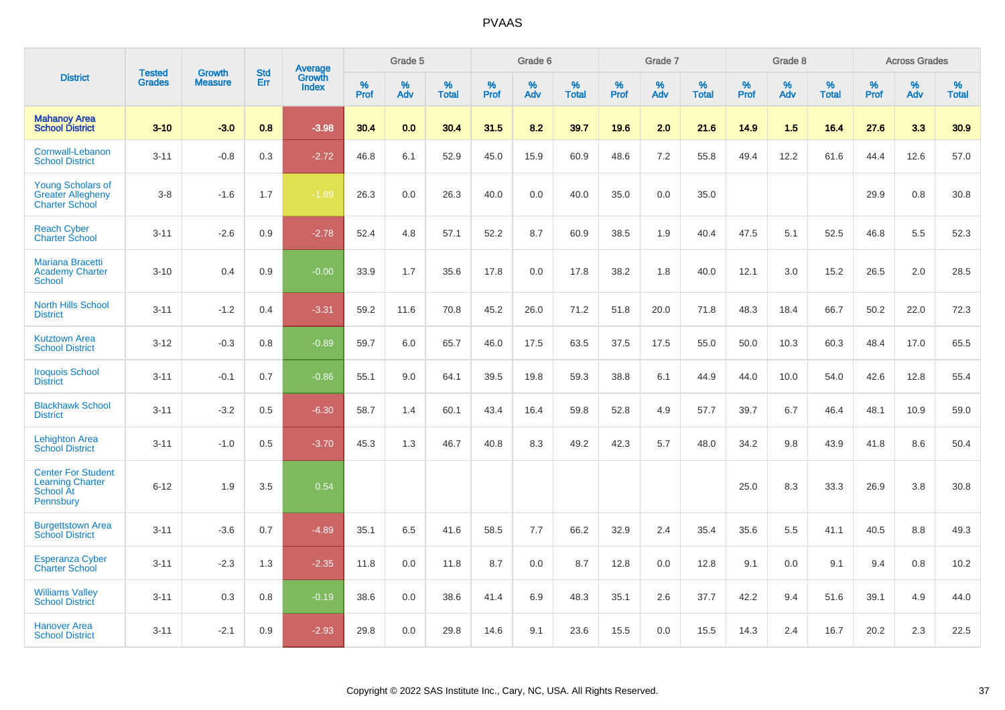|                                                                                |                                | <b>Growth</b>  | <b>Std</b> | Average                |              | Grade 5  |                   |           | Grade 6  |                   |           | Grade 7  |                   |           | Grade 8  |                   |           | <b>Across Grades</b> |                   |
|--------------------------------------------------------------------------------|--------------------------------|----------------|------------|------------------------|--------------|----------|-------------------|-----------|----------|-------------------|-----------|----------|-------------------|-----------|----------|-------------------|-----------|----------------------|-------------------|
| <b>District</b>                                                                | <b>Tested</b><br><b>Grades</b> | <b>Measure</b> | <b>Err</b> | Growth<br><b>Index</b> | $\%$<br>Prof | %<br>Adv | %<br><b>Total</b> | %<br>Prof | %<br>Adv | %<br><b>Total</b> | %<br>Prof | %<br>Adv | %<br><b>Total</b> | %<br>Prof | %<br>Adv | %<br><b>Total</b> | %<br>Prof | %<br>Adv             | %<br><b>Total</b> |
| <b>Mahanoy Area</b><br><b>School District</b>                                  | $3 - 10$                       | $-3.0$         | 0.8        | $-3.98$                | 30.4         | 0.0      | 30.4              | 31.5      | 8.2      | 39.7              | 19.6      | 2.0      | 21.6              | 14.9      | 1.5      | 16.4              | 27.6      | 3.3                  | 30.9              |
| Cornwall-Lebanon<br><b>School District</b>                                     | $3 - 11$                       | $-0.8$         | 0.3        | $-2.72$                | 46.8         | 6.1      | 52.9              | 45.0      | 15.9     | 60.9              | 48.6      | 7.2      | 55.8              | 49.4      | 12.2     | 61.6              | 44.4      | 12.6                 | 57.0              |
| <b>Young Scholars of</b><br><b>Greater Allegheny</b><br><b>Charter School</b>  | $3 - 8$                        | $-1.6$         | 1.7        | $-1.89$                | 26.3         | 0.0      | 26.3              | 40.0      | 0.0      | 40.0              | 35.0      | 0.0      | 35.0              |           |          |                   | 29.9      | 0.8                  | 30.8              |
| <b>Reach Cyber</b><br><b>Charter School</b>                                    | $3 - 11$                       | $-2.6$         | 0.9        | $-2.78$                | 52.4         | 4.8      | 57.1              | 52.2      | 8.7      | 60.9              | 38.5      | 1.9      | 40.4              | 47.5      | 5.1      | 52.5              | 46.8      | 5.5                  | 52.3              |
| <b>Mariana Bracetti</b><br><b>Academy Charter</b><br><b>School</b>             | $3 - 10$                       | 0.4            | 0.9        | $-0.00$                | 33.9         | 1.7      | 35.6              | 17.8      | 0.0      | 17.8              | 38.2      | 1.8      | 40.0              | 12.1      | 3.0      | 15.2              | 26.5      | 2.0                  | 28.5              |
| <b>North Hills School</b><br><b>District</b>                                   | $3 - 11$                       | $-1.2$         | 0.4        | $-3.31$                | 59.2         | 11.6     | 70.8              | 45.2      | 26.0     | 71.2              | 51.8      | 20.0     | 71.8              | 48.3      | 18.4     | 66.7              | 50.2      | 22.0                 | 72.3              |
| <b>Kutztown Area</b><br><b>School District</b>                                 | $3 - 12$                       | $-0.3$         | 0.8        | $-0.89$                | 59.7         | 6.0      | 65.7              | 46.0      | 17.5     | 63.5              | 37.5      | 17.5     | 55.0              | 50.0      | 10.3     | 60.3              | 48.4      | 17.0                 | 65.5              |
| <b>Iroquois School</b><br><b>District</b>                                      | $3 - 11$                       | $-0.1$         | 0.7        | $-0.86$                | 55.1         | 9.0      | 64.1              | 39.5      | 19.8     | 59.3              | 38.8      | 6.1      | 44.9              | 44.0      | 10.0     | 54.0              | 42.6      | 12.8                 | 55.4              |
| <b>Blackhawk School</b><br><b>District</b>                                     | $3 - 11$                       | $-3.2$         | 0.5        | $-6.30$                | 58.7         | 1.4      | 60.1              | 43.4      | 16.4     | 59.8              | 52.8      | 4.9      | 57.7              | 39.7      | 6.7      | 46.4              | 48.1      | 10.9                 | 59.0              |
| <b>Lehighton Area</b><br><b>School District</b>                                | $3 - 11$                       | $-1.0$         | 0.5        | $-3.70$                | 45.3         | 1.3      | 46.7              | 40.8      | 8.3      | 49.2              | 42.3      | 5.7      | 48.0              | 34.2      | 9.8      | 43.9              | 41.8      | 8.6                  | 50.4              |
| <b>Center For Student</b><br><b>Learning Charter</b><br>School At<br>Pennsbury | $6 - 12$                       | 1.9            | 3.5        | 0.54                   |              |          |                   |           |          |                   |           |          |                   | 25.0      | 8.3      | 33.3              | 26.9      | 3.8                  | 30.8              |
| <b>Burgettstown Area</b><br><b>School District</b>                             | $3 - 11$                       | $-3.6$         | 0.7        | $-4.89$                | 35.1         | 6.5      | 41.6              | 58.5      | 7.7      | 66.2              | 32.9      | 2.4      | 35.4              | 35.6      | 5.5      | 41.1              | 40.5      | 8.8                  | 49.3              |
| <b>Esperanza Cyber</b><br><b>Charter School</b>                                | $3 - 11$                       | $-2.3$         | 1.3        | $-2.35$                | 11.8         | 0.0      | 11.8              | 8.7       | 0.0      | 8.7               | 12.8      | 0.0      | 12.8              | 9.1       | 0.0      | 9.1               | 9.4       | 0.8                  | 10.2              |
| <b>Williams Valley</b><br><b>School District</b>                               | $3 - 11$                       | 0.3            | 0.8        | $-0.19$                | 38.6         | 0.0      | 38.6              | 41.4      | 6.9      | 48.3              | 35.1      | 2.6      | 37.7              | 42.2      | 9.4      | 51.6              | 39.1      | 4.9                  | 44.0              |
| <b>Hanover Area</b><br><b>School District</b>                                  | $3 - 11$                       | $-2.1$         | 0.9        | $-2.93$                | 29.8         | 0.0      | 29.8              | 14.6      | 9.1      | 23.6              | 15.5      | 0.0      | 15.5              | 14.3      | 2.4      | 16.7              | 20.2      | 2.3                  | 22.5              |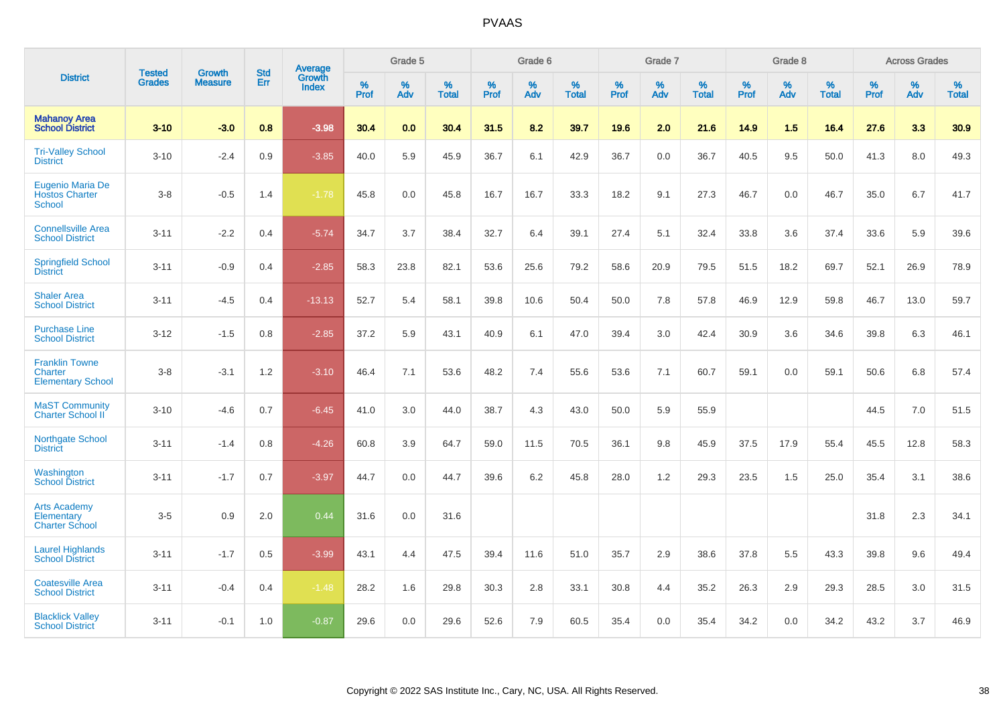|                                                              | <b>Tested</b> | <b>Growth</b>  | <b>Std</b> | Average                |              | Grade 5  |                   |           | Grade 6  |                   |           | Grade 7  |                   |           | Grade 8  |                   |           | <b>Across Grades</b> |                   |
|--------------------------------------------------------------|---------------|----------------|------------|------------------------|--------------|----------|-------------------|-----------|----------|-------------------|-----------|----------|-------------------|-----------|----------|-------------------|-----------|----------------------|-------------------|
| <b>District</b>                                              | <b>Grades</b> | <b>Measure</b> | Err        | Growth<br><b>Index</b> | $\%$<br>Prof | %<br>Adv | %<br><b>Total</b> | %<br>Prof | %<br>Adv | %<br><b>Total</b> | %<br>Prof | %<br>Adv | %<br><b>Total</b> | %<br>Prof | %<br>Adv | %<br><b>Total</b> | %<br>Prof | %<br>Adv             | %<br><b>Total</b> |
| <b>Mahanoy Area</b><br><b>School District</b>                | $3 - 10$      | $-3.0$         | 0.8        | $-3.98$                | 30.4         | 0.0      | 30.4              | 31.5      | 8.2      | 39.7              | 19.6      | 2.0      | 21.6              | 14.9      | 1.5      | 16.4              | 27.6      | 3.3                  | 30.9              |
| <b>Tri-Valley School</b><br><b>District</b>                  | $3 - 10$      | $-2.4$         | 0.9        | $-3.85$                | 40.0         | 5.9      | 45.9              | 36.7      | 6.1      | 42.9              | 36.7      | 0.0      | 36.7              | 40.5      | 9.5      | 50.0              | 41.3      | 8.0                  | 49.3              |
| Eugenio Maria De<br><b>Hostos Charter</b><br><b>School</b>   | $3-8$         | $-0.5$         | 1.4        | $-1.78$                | 45.8         | 0.0      | 45.8              | 16.7      | 16.7     | 33.3              | 18.2      | 9.1      | 27.3              | 46.7      | 0.0      | 46.7              | 35.0      | 6.7                  | 41.7              |
| <b>Connellsville Area</b><br><b>School District</b>          | $3 - 11$      | $-2.2$         | 0.4        | $-5.74$                | 34.7         | 3.7      | 38.4              | 32.7      | 6.4      | 39.1              | 27.4      | 5.1      | 32.4              | 33.8      | 3.6      | 37.4              | 33.6      | 5.9                  | 39.6              |
| <b>Springfield School</b><br><b>District</b>                 | $3 - 11$      | $-0.9$         | 0.4        | $-2.85$                | 58.3         | 23.8     | 82.1              | 53.6      | 25.6     | 79.2              | 58.6      | 20.9     | 79.5              | 51.5      | 18.2     | 69.7              | 52.1      | 26.9                 | 78.9              |
| <b>Shaler Area</b><br><b>School District</b>                 | $3 - 11$      | $-4.5$         | 0.4        | $-13.13$               | 52.7         | 5.4      | 58.1              | 39.8      | 10.6     | 50.4              | 50.0      | 7.8      | 57.8              | 46.9      | 12.9     | 59.8              | 46.7      | 13.0                 | 59.7              |
| <b>Purchase Line</b><br><b>School District</b>               | $3 - 12$      | $-1.5$         | 0.8        | $-2.85$                | 37.2         | 5.9      | 43.1              | 40.9      | 6.1      | 47.0              | 39.4      | 3.0      | 42.4              | 30.9      | 3.6      | 34.6              | 39.8      | 6.3                  | 46.1              |
| <b>Franklin Towne</b><br>Charter<br><b>Elementary School</b> | $3-8$         | $-3.1$         | 1.2        | $-3.10$                | 46.4         | 7.1      | 53.6              | 48.2      | 7.4      | 55.6              | 53.6      | 7.1      | 60.7              | 59.1      | 0.0      | 59.1              | 50.6      | 6.8                  | 57.4              |
| <b>MaST Community</b><br>Charter School II                   | $3 - 10$      | $-4.6$         | 0.7        | $-6.45$                | 41.0         | 3.0      | 44.0              | 38.7      | 4.3      | 43.0              | 50.0      | 5.9      | 55.9              |           |          |                   | 44.5      | 7.0                  | 51.5              |
| Northgate School<br><b>District</b>                          | $3 - 11$      | $-1.4$         | 0.8        | $-4.26$                | 60.8         | 3.9      | 64.7              | 59.0      | 11.5     | 70.5              | 36.1      | 9.8      | 45.9              | 37.5      | 17.9     | 55.4              | 45.5      | 12.8                 | 58.3              |
| Washington<br><b>School District</b>                         | $3 - 11$      | $-1.7$         | 0.7        | $-3.97$                | 44.7         | 0.0      | 44.7              | 39.6      | 6.2      | 45.8              | 28.0      | 1.2      | 29.3              | 23.5      | 1.5      | 25.0              | 35.4      | 3.1                  | 38.6              |
| <b>Arts Academy</b><br>Elementary<br><b>Charter School</b>   | $3-5$         | 0.9            | 2.0        | 0.44                   | 31.6         | 0.0      | 31.6              |           |          |                   |           |          |                   |           |          |                   | 31.8      | 2.3                  | 34.1              |
| <b>Laurel Highlands</b><br><b>School District</b>            | $3 - 11$      | $-1.7$         | 0.5        | $-3.99$                | 43.1         | 4.4      | 47.5              | 39.4      | 11.6     | 51.0              | 35.7      | 2.9      | 38.6              | 37.8      | 5.5      | 43.3              | 39.8      | 9.6                  | 49.4              |
| <b>Coatesville Area</b><br><b>School District</b>            | $3 - 11$      | $-0.4$         | 0.4        | $-1.48$                | 28.2         | 1.6      | 29.8              | 30.3      | 2.8      | 33.1              | 30.8      | 4.4      | 35.2              | 26.3      | 2.9      | 29.3              | 28.5      | 3.0                  | 31.5              |
| <b>Blacklick Valley</b><br><b>School District</b>            | $3 - 11$      | $-0.1$         | 1.0        | $-0.87$                | 29.6         | 0.0      | 29.6              | 52.6      | 7.9      | 60.5              | 35.4      | 0.0      | 35.4              | 34.2      | 0.0      | 34.2              | 43.2      | 3.7                  | 46.9              |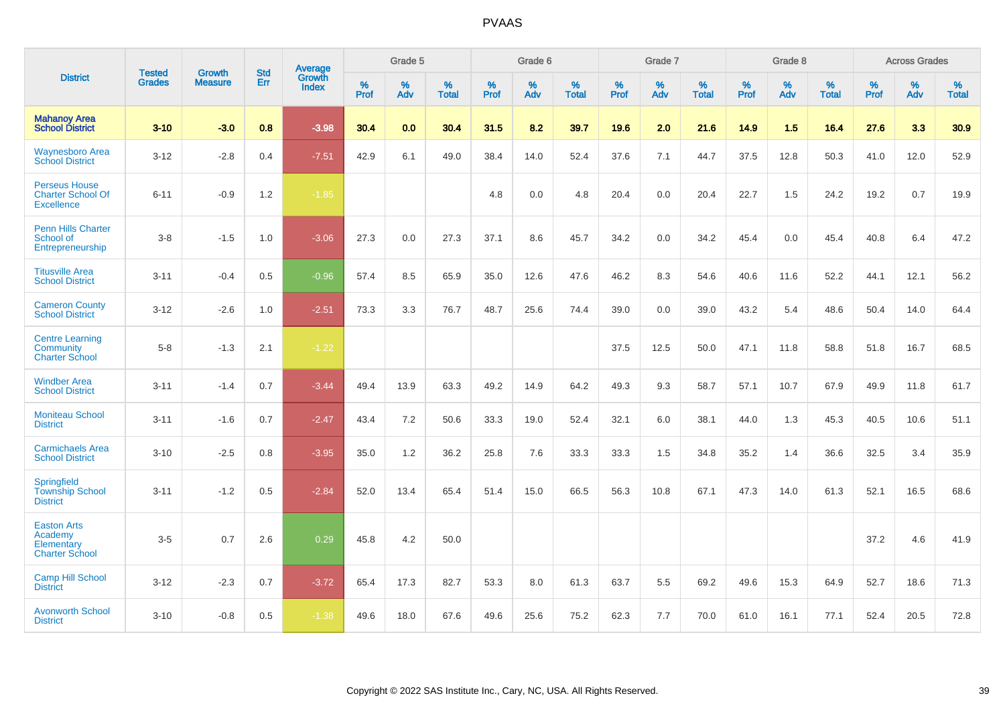|                                                                       | <b>Tested</b> | <b>Growth</b>  | <b>Std</b> | Average                |                     | Grade 5  |                   |              | Grade 6  |                   |              | Grade 7  |                   |              | Grade 8  |                   |           | <b>Across Grades</b> |                   |
|-----------------------------------------------------------------------|---------------|----------------|------------|------------------------|---------------------|----------|-------------------|--------------|----------|-------------------|--------------|----------|-------------------|--------------|----------|-------------------|-----------|----------------------|-------------------|
| <b>District</b>                                                       | <b>Grades</b> | <b>Measure</b> | Err        | Growth<br><b>Index</b> | $\%$<br><b>Prof</b> | %<br>Adv | %<br><b>Total</b> | $\%$<br>Prof | %<br>Adv | %<br><b>Total</b> | $\%$<br>Prof | %<br>Adv | %<br><b>Total</b> | $\%$<br>Prof | %<br>Adv | %<br><b>Total</b> | %<br>Prof | %<br>Adv             | %<br><b>Total</b> |
| <b>Mahanoy Area</b><br><b>School District</b>                         | $3 - 10$      | $-3.0$         | 0.8        | $-3.98$                | 30.4                | 0.0      | 30.4              | 31.5         | 8.2      | 39.7              | 19.6         | 2.0      | 21.6              | 14.9         | 1.5      | 16.4              | 27.6      | 3.3                  | 30.9              |
| <b>Waynesboro Area</b><br><b>School District</b>                      | $3 - 12$      | $-2.8$         | 0.4        | $-7.51$                | 42.9                | 6.1      | 49.0              | 38.4         | 14.0     | 52.4              | 37.6         | 7.1      | 44.7              | 37.5         | 12.8     | 50.3              | 41.0      | 12.0                 | 52.9              |
| <b>Perseus House</b><br><b>Charter School Of</b><br><b>Excellence</b> | $6 - 11$      | $-0.9$         | 1.2        | $-1.85$                |                     |          |                   | 4.8          | 0.0      | 4.8               | 20.4         | 0.0      | 20.4              | 22.7         | 1.5      | 24.2              | 19.2      | 0.7                  | 19.9              |
| <b>Penn Hills Charter</b><br>School of<br>Entrepreneurship            | $3 - 8$       | $-1.5$         | 1.0        | $-3.06$                | 27.3                | 0.0      | 27.3              | 37.1         | 8.6      | 45.7              | 34.2         | 0.0      | 34.2              | 45.4         | 0.0      | 45.4              | 40.8      | 6.4                  | 47.2              |
| <b>Titusville Area</b><br><b>School District</b>                      | $3 - 11$      | $-0.4$         | 0.5        | $-0.96$                | 57.4                | 8.5      | 65.9              | 35.0         | 12.6     | 47.6              | 46.2         | 8.3      | 54.6              | 40.6         | 11.6     | 52.2              | 44.1      | 12.1                 | 56.2              |
| <b>Cameron County</b><br><b>School District</b>                       | $3 - 12$      | $-2.6$         | 1.0        | $-2.51$                | 73.3                | 3.3      | 76.7              | 48.7         | 25.6     | 74.4              | 39.0         | 0.0      | 39.0              | 43.2         | 5.4      | 48.6              | 50.4      | 14.0                 | 64.4              |
| <b>Centre Learning</b><br>Community<br><b>Charter School</b>          | $5 - 8$       | $-1.3$         | 2.1        | $-1.22$                |                     |          |                   |              |          |                   | 37.5         | 12.5     | 50.0              | 47.1         | 11.8     | 58.8              | 51.8      | 16.7                 | 68.5              |
| <b>Windber Area</b><br><b>School District</b>                         | $3 - 11$      | $-1.4$         | 0.7        | $-3.44$                | 49.4                | 13.9     | 63.3              | 49.2         | 14.9     | 64.2              | 49.3         | 9.3      | 58.7              | 57.1         | 10.7     | 67.9              | 49.9      | 11.8                 | 61.7              |
| <b>Moniteau School</b><br><b>District</b>                             | $3 - 11$      | $-1.6$         | 0.7        | $-2.47$                | 43.4                | 7.2      | 50.6              | 33.3         | 19.0     | 52.4              | 32.1         | 6.0      | 38.1              | 44.0         | 1.3      | 45.3              | 40.5      | 10.6                 | 51.1              |
| <b>Carmichaels Area</b><br><b>School District</b>                     | $3 - 10$      | $-2.5$         | 0.8        | $-3.95$                | 35.0                | 1.2      | 36.2              | 25.8         | 7.6      | 33.3              | 33.3         | 1.5      | 34.8              | 35.2         | 1.4      | 36.6              | 32.5      | 3.4                  | 35.9              |
| <b>Springfield</b><br><b>Township School</b><br><b>District</b>       | $3 - 11$      | $-1.2$         | 0.5        | $-2.84$                | 52.0                | 13.4     | 65.4              | 51.4         | 15.0     | 66.5              | 56.3         | 10.8     | 67.1              | 47.3         | 14.0     | 61.3              | 52.1      | 16.5                 | 68.6              |
| <b>Easton Arts</b><br>Academy<br>Elementary<br><b>Charter School</b>  | $3-5$         | 0.7            | 2.6        | 0.29                   | 45.8                | 4.2      | 50.0              |              |          |                   |              |          |                   |              |          |                   | 37.2      | 4.6                  | 41.9              |
| <b>Camp Hill School</b><br><b>District</b>                            | $3 - 12$      | $-2.3$         | 0.7        | $-3.72$                | 65.4                | 17.3     | 82.7              | 53.3         | 8.0      | 61.3              | 63.7         | 5.5      | 69.2              | 49.6         | 15.3     | 64.9              | 52.7      | 18.6                 | 71.3              |
| <b>Avonworth School</b><br><b>District</b>                            | $3 - 10$      | $-0.8$         | 0.5        | $-1.38$                | 49.6                | 18.0     | 67.6              | 49.6         | 25.6     | 75.2              | 62.3         | 7.7      | 70.0              | 61.0         | 16.1     | 77.1              | 52.4      | 20.5                 | 72.8              |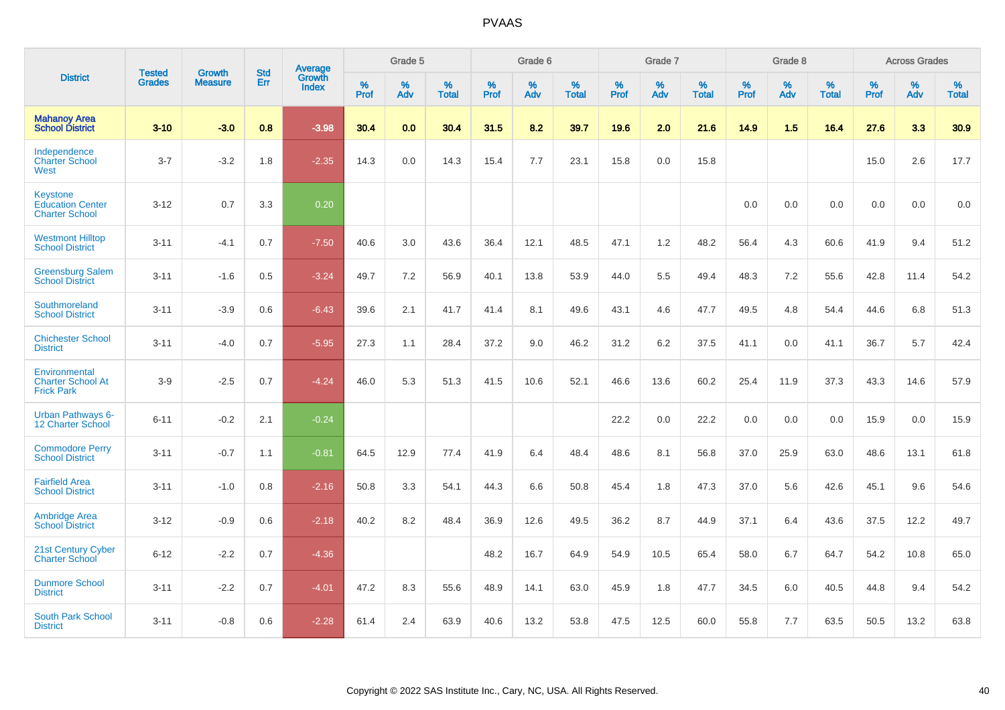|                                                                     | <b>Tested</b> | <b>Growth</b>  | <b>Std</b> | Average                       |           | Grade 5  |                   |           | Grade 6  |                   |           | Grade 7  |                   |           | Grade 8  |                   |           | <b>Across Grades</b> |                   |
|---------------------------------------------------------------------|---------------|----------------|------------|-------------------------------|-----------|----------|-------------------|-----------|----------|-------------------|-----------|----------|-------------------|-----------|----------|-------------------|-----------|----------------------|-------------------|
| <b>District</b>                                                     | <b>Grades</b> | <b>Measure</b> | Err        | <b>Growth</b><br><b>Index</b> | %<br>Prof | %<br>Adv | %<br><b>Total</b> | %<br>Prof | %<br>Adv | %<br><b>Total</b> | %<br>Prof | %<br>Adv | %<br><b>Total</b> | %<br>Prof | %<br>Adv | %<br><b>Total</b> | %<br>Prof | %<br>Adv             | %<br><b>Total</b> |
| <b>Mahanoy Area</b><br><b>School District</b>                       | $3 - 10$      | $-3.0$         | 0.8        | $-3.98$                       | 30.4      | 0.0      | 30.4              | 31.5      | 8.2      | 39.7              | 19.6      | 2.0      | 21.6              | 14.9      | 1.5      | 16.4              | 27.6      | 3.3                  | 30.9              |
| Independence<br><b>Charter School</b><br>West                       | $3 - 7$       | $-3.2$         | 1.8        | $-2.35$                       | 14.3      | 0.0      | 14.3              | 15.4      | 7.7      | 23.1              | 15.8      | 0.0      | 15.8              |           |          |                   | 15.0      | 2.6                  | 17.7              |
| <b>Keystone</b><br><b>Education Center</b><br><b>Charter School</b> | $3 - 12$      | 0.7            | 3.3        | 0.20                          |           |          |                   |           |          |                   |           |          |                   | 0.0       | 0.0      | 0.0               | 0.0       | 0.0                  | 0.0               |
| <b>Westmont Hilltop</b><br><b>School District</b>                   | $3 - 11$      | $-4.1$         | 0.7        | $-7.50$                       | 40.6      | 3.0      | 43.6              | 36.4      | 12.1     | 48.5              | 47.1      | 1.2      | 48.2              | 56.4      | 4.3      | 60.6              | 41.9      | 9.4                  | 51.2              |
| <b>Greensburg Salem</b><br><b>School District</b>                   | $3 - 11$      | $-1.6$         | 0.5        | $-3.24$                       | 49.7      | 7.2      | 56.9              | 40.1      | 13.8     | 53.9              | 44.0      | 5.5      | 49.4              | 48.3      | 7.2      | 55.6              | 42.8      | 11.4                 | 54.2              |
| Southmoreland<br><b>School District</b>                             | $3 - 11$      | $-3.9$         | 0.6        | $-6.43$                       | 39.6      | 2.1      | 41.7              | 41.4      | 8.1      | 49.6              | 43.1      | 4.6      | 47.7              | 49.5      | 4.8      | 54.4              | 44.6      | 6.8                  | 51.3              |
| <b>Chichester School</b><br><b>District</b>                         | $3 - 11$      | $-4.0$         | 0.7        | $-5.95$                       | 27.3      | 1.1      | 28.4              | 37.2      | 9.0      | 46.2              | 31.2      | 6.2      | 37.5              | 41.1      | 0.0      | 41.1              | 36.7      | 5.7                  | 42.4              |
| Environmental<br><b>Charter School At</b><br><b>Frick Park</b>      | $3-9$         | $-2.5$         | 0.7        | $-4.24$                       | 46.0      | 5.3      | 51.3              | 41.5      | 10.6     | 52.1              | 46.6      | 13.6     | 60.2              | 25.4      | 11.9     | 37.3              | 43.3      | 14.6                 | 57.9              |
| <b>Urban Pathways 6-</b><br>12 Charter School                       | $6 - 11$      | $-0.2$         | 2.1        | $-0.24$                       |           |          |                   |           |          |                   | 22.2      | 0.0      | 22.2              | 0.0       | 0.0      | 0.0               | 15.9      | 0.0                  | 15.9              |
| <b>Commodore Perry</b><br><b>School District</b>                    | $3 - 11$      | $-0.7$         | 1.1        | $-0.81$                       | 64.5      | 12.9     | 77.4              | 41.9      | 6.4      | 48.4              | 48.6      | 8.1      | 56.8              | 37.0      | 25.9     | 63.0              | 48.6      | 13.1                 | 61.8              |
| <b>Fairfield Area</b><br><b>School District</b>                     | $3 - 11$      | $-1.0$         | 0.8        | $-2.16$                       | 50.8      | 3.3      | 54.1              | 44.3      | 6.6      | 50.8              | 45.4      | 1.8      | 47.3              | 37.0      | 5.6      | 42.6              | 45.1      | 9.6                  | 54.6              |
| <b>Ambridge Area</b><br><b>School District</b>                      | $3 - 12$      | $-0.9$         | 0.6        | $-2.18$                       | 40.2      | 8.2      | 48.4              | 36.9      | 12.6     | 49.5              | 36.2      | 8.7      | 44.9              | 37.1      | 6.4      | 43.6              | 37.5      | 12.2                 | 49.7              |
| <b>21st Century Cyber</b><br><b>Charter School</b>                  | $6 - 12$      | $-2.2$         | 0.7        | $-4.36$                       |           |          |                   | 48.2      | 16.7     | 64.9              | 54.9      | 10.5     | 65.4              | 58.0      | 6.7      | 64.7              | 54.2      | 10.8                 | 65.0              |
| <b>Dunmore School</b><br><b>District</b>                            | $3 - 11$      | $-2.2$         | 0.7        | $-4.01$                       | 47.2      | 8.3      | 55.6              | 48.9      | 14.1     | 63.0              | 45.9      | 1.8      | 47.7              | 34.5      | 6.0      | 40.5              | 44.8      | 9.4                  | 54.2              |
| <b>South Park School</b><br><b>District</b>                         | $3 - 11$      | $-0.8$         | 0.6        | $-2.28$                       | 61.4      | 2.4      | 63.9              | 40.6      | 13.2     | 53.8              | 47.5      | 12.5     | 60.0              | 55.8      | 7.7      | 63.5              | 50.5      | 13.2                 | 63.8              |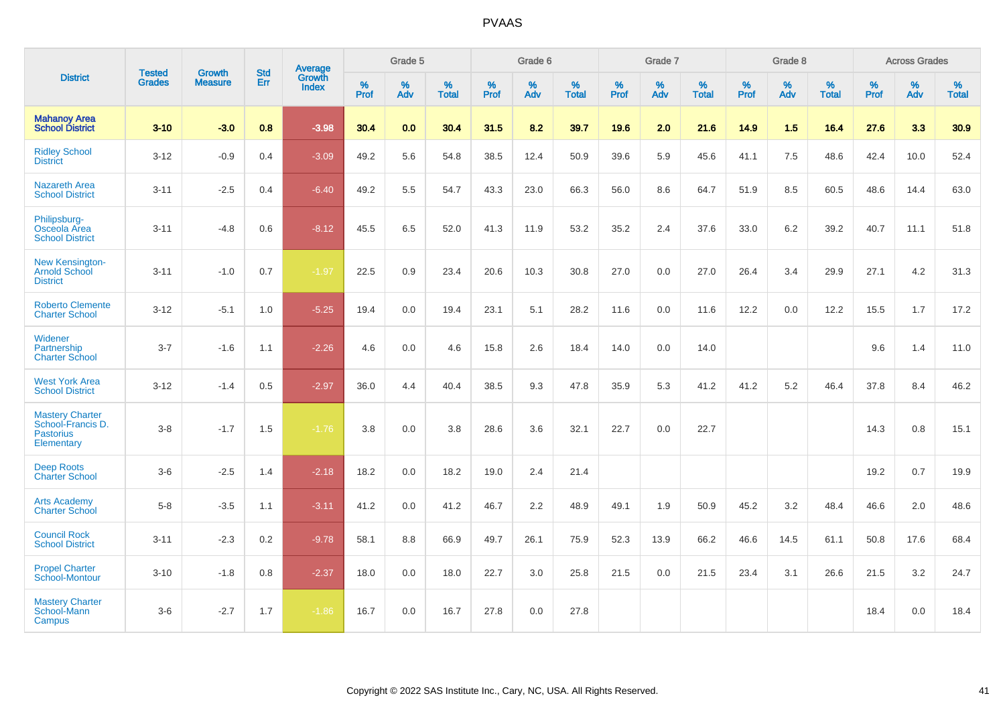|                                                                               |                                |                                 | <b>Std</b> | <b>Average</b>  |           | Grade 5  |                   |           | Grade 6  |                   |           | Grade 7  |                   |           | Grade 8  |                   |           | <b>Across Grades</b> |                   |
|-------------------------------------------------------------------------------|--------------------------------|---------------------------------|------------|-----------------|-----------|----------|-------------------|-----------|----------|-------------------|-----------|----------|-------------------|-----------|----------|-------------------|-----------|----------------------|-------------------|
| <b>District</b>                                                               | <b>Tested</b><br><b>Grades</b> | <b>Growth</b><br><b>Measure</b> | Err        | Growth<br>Index | %<br>Prof | %<br>Adv | %<br><b>Total</b> | %<br>Prof | %<br>Adv | %<br><b>Total</b> | %<br>Prof | %<br>Adv | %<br><b>Total</b> | %<br>Prof | %<br>Adv | %<br><b>Total</b> | %<br>Prof | %<br>Adv             | %<br><b>Total</b> |
| <b>Mahanoy Area</b><br><b>School District</b>                                 | $3 - 10$                       | $-3.0$                          | 0.8        | $-3.98$         | 30.4      | 0.0      | 30.4              | 31.5      | 8.2      | 39.7              | 19.6      | 2.0      | 21.6              | 14.9      | 1.5      | 16.4              | 27.6      | 3.3                  | 30.9              |
| <b>Ridley School</b><br><b>District</b>                                       | $3 - 12$                       | $-0.9$                          | 0.4        | $-3.09$         | 49.2      | 5.6      | 54.8              | 38.5      | 12.4     | 50.9              | 39.6      | 5.9      | 45.6              | 41.1      | 7.5      | 48.6              | 42.4      | 10.0                 | 52.4              |
| <b>Nazareth Area</b><br><b>School District</b>                                | $3 - 11$                       | $-2.5$                          | 0.4        | $-6.40$         | 49.2      | 5.5      | 54.7              | 43.3      | 23.0     | 66.3              | 56.0      | 8.6      | 64.7              | 51.9      | 8.5      | 60.5              | 48.6      | 14.4                 | 63.0              |
| Philipsburg-<br>Osceola Area<br><b>School District</b>                        | $3 - 11$                       | $-4.8$                          | 0.6        | $-8.12$         | 45.5      | 6.5      | 52.0              | 41.3      | 11.9     | 53.2              | 35.2      | 2.4      | 37.6              | 33.0      | 6.2      | 39.2              | 40.7      | 11.1                 | 51.8              |
| <b>New Kensington-</b><br><b>Arnold School</b><br><b>District</b>             | $3 - 11$                       | $-1.0$                          | 0.7        | $-1.97$         | 22.5      | 0.9      | 23.4              | 20.6      | 10.3     | 30.8              | 27.0      | 0.0      | 27.0              | 26.4      | 3.4      | 29.9              | 27.1      | 4.2                  | 31.3              |
| <b>Roberto Clemente</b><br><b>Charter School</b>                              | $3 - 12$                       | $-5.1$                          | 1.0        | $-5.25$         | 19.4      | 0.0      | 19.4              | 23.1      | 5.1      | 28.2              | 11.6      | 0.0      | 11.6              | 12.2      | 0.0      | 12.2              | 15.5      | 1.7                  | 17.2              |
| Widener<br>Partnership<br><b>Charter School</b>                               | $3 - 7$                        | $-1.6$                          | 1.1        | $-2.26$         | 4.6       | 0.0      | 4.6               | 15.8      | 2.6      | 18.4              | 14.0      | 0.0      | 14.0              |           |          |                   | 9.6       | 1.4                  | 11.0              |
| <b>West York Area</b><br><b>School District</b>                               | $3-12$                         | $-1.4$                          | 0.5        | $-2.97$         | 36.0      | 4.4      | 40.4              | 38.5      | 9.3      | 47.8              | 35.9      | 5.3      | 41.2              | 41.2      | 5.2      | 46.4              | 37.8      | 8.4                  | 46.2              |
| <b>Mastery Charter</b><br>School-Francis D.<br><b>Pastorius</b><br>Elementary | $3 - 8$                        | $-1.7$                          | 1.5        | $-1.76$         | 3.8       | 0.0      | 3.8               | 28.6      | 3.6      | 32.1              | 22.7      | 0.0      | 22.7              |           |          |                   | 14.3      | 0.8                  | 15.1              |
| <b>Deep Roots</b><br><b>Charter School</b>                                    | $3-6$                          | $-2.5$                          | 1.4        | $-2.18$         | 18.2      | 0.0      | 18.2              | 19.0      | 2.4      | 21.4              |           |          |                   |           |          |                   | 19.2      | 0.7                  | 19.9              |
| <b>Arts Academy</b><br><b>Charter School</b>                                  | $5 - 8$                        | $-3.5$                          | 1.1        | $-3.11$         | 41.2      | 0.0      | 41.2              | 46.7      | 2.2      | 48.9              | 49.1      | 1.9      | 50.9              | 45.2      | 3.2      | 48.4              | 46.6      | 2.0                  | 48.6              |
| <b>Council Rock</b><br><b>School District</b>                                 | $3 - 11$                       | $-2.3$                          | 0.2        | $-9.78$         | 58.1      | 8.8      | 66.9              | 49.7      | 26.1     | 75.9              | 52.3      | 13.9     | 66.2              | 46.6      | 14.5     | 61.1              | 50.8      | 17.6                 | 68.4              |
| <b>Propel Charter</b><br>School-Montour                                       | $3 - 10$                       | $-1.8$                          | 0.8        | $-2.37$         | 18.0      | 0.0      | 18.0              | 22.7      | 3.0      | 25.8              | 21.5      | 0.0      | 21.5              | 23.4      | 3.1      | 26.6              | 21.5      | 3.2                  | 24.7              |
| <b>Mastery Charter</b><br>School-Mann<br>Campus                               | $3-6$                          | $-2.7$                          | 1.7        | $-1.86$         | 16.7      | 0.0      | 16.7              | 27.8      | 0.0      | 27.8              |           |          |                   |           |          |                   | 18.4      | 0.0                  | 18.4              |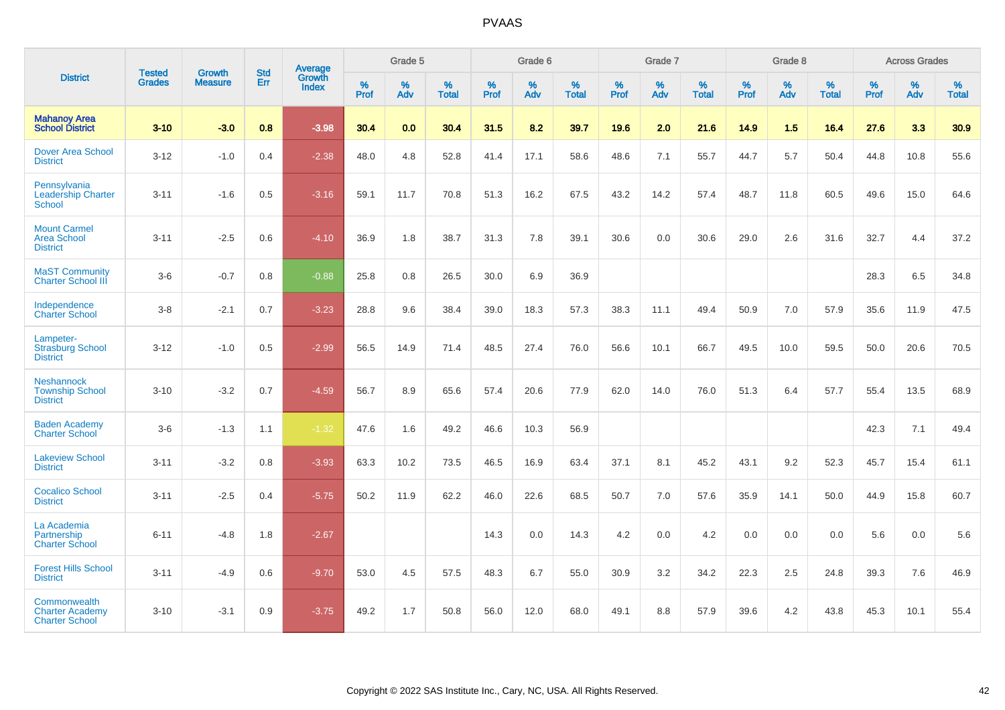|                                                                 | <b>Tested</b> | <b>Growth</b>  | <b>Std</b> | Average                |              | Grade 5  |                   |              | Grade 6  |                   |              | Grade 7  |                   |              | Grade 8  |                   |                     | <b>Across Grades</b> |                   |
|-----------------------------------------------------------------|---------------|----------------|------------|------------------------|--------------|----------|-------------------|--------------|----------|-------------------|--------------|----------|-------------------|--------------|----------|-------------------|---------------------|----------------------|-------------------|
| <b>District</b>                                                 | <b>Grades</b> | <b>Measure</b> | Err        | Growth<br><b>Index</b> | $\%$<br>Prof | %<br>Adv | %<br><b>Total</b> | $\%$<br>Prof | %<br>Adv | %<br><b>Total</b> | $\%$<br>Prof | %<br>Adv | %<br><b>Total</b> | $\%$<br>Prof | %<br>Adv | %<br><b>Total</b> | $\%$<br><b>Prof</b> | %<br>Adv             | %<br><b>Total</b> |
| <b>Mahanoy Area</b><br><b>School District</b>                   | $3 - 10$      | $-3.0$         | 0.8        | $-3.98$                | 30.4         | 0.0      | 30.4              | 31.5         | 8.2      | 39.7              | 19.6         | 2.0      | 21.6              | 14.9         | 1.5      | 16.4              | 27.6                | 3.3                  | 30.9              |
| <b>Dover Area School</b><br><b>District</b>                     | $3 - 12$      | $-1.0$         | 0.4        | $-2.38$                | 48.0         | 4.8      | 52.8              | 41.4         | 17.1     | 58.6              | 48.6         | 7.1      | 55.7              | 44.7         | 5.7      | 50.4              | 44.8                | 10.8                 | 55.6              |
| Pennsylvania<br><b>Leadership Charter</b><br>School             | $3 - 11$      | $-1.6$         | 0.5        | $-3.16$                | 59.1         | 11.7     | 70.8              | 51.3         | 16.2     | 67.5              | 43.2         | 14.2     | 57.4              | 48.7         | 11.8     | 60.5              | 49.6                | 15.0                 | 64.6              |
| <b>Mount Carmel</b><br><b>Area School</b><br><b>District</b>    | $3 - 11$      | $-2.5$         | 0.6        | $-4.10$                | 36.9         | 1.8      | 38.7              | 31.3         | 7.8      | 39.1              | 30.6         | 0.0      | 30.6              | 29.0         | 2.6      | 31.6              | 32.7                | 4.4                  | 37.2              |
| <b>MaST Community</b><br><b>Charter School III</b>              | $3-6$         | $-0.7$         | 0.8        | $-0.88$                | 25.8         | 0.8      | 26.5              | 30.0         | 6.9      | 36.9              |              |          |                   |              |          |                   | 28.3                | 6.5                  | 34.8              |
| Independence<br><b>Charter School</b>                           | $3 - 8$       | $-2.1$         | 0.7        | $-3.23$                | 28.8         | 9.6      | 38.4              | 39.0         | 18.3     | 57.3              | 38.3         | 11.1     | 49.4              | 50.9         | 7.0      | 57.9              | 35.6                | 11.9                 | 47.5              |
| Lampeter-<br><b>Strasburg School</b><br><b>District</b>         | $3 - 12$      | $-1.0$         | 0.5        | $-2.99$                | 56.5         | 14.9     | 71.4              | 48.5         | 27.4     | 76.0              | 56.6         | 10.1     | 66.7              | 49.5         | 10.0     | 59.5              | 50.0                | 20.6                 | 70.5              |
| <b>Neshannock</b><br><b>Township School</b><br><b>District</b>  | $3 - 10$      | $-3.2$         | 0.7        | $-4.59$                | 56.7         | 8.9      | 65.6              | 57.4         | 20.6     | 77.9              | 62.0         | 14.0     | 76.0              | 51.3         | 6.4      | 57.7              | 55.4                | 13.5                 | 68.9              |
| <b>Baden Academy</b><br><b>Charter School</b>                   | $3-6$         | $-1.3$         | 1.1        | $-1.32$                | 47.6         | 1.6      | 49.2              | 46.6         | 10.3     | 56.9              |              |          |                   |              |          |                   | 42.3                | 7.1                  | 49.4              |
| <b>Lakeview School</b><br><b>District</b>                       | $3 - 11$      | $-3.2$         | 0.8        | $-3.93$                | 63.3         | 10.2     | 73.5              | 46.5         | 16.9     | 63.4              | 37.1         | 8.1      | 45.2              | 43.1         | 9.2      | 52.3              | 45.7                | 15.4                 | 61.1              |
| <b>Cocalico School</b><br><b>District</b>                       | $3 - 11$      | $-2.5$         | 0.4        | $-5.75$                | 50.2         | 11.9     | 62.2              | 46.0         | 22.6     | 68.5              | 50.7         | 7.0      | 57.6              | 35.9         | 14.1     | 50.0              | 44.9                | 15.8                 | 60.7              |
| La Academia<br>Partnership<br><b>Charter School</b>             | $6 - 11$      | $-4.8$         | 1.8        | $-2.67$                |              |          |                   | 14.3         | 0.0      | 14.3              | 4.2          | 0.0      | 4.2               | 0.0          | 0.0      | 0.0               | 5.6                 | 0.0                  | 5.6               |
| <b>Forest Hills School</b><br><b>District</b>                   | $3 - 11$      | $-4.9$         | 0.6        | $-9.70$                | 53.0         | 4.5      | 57.5              | 48.3         | 6.7      | 55.0              | 30.9         | 3.2      | 34.2              | 22.3         | 2.5      | 24.8              | 39.3                | 7.6                  | 46.9              |
| Commonwealth<br><b>Charter Academy</b><br><b>Charter School</b> | $3 - 10$      | $-3.1$         | 0.9        | $-3.75$                | 49.2         | 1.7      | 50.8              | 56.0         | 12.0     | 68.0              | 49.1         | 8.8      | 57.9              | 39.6         | 4.2      | 43.8              | 45.3                | 10.1                 | 55.4              |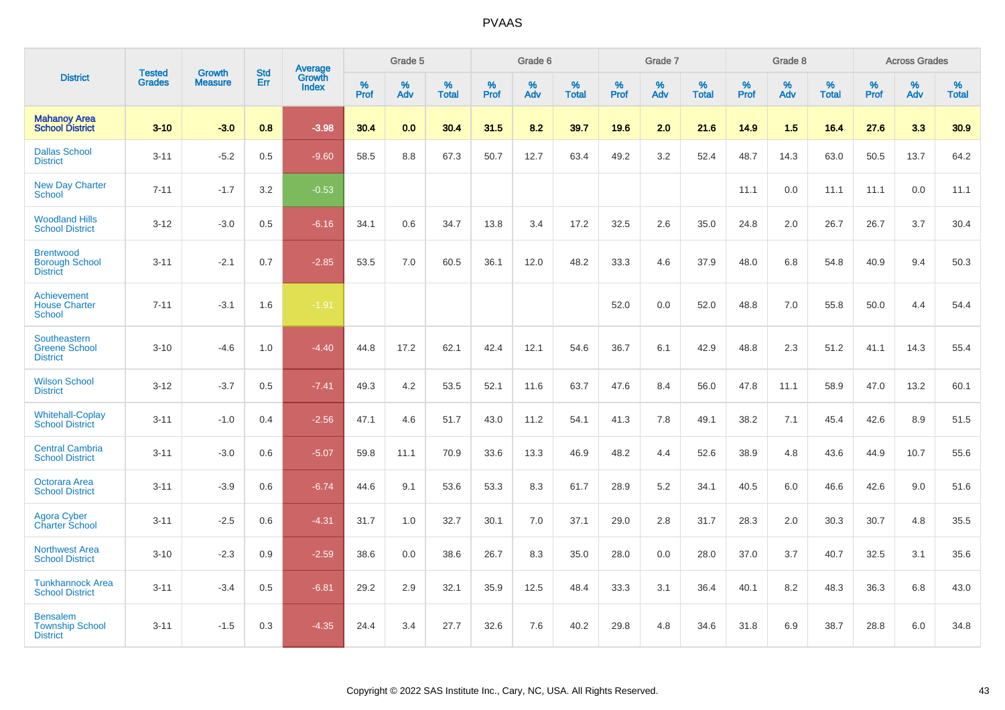|                                                              |                                |                                 | <b>Std</b> | Average                |           | Grade 5  |                   |           | Grade 6  |                   |           | Grade 7  |                   |           | Grade 8  |                   |           | <b>Across Grades</b> |                   |
|--------------------------------------------------------------|--------------------------------|---------------------------------|------------|------------------------|-----------|----------|-------------------|-----------|----------|-------------------|-----------|----------|-------------------|-----------|----------|-------------------|-----------|----------------------|-------------------|
| <b>District</b>                                              | <b>Tested</b><br><b>Grades</b> | <b>Growth</b><br><b>Measure</b> | Err        | Growth<br><b>Index</b> | %<br>Prof | %<br>Adv | %<br><b>Total</b> | %<br>Prof | %<br>Adv | %<br><b>Total</b> | %<br>Prof | %<br>Adv | %<br><b>Total</b> | %<br>Prof | %<br>Adv | %<br><b>Total</b> | %<br>Prof | %<br>Adv             | %<br><b>Total</b> |
| <b>Mahanoy Area</b><br><b>School District</b>                | $3 - 10$                       | $-3.0$                          | 0.8        | $-3.98$                | 30.4      | 0.0      | 30.4              | 31.5      | 8.2      | 39.7              | 19.6      | 2.0      | 21.6              | 14.9      | 1.5      | 16.4              | 27.6      | 3.3                  | 30.9              |
| <b>Dallas School</b><br><b>District</b>                      | $3 - 11$                       | $-5.2$                          | 0.5        | $-9.60$                | 58.5      | 8.8      | 67.3              | 50.7      | 12.7     | 63.4              | 49.2      | 3.2      | 52.4              | 48.7      | 14.3     | 63.0              | 50.5      | 13.7                 | 64.2              |
| <b>New Day Charter</b><br><b>School</b>                      | $7 - 11$                       | $-1.7$                          | 3.2        | $-0.53$                |           |          |                   |           |          |                   |           |          |                   | 11.1      | 0.0      | 11.1              | 11.1      | 0.0                  | 11.1              |
| <b>Woodland Hills</b><br><b>School District</b>              | $3 - 12$                       | $-3.0$                          | 0.5        | $-6.16$                | 34.1      | 0.6      | 34.7              | 13.8      | 3.4      | 17.2              | 32.5      | 2.6      | 35.0              | 24.8      | 2.0      | 26.7              | 26.7      | 3.7                  | 30.4              |
| <b>Brentwood</b><br><b>Borough School</b><br><b>District</b> | $3 - 11$                       | $-2.1$                          | 0.7        | $-2.85$                | 53.5      | 7.0      | 60.5              | 36.1      | 12.0     | 48.2              | 33.3      | 4.6      | 37.9              | 48.0      | 6.8      | 54.8              | 40.9      | 9.4                  | 50.3              |
| Achievement<br><b>House Charter</b><br><b>School</b>         | $7 - 11$                       | $-3.1$                          | 1.6        | $-1.91$                |           |          |                   |           |          |                   | 52.0      | 0.0      | 52.0              | 48.8      | 7.0      | 55.8              | 50.0      | 4.4                  | 54.4              |
| Southeastern<br><b>Greene School</b><br><b>District</b>      | $3 - 10$                       | $-4.6$                          | 1.0        | $-4.40$                | 44.8      | 17.2     | 62.1              | 42.4      | 12.1     | 54.6              | 36.7      | 6.1      | 42.9              | 48.8      | 2.3      | 51.2              | 41.1      | 14.3                 | 55.4              |
| <b>Wilson School</b><br><b>District</b>                      | $3 - 12$                       | $-3.7$                          | 0.5        | $-7.41$                | 49.3      | 4.2      | 53.5              | 52.1      | 11.6     | 63.7              | 47.6      | 8.4      | 56.0              | 47.8      | 11.1     | 58.9              | 47.0      | 13.2                 | 60.1              |
| <b>Whitehall-Coplay</b><br><b>School District</b>            | $3 - 11$                       | $-1.0$                          | 0.4        | $-2.56$                | 47.1      | 4.6      | 51.7              | 43.0      | 11.2     | 54.1              | 41.3      | 7.8      | 49.1              | 38.2      | 7.1      | 45.4              | 42.6      | 8.9                  | 51.5              |
| <b>Central Cambria</b><br><b>School District</b>             | $3 - 11$                       | $-3.0$                          | 0.6        | $-5.07$                | 59.8      | 11.1     | 70.9              | 33.6      | 13.3     | 46.9              | 48.2      | 4.4      | 52.6              | 38.9      | 4.8      | 43.6              | 44.9      | 10.7                 | 55.6              |
| Octorara Area<br><b>School District</b>                      | $3 - 11$                       | $-3.9$                          | 0.6        | $-6.74$                | 44.6      | 9.1      | 53.6              | 53.3      | 8.3      | 61.7              | 28.9      | 5.2      | 34.1              | 40.5      | 6.0      | 46.6              | 42.6      | 9.0                  | 51.6              |
| Agora Cyber<br>Charter School                                | $3 - 11$                       | $-2.5$                          | 0.6        | $-4.31$                | 31.7      | 1.0      | 32.7              | 30.1      | 7.0      | 37.1              | 29.0      | 2.8      | 31.7              | 28.3      | 2.0      | 30.3              | 30.7      | 4.8                  | 35.5              |
| <b>Northwest Area</b><br><b>School District</b>              | $3 - 10$                       | $-2.3$                          | 0.9        | $-2.59$                | 38.6      | 0.0      | 38.6              | 26.7      | 8.3      | 35.0              | 28.0      | 0.0      | 28.0              | 37.0      | 3.7      | 40.7              | 32.5      | 3.1                  | 35.6              |
| <b>Tunkhannock Area</b><br><b>School District</b>            | $3 - 11$                       | $-3.4$                          | 0.5        | $-6.81$                | 29.2      | 2.9      | 32.1              | 35.9      | 12.5     | 48.4              | 33.3      | 3.1      | 36.4              | 40.1      | 8.2      | 48.3              | 36.3      | 6.8                  | 43.0              |
| <b>Bensalem</b><br><b>Township School</b><br><b>District</b> | $3 - 11$                       | $-1.5$                          | 0.3        | $-4.35$                | 24.4      | 3.4      | 27.7              | 32.6      | 7.6      | 40.2              | 29.8      | 4.8      | 34.6              | 31.8      | 6.9      | 38.7              | 28.8      | 6.0                  | 34.8              |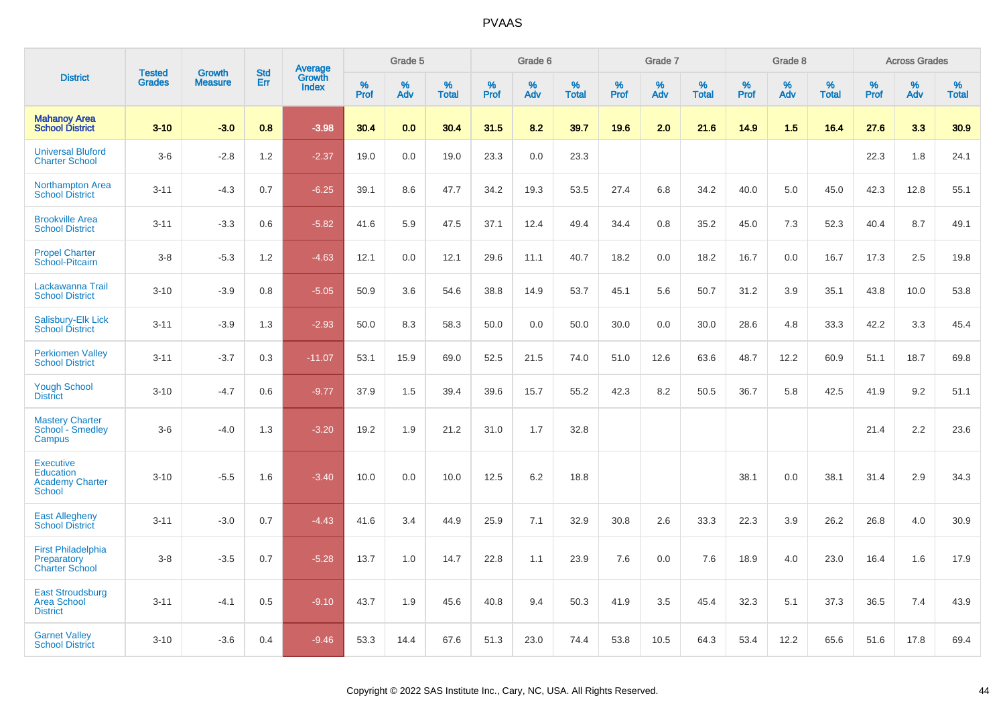|                                                                                 | <b>Tested</b> | <b>Growth</b>  | <b>Std</b> | Average         |           | Grade 5  |                   |           | Grade 6  |                   |           | Grade 7  |                   |           | Grade 8  |                   |           | <b>Across Grades</b> |                   |
|---------------------------------------------------------------------------------|---------------|----------------|------------|-----------------|-----------|----------|-------------------|-----------|----------|-------------------|-----------|----------|-------------------|-----------|----------|-------------------|-----------|----------------------|-------------------|
| <b>District</b>                                                                 | <b>Grades</b> | <b>Measure</b> | Err        | Growth<br>Index | %<br>Prof | %<br>Adv | %<br><b>Total</b> | %<br>Prof | %<br>Adv | %<br><b>Total</b> | %<br>Prof | %<br>Adv | %<br><b>Total</b> | %<br>Prof | %<br>Adv | %<br><b>Total</b> | %<br>Prof | %<br>Adv             | %<br><b>Total</b> |
| <b>Mahanoy Area</b><br><b>School District</b>                                   | $3 - 10$      | $-3.0$         | 0.8        | $-3.98$         | 30.4      | 0.0      | 30.4              | 31.5      | 8.2      | 39.7              | 19.6      | 2.0      | 21.6              | 14.9      | 1.5      | 16.4              | 27.6      | 3.3                  | 30.9              |
| <b>Universal Bluford</b><br><b>Charter School</b>                               | $3-6$         | $-2.8$         | 1.2        | $-2.37$         | 19.0      | 0.0      | 19.0              | 23.3      | 0.0      | 23.3              |           |          |                   |           |          |                   | 22.3      | 1.8                  | 24.1              |
| <b>Northampton Area</b><br><b>School District</b>                               | $3 - 11$      | $-4.3$         | 0.7        | $-6.25$         | 39.1      | 8.6      | 47.7              | 34.2      | 19.3     | 53.5              | 27.4      | 6.8      | 34.2              | 40.0      | 5.0      | 45.0              | 42.3      | 12.8                 | 55.1              |
| <b>Brookville Area</b><br><b>School District</b>                                | $3 - 11$      | $-3.3$         | 0.6        | $-5.82$         | 41.6      | 5.9      | 47.5              | 37.1      | 12.4     | 49.4              | 34.4      | 0.8      | 35.2              | 45.0      | 7.3      | 52.3              | 40.4      | 8.7                  | 49.1              |
| <b>Propel Charter</b><br>School-Pitcairn                                        | $3 - 8$       | $-5.3$         | 1.2        | $-4.63$         | 12.1      | 0.0      | 12.1              | 29.6      | 11.1     | 40.7              | 18.2      | 0.0      | 18.2              | 16.7      | 0.0      | 16.7              | 17.3      | 2.5                  | 19.8              |
| Lackawanna Trail<br><b>School District</b>                                      | $3 - 10$      | $-3.9$         | 0.8        | $-5.05$         | 50.9      | 3.6      | 54.6              | 38.8      | 14.9     | 53.7              | 45.1      | 5.6      | 50.7              | 31.2      | 3.9      | 35.1              | 43.8      | 10.0                 | 53.8              |
| Salisbury-Elk Lick<br><b>School District</b>                                    | $3 - 11$      | $-3.9$         | 1.3        | $-2.93$         | 50.0      | 8.3      | 58.3              | 50.0      | 0.0      | 50.0              | 30.0      | 0.0      | 30.0              | 28.6      | 4.8      | 33.3              | 42.2      | 3.3                  | 45.4              |
| <b>Perkiomen Valley</b><br><b>School District</b>                               | $3 - 11$      | $-3.7$         | 0.3        | $-11.07$        | 53.1      | 15.9     | 69.0              | 52.5      | 21.5     | 74.0              | 51.0      | 12.6     | 63.6              | 48.7      | 12.2     | 60.9              | 51.1      | 18.7                 | 69.8              |
| <b>Yough School</b><br><b>District</b>                                          | $3 - 10$      | $-4.7$         | 0.6        | $-9.77$         | 37.9      | 1.5      | 39.4              | 39.6      | 15.7     | 55.2              | 42.3      | 8.2      | 50.5              | 36.7      | 5.8      | 42.5              | 41.9      | 9.2                  | 51.1              |
| <b>Mastery Charter</b><br>School - Smedley<br>Campus                            | $3-6$         | $-4.0$         | 1.3        | $-3.20$         | 19.2      | 1.9      | 21.2              | 31.0      | 1.7      | 32.8              |           |          |                   |           |          |                   | 21.4      | 2.2                  | 23.6              |
| <b>Executive</b><br><b>Education</b><br><b>Academy Charter</b><br><b>School</b> | $3 - 10$      | $-5.5$         | 1.6        | $-3.40$         | 10.0      | 0.0      | 10.0              | 12.5      | 6.2      | 18.8              |           |          |                   | 38.1      | 0.0      | 38.1              | 31.4      | 2.9                  | 34.3              |
| <b>East Allegheny</b><br><b>School District</b>                                 | $3 - 11$      | $-3.0$         | 0.7        | $-4.43$         | 41.6      | 3.4      | 44.9              | 25.9      | 7.1      | 32.9              | 30.8      | 2.6      | 33.3              | 22.3      | 3.9      | 26.2              | 26.8      | 4.0                  | 30.9              |
| <b>First Philadelphia</b><br>Preparatory<br><b>Charter School</b>               | $3-8$         | $-3.5$         | 0.7        | $-5.28$         | 13.7      | 1.0      | 14.7              | 22.8      | 1.1      | 23.9              | 7.6       | 0.0      | 7.6               | 18.9      | 4.0      | 23.0              | 16.4      | 1.6                  | 17.9              |
| <b>East Stroudsburg</b><br><b>Area School</b><br><b>District</b>                | $3 - 11$      | $-4.1$         | 0.5        | $-9.10$         | 43.7      | 1.9      | 45.6              | 40.8      | 9.4      | 50.3              | 41.9      | 3.5      | 45.4              | 32.3      | 5.1      | 37.3              | 36.5      | 7.4                  | 43.9              |
| <b>Garnet Valley</b><br><b>School District</b>                                  | $3 - 10$      | $-3.6$         | 0.4        | $-9.46$         | 53.3      | 14.4     | 67.6              | 51.3      | 23.0     | 74.4              | 53.8      | 10.5     | 64.3              | 53.4      | 12.2     | 65.6              | 51.6      | 17.8                 | 69.4              |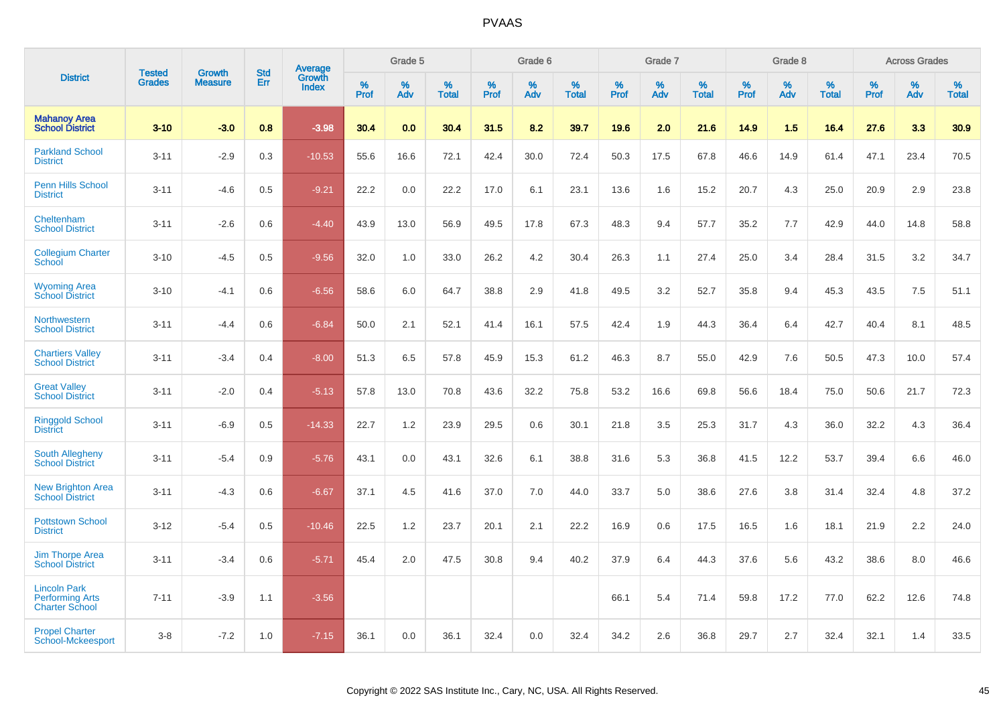|                                                                        |                                | <b>Growth</b>  | <b>Std</b> | Average                |              | Grade 5     |                      |                     | Grade 6     |                      |              | Grade 7     |                      |              | Grade 8     |                   |                     | <b>Across Grades</b> |                      |
|------------------------------------------------------------------------|--------------------------------|----------------|------------|------------------------|--------------|-------------|----------------------|---------------------|-------------|----------------------|--------------|-------------|----------------------|--------------|-------------|-------------------|---------------------|----------------------|----------------------|
| <b>District</b>                                                        | <b>Tested</b><br><b>Grades</b> | <b>Measure</b> | Err        | Growth<br><b>Index</b> | $\%$<br>Prof | $\%$<br>Adv | $\%$<br><b>Total</b> | $\%$<br><b>Prof</b> | $\%$<br>Adv | $\%$<br><b>Total</b> | $\%$<br>Prof | $\%$<br>Adv | $\%$<br><b>Total</b> | $\%$<br>Prof | $\%$<br>Adv | %<br><b>Total</b> | $\%$<br><b>Prof</b> | $\%$<br>Adv          | $\%$<br><b>Total</b> |
| <b>Mahanoy Area</b><br><b>School District</b>                          | $3 - 10$                       | $-3.0$         | 0.8        | $-3.98$                | 30.4         | 0.0         | 30.4                 | 31.5                | 8.2         | 39.7                 | 19.6         | 2.0         | 21.6                 | 14.9         | 1.5         | 16.4              | 27.6                | 3.3                  | 30.9                 |
| <b>Parkland School</b><br><b>District</b>                              | $3 - 11$                       | $-2.9$         | 0.3        | $-10.53$               | 55.6         | 16.6        | 72.1                 | 42.4                | 30.0        | 72.4                 | 50.3         | 17.5        | 67.8                 | 46.6         | 14.9        | 61.4              | 47.1                | 23.4                 | 70.5                 |
| <b>Penn Hills School</b><br><b>District</b>                            | $3 - 11$                       | $-4.6$         | 0.5        | $-9.21$                | 22.2         | 0.0         | 22.2                 | 17.0                | 6.1         | 23.1                 | 13.6         | 1.6         | 15.2                 | 20.7         | 4.3         | 25.0              | 20.9                | 2.9                  | 23.8                 |
| Cheltenham<br><b>School District</b>                                   | $3 - 11$                       | $-2.6$         | 0.6        | $-4.40$                | 43.9         | 13.0        | 56.9                 | 49.5                | 17.8        | 67.3                 | 48.3         | 9.4         | 57.7                 | 35.2         | 7.7         | 42.9              | 44.0                | 14.8                 | 58.8                 |
| <b>Collegium Charter</b><br>School                                     | $3 - 10$                       | $-4.5$         | 0.5        | $-9.56$                | 32.0         | 1.0         | 33.0                 | 26.2                | 4.2         | 30.4                 | 26.3         | 1.1         | 27.4                 | 25.0         | 3.4         | 28.4              | 31.5                | 3.2                  | 34.7                 |
| <b>Wyoming Area</b><br><b>School District</b>                          | $3 - 10$                       | $-4.1$         | 0.6        | $-6.56$                | 58.6         | 6.0         | 64.7                 | 38.8                | 2.9         | 41.8                 | 49.5         | 3.2         | 52.7                 | 35.8         | 9.4         | 45.3              | 43.5                | 7.5                  | 51.1                 |
| Northwestern<br><b>School District</b>                                 | $3 - 11$                       | $-4.4$         | 0.6        | $-6.84$                | 50.0         | 2.1         | 52.1                 | 41.4                | 16.1        | 57.5                 | 42.4         | 1.9         | 44.3                 | 36.4         | 6.4         | 42.7              | 40.4                | 8.1                  | 48.5                 |
| <b>Chartiers Valley</b><br><b>School District</b>                      | $3 - 11$                       | $-3.4$         | 0.4        | $-8.00$                | 51.3         | 6.5         | 57.8                 | 45.9                | 15.3        | 61.2                 | 46.3         | 8.7         | 55.0                 | 42.9         | 7.6         | 50.5              | 47.3                | 10.0                 | 57.4                 |
| <b>Great Valley</b><br><b>School District</b>                          | $3 - 11$                       | $-2.0$         | 0.4        | $-5.13$                | 57.8         | 13.0        | 70.8                 | 43.6                | 32.2        | 75.8                 | 53.2         | 16.6        | 69.8                 | 56.6         | 18.4        | 75.0              | 50.6                | 21.7                 | 72.3                 |
| <b>Ringgold School</b><br><b>District</b>                              | $3 - 11$                       | $-6.9$         | 0.5        | $-14.33$               | 22.7         | 1.2         | 23.9                 | 29.5                | 0.6         | 30.1                 | 21.8         | 3.5         | 25.3                 | 31.7         | 4.3         | 36.0              | 32.2                | 4.3                  | 36.4                 |
| South Allegheny<br><b>School District</b>                              | $3 - 11$                       | $-5.4$         | 0.9        | $-5.76$                | 43.1         | 0.0         | 43.1                 | 32.6                | 6.1         | 38.8                 | 31.6         | 5.3         | 36.8                 | 41.5         | 12.2        | 53.7              | 39.4                | 6.6                  | 46.0                 |
| <b>New Brighton Area</b><br><b>School District</b>                     | $3 - 11$                       | $-4.3$         | 0.6        | $-6.67$                | 37.1         | 4.5         | 41.6                 | 37.0                | 7.0         | 44.0                 | 33.7         | 5.0         | 38.6                 | 27.6         | 3.8         | 31.4              | 32.4                | 4.8                  | 37.2                 |
| <b>Pottstown School</b><br><b>District</b>                             | $3 - 12$                       | $-5.4$         | 0.5        | $-10.46$               | 22.5         | 1.2         | 23.7                 | 20.1                | 2.1         | 22.2                 | 16.9         | 0.6         | 17.5                 | 16.5         | 1.6         | 18.1              | 21.9                | 2.2                  | 24.0                 |
| <b>Jim Thorpe Area</b><br><b>School District</b>                       | $3 - 11$                       | $-3.4$         | 0.6        | $-5.71$                | 45.4         | 2.0         | 47.5                 | 30.8                | 9.4         | 40.2                 | 37.9         | 6.4         | 44.3                 | 37.6         | 5.6         | 43.2              | 38.6                | 8.0                  | 46.6                 |
| <b>Lincoln Park</b><br><b>Performing Arts</b><br><b>Charter School</b> | $7 - 11$                       | $-3.9$         | 1.1        | $-3.56$                |              |             |                      |                     |             |                      | 66.1         | 5.4         | 71.4                 | 59.8         | 17.2        | 77.0              | 62.2                | 12.6                 | 74.8                 |
| <b>Propel Charter</b><br>School-Mckeesport                             | $3 - 8$                        | $-7.2$         | 1.0        | $-7.15$                | 36.1         | 0.0         | 36.1                 | 32.4                | 0.0         | 32.4                 | 34.2         | 2.6         | 36.8                 | 29.7         | 2.7         | 32.4              | 32.1                | 1.4                  | 33.5                 |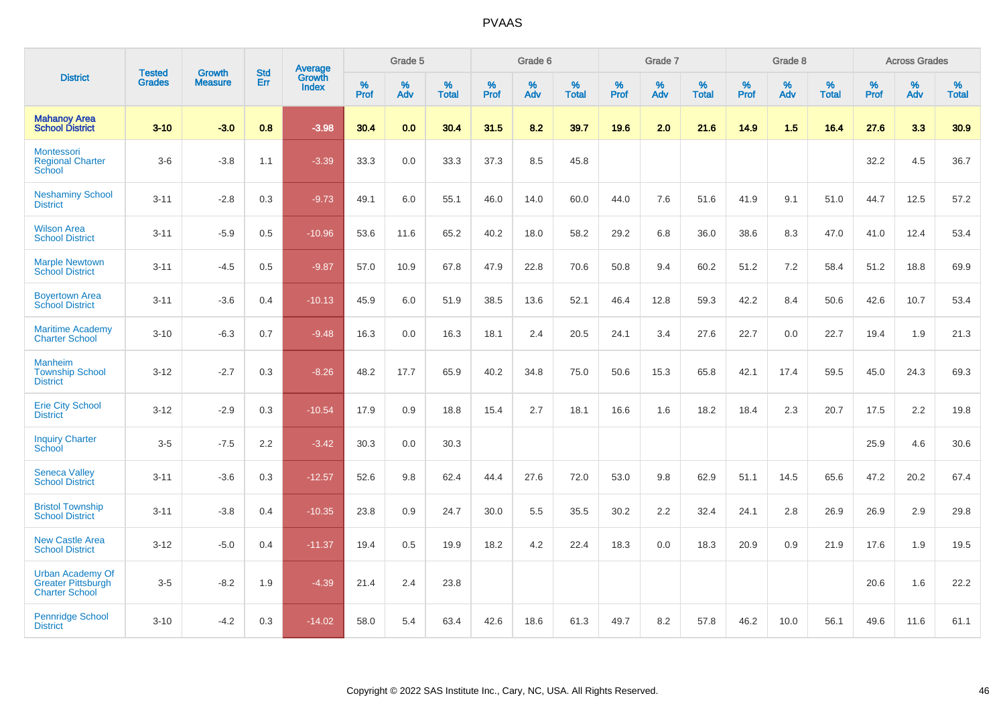|                                                                               |                                |                                 | <b>Std</b> | Average                       |           | Grade 5  |                   |           | Grade 6  |                   |           | Grade 7  |                   |           | Grade 8  |                   |           | <b>Across Grades</b> |                   |
|-------------------------------------------------------------------------------|--------------------------------|---------------------------------|------------|-------------------------------|-----------|----------|-------------------|-----------|----------|-------------------|-----------|----------|-------------------|-----------|----------|-------------------|-----------|----------------------|-------------------|
| <b>District</b>                                                               | <b>Tested</b><br><b>Grades</b> | <b>Growth</b><br><b>Measure</b> | Err        | <b>Growth</b><br><b>Index</b> | %<br>Prof | %<br>Adv | %<br><b>Total</b> | %<br>Prof | %<br>Adv | %<br><b>Total</b> | %<br>Prof | %<br>Adv | %<br><b>Total</b> | %<br>Prof | %<br>Adv | %<br><b>Total</b> | %<br>Prof | %<br>Adv             | %<br><b>Total</b> |
| <b>Mahanoy Area</b><br><b>School District</b>                                 | $3 - 10$                       | $-3.0$                          | 0.8        | $-3.98$                       | 30.4      | 0.0      | 30.4              | 31.5      | 8.2      | 39.7              | 19.6      | 2.0      | 21.6              | 14.9      | 1.5      | 16.4              | 27.6      | 3.3                  | 30.9              |
| Montessori<br><b>Regional Charter</b><br>School                               | $3-6$                          | $-3.8$                          | 1.1        | $-3.39$                       | 33.3      | $0.0\,$  | 33.3              | 37.3      | 8.5      | 45.8              |           |          |                   |           |          |                   | 32.2      | 4.5                  | 36.7              |
| <b>Neshaminy School</b><br><b>District</b>                                    | $3 - 11$                       | $-2.8$                          | 0.3        | $-9.73$                       | 49.1      | 6.0      | 55.1              | 46.0      | 14.0     | 60.0              | 44.0      | 7.6      | 51.6              | 41.9      | 9.1      | 51.0              | 44.7      | 12.5                 | 57.2              |
| <b>Wilson Area</b><br><b>School District</b>                                  | $3 - 11$                       | $-5.9$                          | 0.5        | $-10.96$                      | 53.6      | 11.6     | 65.2              | 40.2      | 18.0     | 58.2              | 29.2      | 6.8      | 36.0              | 38.6      | 8.3      | 47.0              | 41.0      | 12.4                 | 53.4              |
| <b>Marple Newtown</b><br><b>School District</b>                               | $3 - 11$                       | $-4.5$                          | 0.5        | $-9.87$                       | 57.0      | 10.9     | 67.8              | 47.9      | 22.8     | 70.6              | 50.8      | 9.4      | 60.2              | 51.2      | 7.2      | 58.4              | 51.2      | 18.8                 | 69.9              |
| <b>Boyertown Area</b><br><b>School District</b>                               | $3 - 11$                       | $-3.6$                          | 0.4        | $-10.13$                      | 45.9      | 6.0      | 51.9              | 38.5      | 13.6     | 52.1              | 46.4      | 12.8     | 59.3              | 42.2      | 8.4      | 50.6              | 42.6      | 10.7                 | 53.4              |
| <b>Maritime Academy</b><br><b>Charter School</b>                              | $3 - 10$                       | $-6.3$                          | 0.7        | $-9.48$                       | 16.3      | 0.0      | 16.3              | 18.1      | 2.4      | 20.5              | 24.1      | 3.4      | 27.6              | 22.7      | 0.0      | 22.7              | 19.4      | 1.9                  | 21.3              |
| <b>Manheim</b><br><b>Township School</b><br><b>District</b>                   | $3 - 12$                       | $-2.7$                          | 0.3        | $-8.26$                       | 48.2      | 17.7     | 65.9              | 40.2      | 34.8     | 75.0              | 50.6      | 15.3     | 65.8              | 42.1      | 17.4     | 59.5              | 45.0      | 24.3                 | 69.3              |
| <b>Erie City School</b><br><b>District</b>                                    | $3 - 12$                       | $-2.9$                          | 0.3        | $-10.54$                      | 17.9      | 0.9      | 18.8              | 15.4      | 2.7      | 18.1              | 16.6      | 1.6      | 18.2              | 18.4      | 2.3      | 20.7              | 17.5      | 2.2                  | 19.8              |
| <b>Inquiry Charter</b><br>School                                              | $3-5$                          | $-7.5$                          | 2.2        | $-3.42$                       | 30.3      | 0.0      | 30.3              |           |          |                   |           |          |                   |           |          |                   | 25.9      | 4.6                  | 30.6              |
| <b>Seneca Valley</b><br><b>School District</b>                                | $3 - 11$                       | $-3.6$                          | 0.3        | $-12.57$                      | 52.6      | 9.8      | 62.4              | 44.4      | 27.6     | 72.0              | 53.0      | 9.8      | 62.9              | 51.1      | 14.5     | 65.6              | 47.2      | 20.2                 | 67.4              |
| <b>Bristol Township</b><br><b>School District</b>                             | $3 - 11$                       | $-3.8$                          | 0.4        | $-10.35$                      | 23.8      | 0.9      | 24.7              | 30.0      | 5.5      | 35.5              | 30.2      | 2.2      | 32.4              | 24.1      | 2.8      | 26.9              | 26.9      | 2.9                  | 29.8              |
| <b>New Castle Area</b><br><b>School District</b>                              | $3 - 12$                       | $-5.0$                          | 0.4        | $-11.37$                      | 19.4      | 0.5      | 19.9              | 18.2      | 4.2      | 22.4              | 18.3      | 0.0      | 18.3              | 20.9      | 0.9      | 21.9              | 17.6      | 1.9                  | 19.5              |
| <b>Urban Academy Of</b><br><b>Greater Pittsburgh</b><br><b>Charter School</b> | $3-5$                          | $-8.2$                          | 1.9        | $-4.39$                       | 21.4      | 2.4      | 23.8              |           |          |                   |           |          |                   |           |          |                   | 20.6      | 1.6                  | 22.2              |
| <b>Pennridge School</b><br><b>District</b>                                    | $3 - 10$                       | $-4.2$                          | 0.3        | $-14.02$                      | 58.0      | 5.4      | 63.4              | 42.6      | 18.6     | 61.3              | 49.7      | 8.2      | 57.8              | 46.2      | 10.0     | 56.1              | 49.6      | 11.6                 | 61.1              |